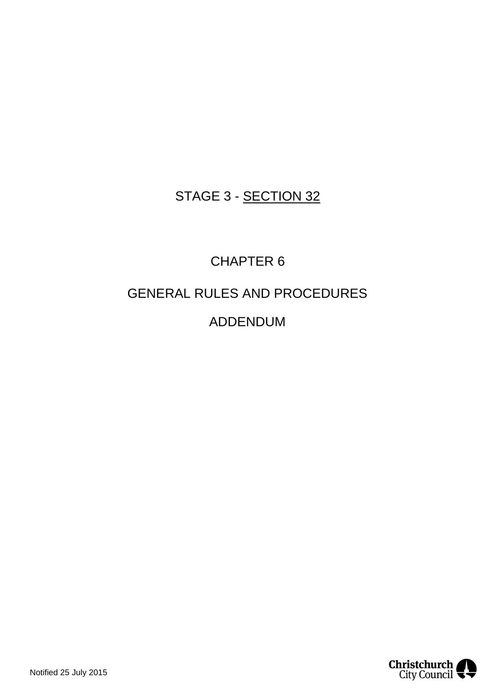## STAGE 3 - SECTION 32

## CHAPTER 6

# GENERAL RULES AND PROCEDURES

## ADDENDUM

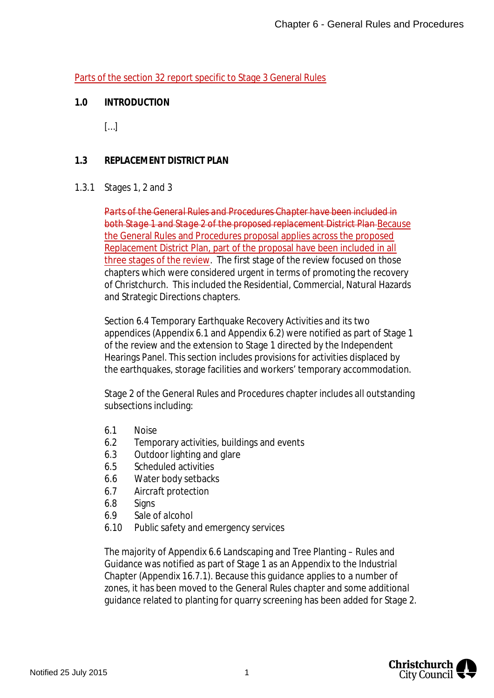### Parts of the section 32 report specific to Stage 3 General Rules

**1.0 INTRODUCTION**

[…]

## **1.3 REPLACEMENT DISTRICT PLAN**

1.3.1 Stages 1, 2 and 3

*Parts of the General Rules and Procedures Chapter have been included in both Stage 1 and Stage 2 of the proposed replacement District Plan* Because the General Rules and Procedures proposal applies across the proposed Replacement District Plan, part of the proposal have been included in all three stages of the review. The first stage of the review focused on those chapters which were considered urgent in terms of promoting the recovery of Christchurch. This included the Residential, Commercial, Natural Hazards and Strategic Directions chapters.

Section 6.4 Temporary Earthquake Recovery Activities and its two appendices (Appendix 6.1 and Appendix 6.2) were notified as part of Stage 1 of the review and the extension to Stage 1 directed by the Independent Hearings Panel. This section includes provisions for activities displaced by the earthquakes, storage facilities and workers' temporary accommodation.

Stage 2 of the General Rules and Procedures chapter includes all outstanding subsections including:

- 6.1 Noise
- 6.2 Temporary activities, buildings and events
- 6.3 Outdoor lighting and glare
- 6.5 Scheduled activities
- 6.6 Water body setbacks
- 6.7 Aircraft protection
- 6.8 Signs
- 6.9 Sale of alcohol
- 6.10 Public safety and emergency services

The majority of Appendix 6.6 Landscaping and Tree Planting – Rules and Guidance was notified as part of Stage 1 as an Appendix to the Industrial Chapter (Appendix 16.7.1). Because this guidance applies to a number of zones, it has been moved to the General Rules chapter and some additional guidance related to planting for quarry screening has been added for Stage 2.

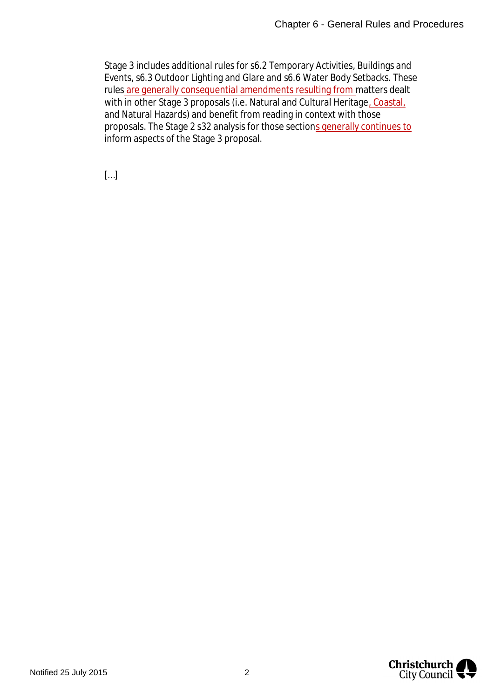Stage 3 includes additional rules for s6.2 Temporary Activities, Buildings and Events, s6.3 Outdoor Lighting and Glare and s6.6 Water Body Setbacks. These rules are generally consequential amendments resulting from matters dealt with in other Stage 3 proposals (i.e. Natural and Cultural Heritage, Coastal, and Natural Hazards) and benefit from reading in context with those proposals. The Stage 2 s32 analysis for those sections generally continues to inform aspects of the Stage 3 proposal.

[…]

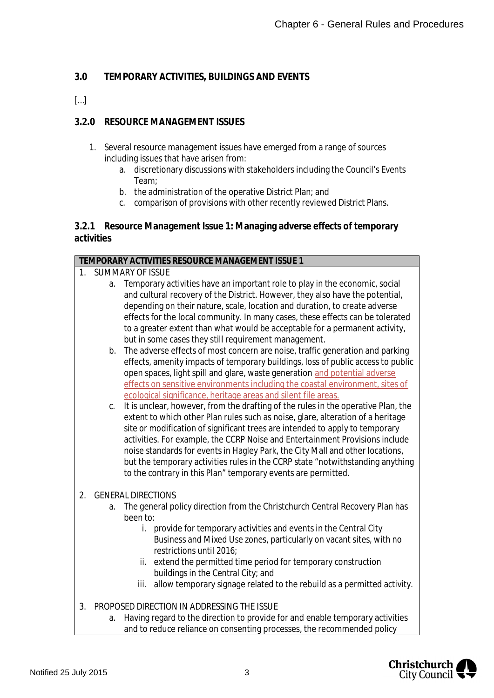### **3.0 TEMPORARY ACTIVITIES, BUILDINGS AND EVENTS**

 $\left[\ldots\right]$ 

#### **3.2.0 RESOURCE MANAGEMENT ISSUES**

- 1. Several resource management issues have emerged from a range of sources including issues that have arisen from:
	- a. discretionary discussions with stakeholders including the Council's Events Team;
	- b. the administration of the operative District Plan; and
	- c. comparison of provisions with other recently reviewed District Plans.

**3.2.1 Resource Management Issue 1: Managing adverse effects of temporary activities**

#### **TEMPORARY ACTIVITIES RESOURCE MANAGEMENT ISSUE 1**

|    |                                                                                   | 1. SUMMARY OF ISSUE                                                               |  |  |
|----|-----------------------------------------------------------------------------------|-----------------------------------------------------------------------------------|--|--|
|    | Temporary activities have an important role to play in the economic, social<br>a. |                                                                                   |  |  |
|    |                                                                                   | and cultural recovery of the District. However, they also have the potential,     |  |  |
|    |                                                                                   | depending on their nature, scale, location and duration, to create adverse        |  |  |
|    |                                                                                   | effects for the local community. In many cases, these effects can be tolerated    |  |  |
|    | to a greater extent than what would be acceptable for a permanent activity,       |                                                                                   |  |  |
|    |                                                                                   | but in some cases they still requirement management.                              |  |  |
|    | b.                                                                                | The adverse effects of most concern are noise, traffic generation and parking     |  |  |
|    |                                                                                   | effects, amenity impacts of temporary buildings, loss of public access to public  |  |  |
|    |                                                                                   | open spaces, light spill and glare, waste generation and potential adverse        |  |  |
|    |                                                                                   | effects on sensitive environments including the coastal environment, sites of     |  |  |
|    |                                                                                   | ecological significance, heritage areas and silent file areas.                    |  |  |
|    | C.                                                                                | It is unclear, however, from the drafting of the rules in the operative Plan, the |  |  |
|    |                                                                                   | extent to which other Plan rules such as noise, glare, alteration of a heritage   |  |  |
|    | site or modification of significant trees are intended to apply to temporary      |                                                                                   |  |  |
|    | activities. For example, the CCRP Noise and Entertainment Provisions include      |                                                                                   |  |  |
|    | noise standards for events in Hagley Park, the City Mall and other locations,     |                                                                                   |  |  |
|    | but the temporary activities rules in the CCRP state "notwithstanding anything    |                                                                                   |  |  |
|    | to the contrary in this Plan" temporary events are permitted.                     |                                                                                   |  |  |
|    |                                                                                   |                                                                                   |  |  |
| 2. |                                                                                   | <b>GENERAL DIRECTIONS</b>                                                         |  |  |
|    | a.                                                                                | The general policy direction from the Christchurch Central Recovery Plan has      |  |  |
|    |                                                                                   | been to:                                                                          |  |  |
|    |                                                                                   | i. provide for temporary activities and events in the Central City                |  |  |
|    |                                                                                   | Business and Mixed Use zones, particularly on vacant sites, with no               |  |  |
|    | restrictions until 2016;                                                          |                                                                                   |  |  |
|    | ii. extend the permitted time period for temporary construction                   |                                                                                   |  |  |
|    |                                                                                   | buildings in the Central City; and                                                |  |  |
|    |                                                                                   | allow temporary signage related to the rebuild as a permitted activity.<br>iii.   |  |  |
|    |                                                                                   |                                                                                   |  |  |
| 3. |                                                                                   | PROPOSED DIRECTION IN ADDRESSING THE ISSUE                                        |  |  |

a. Having regard to the direction to provide for and enable temporary activities and to reduce reliance on consenting processes, the recommended policy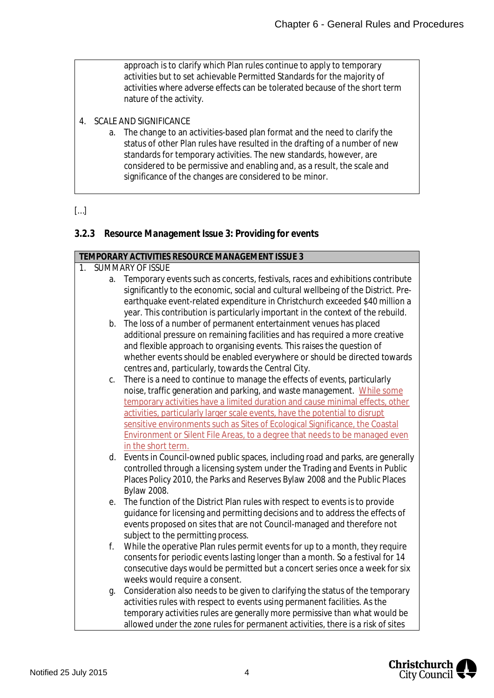approach is to clarify which Plan rules continue to apply to temporary activities but to set achievable Permitted Standards for the majority of activities where adverse effects can be tolerated because of the short term nature of the activity.

#### 4. SCALE AND SIGNIFICANCE

a. The change to an activities-based plan format and the need to clarify the status of other Plan rules have resulted in the drafting of a number of new standards for temporary activities. The new standards, however, are considered to be permissive and enabling and, as a result, the scale and significance of the changes are considered to be minor.

## […]

#### **3.2.3 Resource Management Issue 3: Providing for events**

#### **TEMPORARY ACTIVITIES RESOURCE MANAGEMENT ISSUE 3**

| 1. SUMMARY OF ISSUE                                                                  |                                                                                    |  |  |  |  |
|--------------------------------------------------------------------------------------|------------------------------------------------------------------------------------|--|--|--|--|
| a.                                                                                   | Temporary events such as concerts, festivals, races and exhibitions contribute     |  |  |  |  |
|                                                                                      | significantly to the economic, social and cultural wellbeing of the District. Pre- |  |  |  |  |
|                                                                                      | earthquake event-related expenditure in Christchurch exceeded \$40 million a       |  |  |  |  |
|                                                                                      | year. This contribution is particularly important in the context of the rebuild.   |  |  |  |  |
| b.                                                                                   | The loss of a number of permanent entertainment venues has placed                  |  |  |  |  |
|                                                                                      | additional pressure on remaining facilities and has required a more creative       |  |  |  |  |
|                                                                                      | and flexible approach to organising events. This raises the question of            |  |  |  |  |
|                                                                                      | whether events should be enabled everywhere or should be directed towards          |  |  |  |  |
|                                                                                      | centres and, particularly, towards the Central City.                               |  |  |  |  |
| C.                                                                                   | There is a need to continue to manage the effects of events, particularly          |  |  |  |  |
|                                                                                      | noise, traffic generation and parking, and waste management. While some            |  |  |  |  |
|                                                                                      | temporary activities have a limited duration and cause minimal effects, other      |  |  |  |  |
|                                                                                      | activities, particularly larger scale events, have the potential to disrupt        |  |  |  |  |
|                                                                                      | sensitive environments such as Sites of Ecological Significance, the Coastal       |  |  |  |  |
|                                                                                      | Environment or Silent File Areas, to a degree that needs to be managed even        |  |  |  |  |
|                                                                                      | in the short term.                                                                 |  |  |  |  |
| Events in Council-owned public spaces, including road and parks, are generally<br>d. |                                                                                    |  |  |  |  |
| controlled through a licensing system under the Trading and Events in Public         |                                                                                    |  |  |  |  |
| Places Policy 2010, the Parks and Reserves Bylaw 2008 and the Public Places          |                                                                                    |  |  |  |  |
|                                                                                      | Bylaw 2008.                                                                        |  |  |  |  |
| е.                                                                                   | The function of the District Plan rules with respect to events is to provide       |  |  |  |  |
|                                                                                      | guidance for licensing and permitting decisions and to address the effects of      |  |  |  |  |
|                                                                                      | events proposed on sites that are not Council-managed and therefore not            |  |  |  |  |
|                                                                                      | subject to the permitting process.                                                 |  |  |  |  |
| f.                                                                                   | While the operative Plan rules permit events for up to a month, they require       |  |  |  |  |
|                                                                                      | consents for periodic events lasting longer than a month. So a festival for 14     |  |  |  |  |
|                                                                                      | consecutive days would be permitted but a concert series once a week for six       |  |  |  |  |
|                                                                                      | weeks would require a consent.                                                     |  |  |  |  |
| g.                                                                                   | Consideration also needs to be given to clarifying the status of the temporary     |  |  |  |  |
|                                                                                      | activities rules with respect to events using permanent facilities. As the         |  |  |  |  |
|                                                                                      | temporary activities rules are generally more permissive than what would be        |  |  |  |  |
|                                                                                      | allowed under the zone rules for permanent activities, there is a risk of sites    |  |  |  |  |

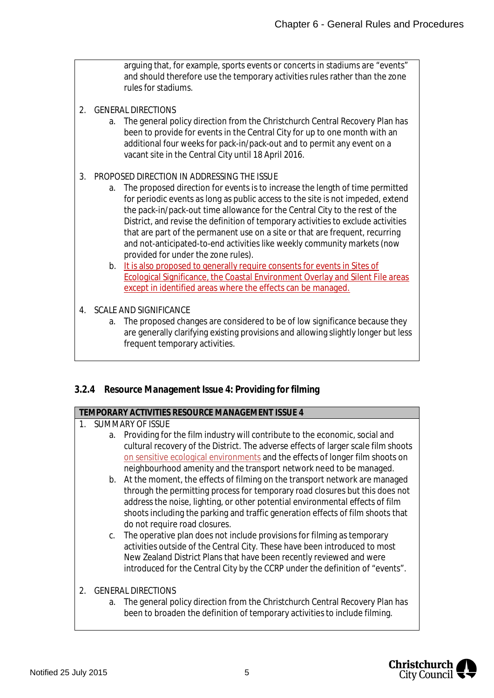arguing that, for example, sports events or concerts in stadiums are "events" and should therefore use the temporary activities rules rather than the zone rules for stadiums.

- 2. GENERAL DIRECTIONS
	- a. The general policy direction from the Christchurch Central Recovery Plan has been to provide for events in the Central City for up to one month with an additional four weeks for pack-in/pack-out and to permit any event on a vacant site in the Central City until 18 April 2016.
- 3. PROPOSED DIRECTION IN ADDRESSING THE ISSUE
	- a. The proposed direction for events is to increase the length of time permitted for periodic events as long as public access to the site is not impeded, extend the pack-in/pack-out time allowance for the Central City to the rest of the District, and revise the definition of temporary activities to exclude activities that are part of the permanent use on a site or that are frequent, recurring and not-anticipated-to-end activities like weekly community markets (now provided for under the zone rules).
	- b. It is also proposed to generally require consents for events in Sites of Ecological Significance, the Coastal Environment Overlay and Silent File areas except in identified areas where the effects can be managed.
- 4. SCALE AND SIGNIFICANCE
	- a. The proposed changes are considered to be of low significance because they are generally clarifying existing provisions and allowing slightly longer but less frequent temporary activities.

## **3.2.4 Resource Management Issue 4: Providing for filming**

#### **TEMPORARY ACTIVITIES RESOURCE MANAGEMENT ISSUE 4**

|               |             | 1. SUMMARY OF ISSUE                                                                |
|---------------|-------------|------------------------------------------------------------------------------------|
|               | a.          | Providing for the film industry will contribute to the economic, social and        |
|               |             | cultural recovery of the District. The adverse effects of larger scale film shoots |
|               |             | on sensitive ecological environments and the effects of longer film shoots on      |
|               |             | neighbourhood amenity and the transport network need to be managed.                |
|               |             | b. At the moment, the effects of filming on the transport network are managed      |
|               |             | through the permitting process for temporary road closures but this does not       |
|               |             | address the noise, lighting, or other potential environmental effects of film      |
|               |             | shoots including the parking and traffic generation effects of film shoots that    |
|               |             | do not require road closures.                                                      |
|               | $C_{\cdot}$ | The operative plan does not include provisions for filming as temporary            |
|               |             | activities outside of the Central City. These have been introduced to most         |
|               |             | New Zealand District Plans that have been recently reviewed and were               |
|               |             | introduced for the Central City by the CCRP under the definition of "events".      |
|               |             |                                                                                    |
| $\mathcal{P}$ |             | <b>GENERAL DIRECTIONS</b>                                                          |
|               | a.          | The general policy direction from the Christchurch Central Recovery Plan has       |
|               |             | been to broaden the definition of temporary activities to include filming.         |
|               |             |                                                                                    |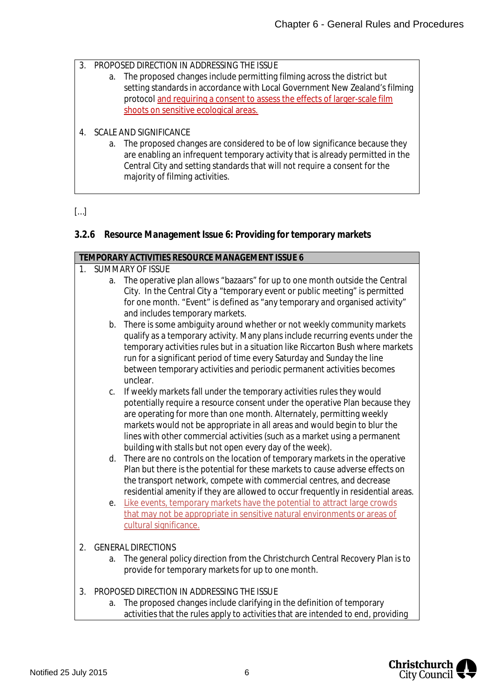### 3. PROPOSED DIRECTION IN ADDRESSING THE ISSUE

a. The proposed changes include permitting filming across the district but setting standards in accordance with Local Government New Zealand's filming protocol and requiring a consent to assess the effects of larger-scale film shoots on sensitive ecological areas.

#### 4. SCALE AND SIGNIFICANCE

a. The proposed changes are considered to be of low significance because they are enabling an infrequent temporary activity that is already permitted in the Central City and setting standards that will not require a consent for the majority of filming activities.

[…]

### **3.2.6 Resource Management Issue 6: Providing for temporary markets**

|                |                         | TEMPORARY ACTIVITIES RESOURCE MANAGEMENT ISSUE 6                                                                                                       |  |  |
|----------------|-------------------------|--------------------------------------------------------------------------------------------------------------------------------------------------------|--|--|
| $\mathbf{1}$ . | <b>SUMMARY OF ISSUE</b> |                                                                                                                                                        |  |  |
|                | a.                      | The operative plan allows "bazaars" for up to one month outside the Central                                                                            |  |  |
|                |                         | City. In the Central City a "temporary event or public meeting" is permitted                                                                           |  |  |
|                |                         | for one month. "Event" is defined as "any temporary and organised activity"                                                                            |  |  |
|                |                         | and includes temporary markets.                                                                                                                        |  |  |
|                | b.                      | There is some ambiguity around whether or not weekly community markets                                                                                 |  |  |
|                |                         | qualify as a temporary activity. Many plans include recurring events under the                                                                         |  |  |
|                |                         | temporary activities rules but in a situation like Riccarton Bush where markets                                                                        |  |  |
|                |                         | run for a significant period of time every Saturday and Sunday the line                                                                                |  |  |
|                |                         | between temporary activities and periodic permanent activities becomes                                                                                 |  |  |
|                |                         | unclear.                                                                                                                                               |  |  |
|                | C.                      | If weekly markets fall under the temporary activities rules they would                                                                                 |  |  |
|                |                         | potentially require a resource consent under the operative Plan because they                                                                           |  |  |
|                |                         | are operating for more than one month. Alternately, permitting weekly                                                                                  |  |  |
|                |                         | markets would not be appropriate in all areas and would begin to blur the                                                                              |  |  |
|                |                         | lines with other commercial activities (such as a market using a permanent                                                                             |  |  |
|                |                         | building with stalls but not open every day of the week).                                                                                              |  |  |
|                | d.                      | There are no controls on the location of temporary markets in the operative                                                                            |  |  |
|                |                         | Plan but there is the potential for these markets to cause adverse effects on                                                                          |  |  |
|                |                         | the transport network, compete with commercial centres, and decrease                                                                                   |  |  |
|                |                         | residential amenity if they are allowed to occur frequently in residential areas.                                                                      |  |  |
|                | е.                      | Like events, temporary markets have the potential to attract large crowds<br>that may not be appropriate in sensitive natural environments or areas of |  |  |
|                |                         | cultural significance.                                                                                                                                 |  |  |
|                |                         |                                                                                                                                                        |  |  |
| 2.             |                         | <b>GENERAL DIRECTIONS</b>                                                                                                                              |  |  |
|                | a.                      | The general policy direction from the Christchurch Central Recovery Plan is to                                                                         |  |  |
|                |                         | provide for temporary markets for up to one month.                                                                                                     |  |  |
|                |                         |                                                                                                                                                        |  |  |
| 3.             |                         | PROPOSED DIRECTION IN ADDRESSING THE ISSUE                                                                                                             |  |  |
|                | a.                      | The proposed changes include clarifying in the definition of temporary                                                                                 |  |  |
|                |                         | activities that the rules apply to activities that are intended to end, providing                                                                      |  |  |

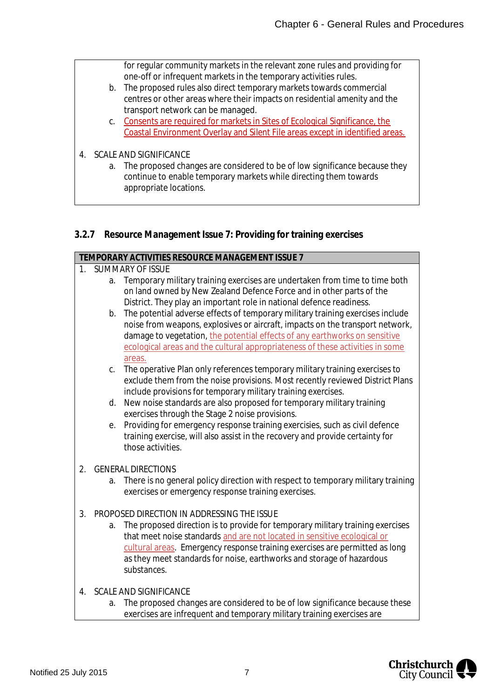for regular community markets in the relevant zone rules and providing for one-off or infrequent markets in the temporary activities rules. b. The proposed rules also direct temporary markets towards commercial centres or other areas where their impacts on residential amenity and the transport network can be managed. c. Consents are required for markets in Sites of Ecological Significance, the Coastal Environment Overlay and Silent File areas except in identified areas. 4. SCALE AND SIGNIFICANCE a. The proposed changes are considered to be of low significance because they continue to enable temporary markets while directing them towards appropriate locations.

## **3.2.7 Resource Management Issue 7: Providing for training exercises**

| TEMPORARY ACTIVITIES RESOURCE MANAGEMENT ISSUE 7 |    |                                                                                                                                                     |
|--------------------------------------------------|----|-----------------------------------------------------------------------------------------------------------------------------------------------------|
| <b>SUMMARY OF ISSUE</b><br>$1_{-}$               |    |                                                                                                                                                     |
|                                                  | a. | Temporary military training exercises are undertaken from time to time both<br>on land owned by New Zealand Defence Force and in other parts of the |
|                                                  |    | District. They play an important role in national defence readiness.                                                                                |
|                                                  | b. | The potential adverse effects of temporary military training exercises include                                                                      |
|                                                  |    | noise from weapons, explosives or aircraft, impacts on the transport network,                                                                       |
|                                                  |    | damage to vegetation, the potential effects of any earthworks on sensitive                                                                          |
|                                                  |    | ecological areas and the cultural appropriateness of these activities in some                                                                       |
|                                                  |    | areas.                                                                                                                                              |
|                                                  | C. | The operative Plan only references temporary military training exercises to                                                                         |
|                                                  |    | exclude them from the noise provisions. Most recently reviewed District Plans                                                                       |
|                                                  |    | include provisions for temporary military training exercises.                                                                                       |
|                                                  | d. | New noise standards are also proposed for temporary military training<br>exercises through the Stage 2 noise provisions.                            |
|                                                  | e. | Providing for emergency response training exercisies, such as civil defence                                                                         |
|                                                  |    | training exercise, will also assist in the recovery and provide certainty for                                                                       |
|                                                  |    | those activities.                                                                                                                                   |
|                                                  |    |                                                                                                                                                     |
| 2.                                               |    | <b>GENERAL DIRECTIONS</b>                                                                                                                           |
|                                                  | a. | There is no general policy direction with respect to temporary military training                                                                    |
|                                                  |    | exercises or emergency response training exercises.                                                                                                 |
| 3.                                               |    | PROPOSED DIRECTION IN ADDRESSING THE ISSUE                                                                                                          |
|                                                  | a. | The proposed direction is to provide for temporary military training exercises                                                                      |
|                                                  |    | that meet noise standards and are not located in sensitive ecological or                                                                            |
|                                                  |    | cultural areas. Emergency response training exercises are permitted as long                                                                         |
|                                                  |    | as they meet standards for noise, earthworks and storage of hazardous                                                                               |
|                                                  |    | substances.                                                                                                                                         |
|                                                  |    | <b>SCALE AND SIGNIFICANCE</b>                                                                                                                       |
| 4.                                               |    |                                                                                                                                                     |

a. The proposed changes are considered to be of low significance because these exercises are infrequent and temporary military training exercises are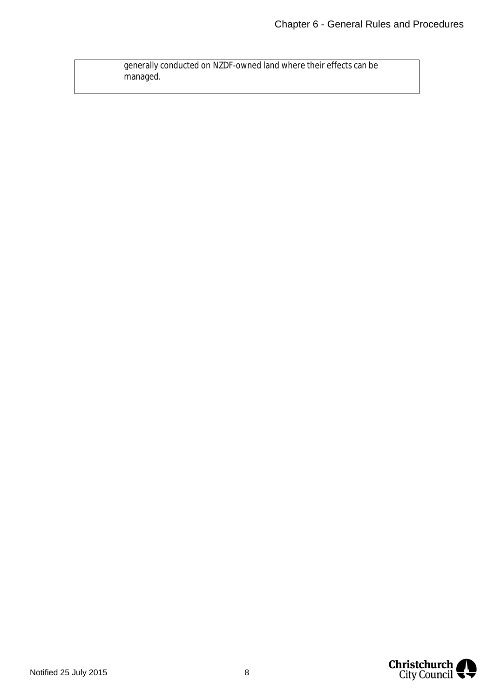generally conducted on NZDF-owned land where their effects can be managed.

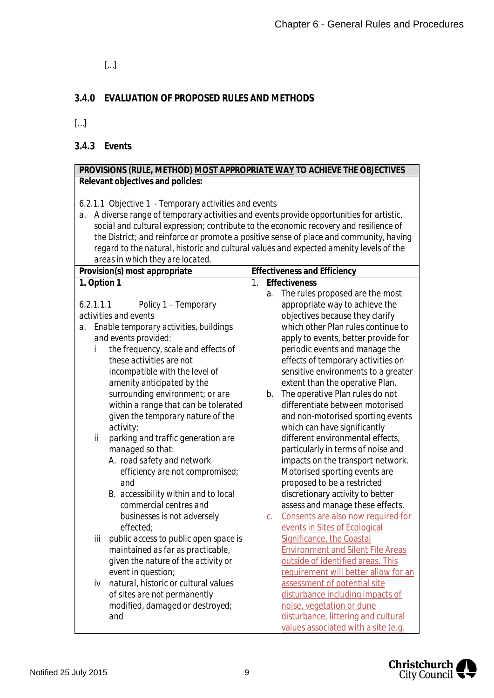[…]

## **3.4.0 EVALUATION OF PROPOSED RULES AND METHODS**

[…]

#### **3.4.3 Events**

| PROVISIONS (RULE, METHOD) MOST APPROPRIATE WAY TO ACHIEVE THE OBJECTIVES |                                                                                        |  |  |  |
|--------------------------------------------------------------------------|----------------------------------------------------------------------------------------|--|--|--|
| Relevant objectives and policies:                                        |                                                                                        |  |  |  |
|                                                                          |                                                                                        |  |  |  |
| 6.2.1.1 Objective 1 - Temporary activities and events                    |                                                                                        |  |  |  |
| а.                                                                       | A diverse range of temporary activities and events provide opportunities for artistic, |  |  |  |
|                                                                          | social and cultural expression; contribute to the economic recovery and resilience of  |  |  |  |
|                                                                          | the District; and reinforce or promote a positive sense of place and community, having |  |  |  |
|                                                                          | regard to the natural, historic and cultural values and expected amenity levels of the |  |  |  |
| areas in which they are located.                                         |                                                                                        |  |  |  |
| Provision(s) most appropriate                                            | <b>Effectiveness and Efficiency</b>                                                    |  |  |  |
| 1. Option 1                                                              | Effectiveness<br>1.                                                                    |  |  |  |
|                                                                          | The rules proposed are the most<br>a.                                                  |  |  |  |
| 6.2.1.1.1<br>Policy 1 - Temporary                                        | appropriate way to achieve the                                                         |  |  |  |
| activities and events                                                    | objectives because they clarify                                                        |  |  |  |
| Enable temporary activities, buildings<br>а.                             | which other Plan rules continue to                                                     |  |  |  |
| and events provided:                                                     | apply to events, better provide for                                                    |  |  |  |
| the frequency, scale and effects of<br>İ                                 | periodic events and manage the                                                         |  |  |  |
| these activities are not                                                 | effects of temporary activities on                                                     |  |  |  |
| incompatible with the level of                                           | sensitive environments to a greater                                                    |  |  |  |
| amenity anticipated by the                                               | extent than the operative Plan.                                                        |  |  |  |
| surrounding environment; or are                                          | The operative Plan rules do not<br>b.                                                  |  |  |  |
| within a range that can be tolerated                                     | differentiate between motorised                                                        |  |  |  |
| given the temporary nature of the                                        | and non-motorised sporting events                                                      |  |  |  |
| activity;                                                                | which can have significantly                                                           |  |  |  |
| parking and traffic generation are<br>ii                                 | different environmental effects,                                                       |  |  |  |
| managed so that:                                                         | particularly in terms of noise and                                                     |  |  |  |
| A. road safety and network                                               | impacts on the transport network.                                                      |  |  |  |
| efficiency are not compromised;<br>and                                   | Motorised sporting events are                                                          |  |  |  |
|                                                                          | proposed to be a restricted                                                            |  |  |  |
| B. accessibility within and to local<br>commercial centres and           | discretionary activity to better<br>assess and manage these effects.                   |  |  |  |
| businesses is not adversely                                              | Consents are also now required for<br>$C_{\cdot}$                                      |  |  |  |
| effected;                                                                | events in Sites of Ecological                                                          |  |  |  |
| public access to public open space is<br>iii                             | Significance, the Coastal                                                              |  |  |  |
| maintained as far as practicable,                                        | <b>Environment and Silent File Areas</b>                                               |  |  |  |
| given the nature of the activity or                                      | outside of identified areas. This                                                      |  |  |  |
| event in question;                                                       | requirement will better allow for an                                                   |  |  |  |
| natural, historic or cultural values<br>iv                               | assessment of potential site                                                           |  |  |  |
| of sites are not permanently                                             | disturbance including impacts of                                                       |  |  |  |
| modified, damaged or destroyed;                                          | noise, vegetation or dune                                                              |  |  |  |
| and                                                                      | disturbance, littering and cultural                                                    |  |  |  |
|                                                                          | values associated with a site (e.g.                                                    |  |  |  |

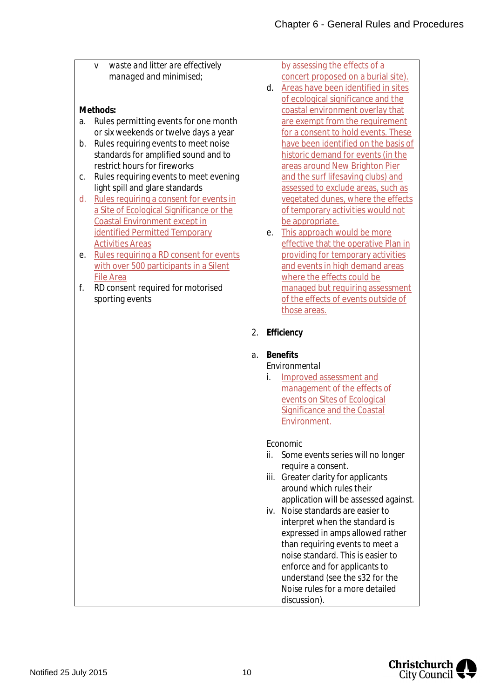|          | waste and litter are effectively<br>V    |    | by assessing the effects of a             |
|----------|------------------------------------------|----|-------------------------------------------|
|          | managed and minimised;                   |    | concert proposed on a burial site).       |
|          |                                          |    | Areas have been identified in sites<br>d. |
|          |                                          |    | of ecological significance and the        |
| Methods: |                                          |    | coastal environment overlay that          |
| a.       | Rules permitting events for one month    |    | are exempt from the requirement           |
|          | or six weekends or twelve days a year    |    | for a consent to hold events. These       |
|          |                                          |    |                                           |
| b.       | Rules requiring events to meet noise     |    | have been identified on the basis of      |
|          | standards for amplified sound and to     |    | historic demand for events (in the        |
|          | restrict hours for fireworks             |    | areas around New Brighton Pier            |
| C.       | Rules requiring events to meet evening   |    | and the surf lifesaving clubs) and        |
|          | light spill and glare standards          |    | assessed to exclude areas, such as        |
| d.       | Rules requiring a consent for events in  |    | vegetated dunes, where the effects        |
|          | a Site of Ecological Significance or the |    | of temporary activities would not         |
|          | Coastal Environment except in            |    | be appropriate.                           |
|          | <b>identified Permitted Temporary</b>    |    | This approach would be more<br>е.         |
|          |                                          |    |                                           |
|          | <b>Activities Areas</b>                  |    | effective that the operative Plan in      |
| е.       | Rules requiring a RD consent for events  |    | providing for temporary activities        |
|          | with over 500 participants in a Silent   |    | and events in high demand areas           |
|          | <b>File Area</b>                         |    | where the effects could be                |
| f.       | RD consent required for motorised        |    | managed but requiring assessment          |
|          | sporting events                          |    | of the effects of events outside of       |
|          |                                          |    | those areas.                              |
|          |                                          |    |                                           |
|          |                                          | 2. | Efficiency                                |
|          |                                          |    | <b>Benefits</b>                           |
|          |                                          | a. |                                           |
|          |                                          |    | Environmental                             |
|          |                                          |    | Improved assessment and<br>i.             |
|          |                                          |    | management of the effects of              |
|          |                                          |    | events on Sites of Ecological             |
|          |                                          |    | <b>Significance and the Coastal</b>       |
|          |                                          |    | Environment.                              |
|          |                                          |    |                                           |
|          |                                          |    | Economic                                  |
|          |                                          |    | ii.<br>Some events series will no longer  |
|          |                                          |    | require a consent.                        |
|          |                                          |    | iii. Greater clarity for applicants       |
|          |                                          |    | around which rules their                  |
|          |                                          |    |                                           |
|          |                                          |    | application will be assessed against.     |
|          |                                          |    | iv. Noise standards are easier to         |
|          |                                          |    | interpret when the standard is            |
|          |                                          |    | expressed in amps allowed rather          |
|          |                                          |    | than requiring events to meet a           |
|          |                                          |    | noise standard. This is easier to         |
|          |                                          |    | enforce and for applicants to             |
|          |                                          |    | understand (see the s32 for the           |
|          |                                          |    | Noise rules for a more detailed           |
|          |                                          |    | discussion).                              |
|          |                                          |    |                                           |

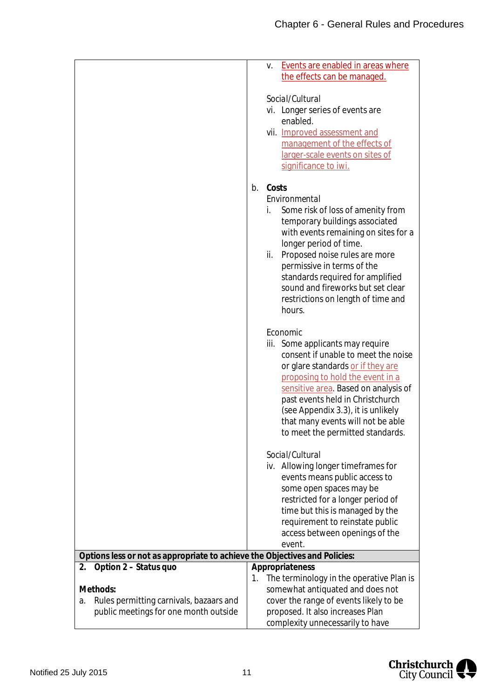|                                                                            | Events are enabled in areas where<br>v.                                  |
|----------------------------------------------------------------------------|--------------------------------------------------------------------------|
|                                                                            | the effects can be managed.                                              |
|                                                                            | Social/Cultural                                                          |
|                                                                            | vi. Longer series of events are                                          |
|                                                                            | enabled.                                                                 |
|                                                                            | vii. Improved assessment and                                             |
|                                                                            | management of the effects of                                             |
|                                                                            | larger-scale events on sites of                                          |
|                                                                            | significance to iwi.                                                     |
|                                                                            | Costs<br>$b_{\cdot}$                                                     |
|                                                                            | Environmental                                                            |
|                                                                            | Some risk of loss of amenity from<br>i.                                  |
|                                                                            | temporary buildings associated                                           |
|                                                                            | with events remaining on sites for a                                     |
|                                                                            | longer period of time.<br>Proposed noise rules are more<br>ii.           |
|                                                                            | permissive in terms of the                                               |
|                                                                            | standards required for amplified                                         |
|                                                                            | sound and fireworks but set clear                                        |
|                                                                            | restrictions on length of time and                                       |
|                                                                            | hours.                                                                   |
|                                                                            | Economic                                                                 |
|                                                                            | iii. Some applicants may require                                         |
|                                                                            | consent if unable to meet the noise                                      |
|                                                                            | or glare standards or if they are                                        |
|                                                                            | proposing to hold the event in a                                         |
|                                                                            | sensitive area. Based on analysis of<br>past events held in Christchurch |
|                                                                            | (see Appendix 3.3), it is unlikely                                       |
|                                                                            | that many events will not be able                                        |
|                                                                            | to meet the permitted standards.                                         |
|                                                                            |                                                                          |
|                                                                            | Social/Cultural<br>iv. Allowing longer timeframes for                    |
|                                                                            | events means public access to                                            |
|                                                                            | some open spaces may be                                                  |
|                                                                            | restricted for a longer period of                                        |
|                                                                            | time but this is managed by the                                          |
|                                                                            | requirement to reinstate public                                          |
|                                                                            | access between openings of the<br>event.                                 |
| Options less or not as appropriate to achieve the Objectives and Policies: |                                                                          |
| Option 2 - Status quo<br>2.                                                | Appropriateness                                                          |
|                                                                            | The terminology in the operative Plan is<br>1.                           |
| Methods:                                                                   | somewhat antiquated and does not                                         |
| Rules permitting carnivals, bazaars and<br>а.                              | cover the range of events likely to be                                   |
| public meetings for one month outside                                      | proposed. It also increases Plan                                         |
|                                                                            | complexity unnecessarily to have                                         |

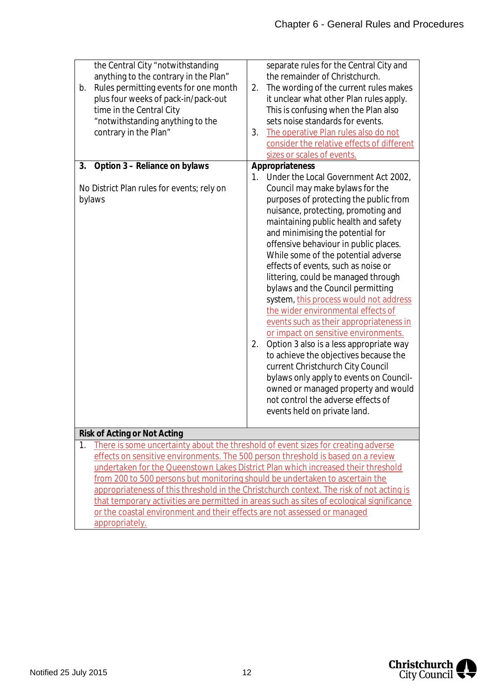| the Central City "notwithstanding<br>anything to the contrary in the Plan"<br>Rules permitting events for one month<br>$b_{\cdot}$<br>plus four weeks of pack-in/pack-out<br>time in the Central City<br>"notwithstanding anything to the<br>contrary in the Plan"                                                                                                                                                                                                                                                                           | separate rules for the Central City and<br>the remainder of Christchurch.<br>The wording of the current rules makes<br>2.<br>it unclear what other Plan rules apply.<br>This is confusing when the Plan also<br>sets noise standards for events.<br>3.<br>The operative Plan rules also do not<br>consider the relative effects of different<br>sizes or scales of events.                                                                                                                                                                                                                                                                                                                                                                                                                                                                                                                                                 |  |  |  |
|----------------------------------------------------------------------------------------------------------------------------------------------------------------------------------------------------------------------------------------------------------------------------------------------------------------------------------------------------------------------------------------------------------------------------------------------------------------------------------------------------------------------------------------------|----------------------------------------------------------------------------------------------------------------------------------------------------------------------------------------------------------------------------------------------------------------------------------------------------------------------------------------------------------------------------------------------------------------------------------------------------------------------------------------------------------------------------------------------------------------------------------------------------------------------------------------------------------------------------------------------------------------------------------------------------------------------------------------------------------------------------------------------------------------------------------------------------------------------------|--|--|--|
| Option 3 - Reliance on bylaws<br>3.<br>No District Plan rules for events; rely on<br>bylaws                                                                                                                                                                                                                                                                                                                                                                                                                                                  | Appropriateness<br>Under the Local Government Act 2002,<br>1.<br>Council may make bylaws for the<br>purposes of protecting the public from<br>nuisance, protecting, promoting and<br>maintaining public health and safety<br>and minimising the potential for<br>offensive behaviour in public places.<br>While some of the potential adverse<br>effects of events, such as noise or<br>littering, could be managed through<br>bylaws and the Council permitting<br>system, this process would not address<br>the wider environmental effects of<br>events such as their appropriateness in<br>or impact on sensitive environments.<br>Option 3 also is a less appropriate way<br>2.<br>to achieve the objectives because the<br>current Christchurch City Council<br>bylaws only apply to events on Council-<br>owned or managed property and would<br>not control the adverse effects of<br>events held on private land. |  |  |  |
| Risk of Acting or Not Acting                                                                                                                                                                                                                                                                                                                                                                                                                                                                                                                 |                                                                                                                                                                                                                                                                                                                                                                                                                                                                                                                                                                                                                                                                                                                                                                                                                                                                                                                            |  |  |  |
| There is some uncertainty about the threshold of event sizes for creating adverse<br>1.                                                                                                                                                                                                                                                                                                                                                                                                                                                      |                                                                                                                                                                                                                                                                                                                                                                                                                                                                                                                                                                                                                                                                                                                                                                                                                                                                                                                            |  |  |  |
| effects on sensitive environments. The 500 person threshold is based on a review<br>undertaken for the Queenstown Lakes District Plan which increased their threshold<br>from 200 to 500 persons but monitoring should be undertaken to ascertain the<br>appropriateness of this threshold in the Christchurch context. The risk of not acting is<br>that temporary activities are permitted in areas such as sites of ecological significance<br>or the coastal environment and their effects are not assessed or managed<br>appropriately. |                                                                                                                                                                                                                                                                                                                                                                                                                                                                                                                                                                                                                                                                                                                                                                                                                                                                                                                            |  |  |  |

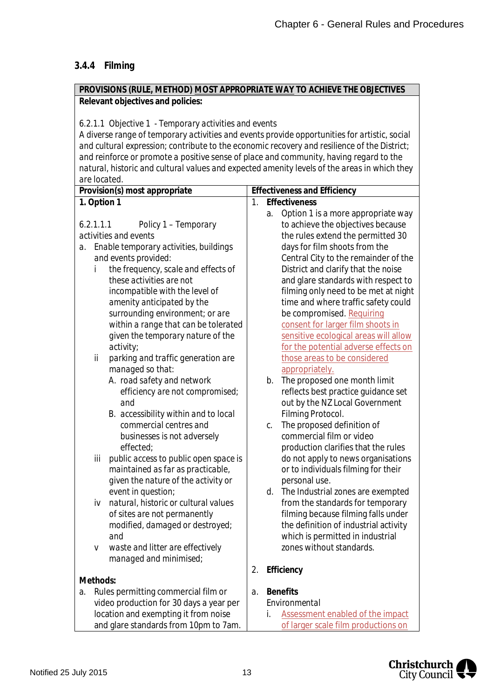## **3.4.4 Filming**

## **PROVISIONS (RULE, METHOD) MOST APPROPRIATE WAY TO ACHIEVE THE OBJECTIVES Relevant objectives and policies:**

#### *6.2.1.1 Objective 1 - Temporary activities and events*

*A diverse range of temporary activities and events provide opportunities for artistic, social and cultural expression; contribute to the economic recovery and resilience of the District; and reinforce or promote a positive sense of place and community, having regard to the natural, historic and cultural values and expected amenity levels of the areas in which they are located.*

| Provision(s) most appropriate                | <b>Effectiveness and Efficiency</b>      |
|----------------------------------------------|------------------------------------------|
| 1. Option 1                                  | Effectiveness<br>1.                      |
|                                              | Option 1 is a more appropriate way<br>a. |
| 6.2.1.1.1<br>Policy 1 - Temporary            | to achieve the objectives because        |
| activities and events                        | the rules extend the permitted 30        |
| Enable temporary activities, buildings<br>a. | days for film shoots from the            |
| and events provided:                         | Central City to the remainder of the     |
| the frequency, scale and effects of<br>İ     | District and clarify that the noise      |
| these activities are not                     | and glare standards with respect to      |
| incompatible with the level of               | filming only need to be met at night     |
| amenity anticipated by the                   | time and where traffic safety could      |
| surrounding environment; or are              | be compromised. Requiring                |
| within a range that can be tolerated         | consent for larger film shoots in        |
| given the temporary nature of the            | sensitive ecological areas will allow    |
| activity;                                    | for the potential adverse effects on     |
| parking and traffic generation are<br>ii     | those areas to be considered             |
| managed so that:                             | appropriately.                           |
| A. road safety and network                   | The proposed one month limit<br>b.       |
| efficiency are not compromised;              | reflects best practice guidance set      |
| and                                          | out by the NZ Local Government           |
| B. accessibility within and to local         | Filming Protocol.                        |
| commercial centres and                       | The proposed definition of<br>C.         |
| businesses is not adversely                  | commercial film or video                 |
| effected;                                    | production clarifies that the rules      |
| public access to public open space is<br>iii | do not apply to news organisations       |
| maintained as far as practicable,            | or to individuals filming for their      |
| given the nature of the activity or          | personal use.                            |
| event in question;                           | The Industrial zones are exempted<br>d.  |
| natural, historic or cultural values<br>iv   | from the standards for temporary         |
| of sites are not permanently                 | filming because filming falls under      |
| modified, damaged or destroyed;              | the definition of industrial activity    |
| and                                          | which is permitted in industrial         |
| waste and litter are effectively<br>V        | zones without standards.                 |
| managed and minimised;                       |                                          |
|                                              | Efficiency<br>2.                         |
| Methods:                                     |                                          |
| Rules permitting commercial film or<br>а.    | <b>Benefits</b><br>$\partial$ .          |
| video production for 30 days a year per      | Environmental                            |
| location and exempting it from noise         | Assessment enabled of the impact<br>İ.   |
| and glare standards from 10pm to 7am.        | of larger scale film productions on      |

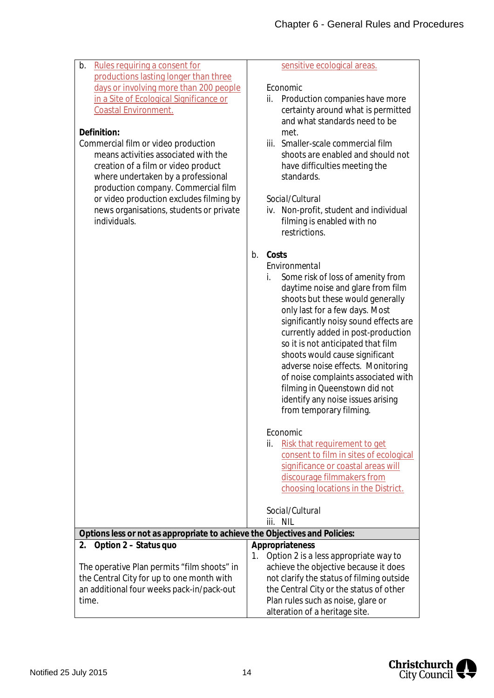| Rules requiring a consent for<br>b.                                                                       | sensitive ecological areas.                                                  |
|-----------------------------------------------------------------------------------------------------------|------------------------------------------------------------------------------|
| productions lasting longer than three<br>days or involving more than 200 people                           | Economic                                                                     |
| in a Site of Ecological Significance or                                                                   | ii. Production companies have more                                           |
| <b>Coastal Environment.</b>                                                                               | certainty around what is permitted                                           |
|                                                                                                           | and what standards need to be                                                |
| Definition:                                                                                               | met.                                                                         |
| Commercial film or video production                                                                       | iii. Smaller-scale commercial film                                           |
| means activities associated with the<br>creation of a film or video product                               | shoots are enabled and should not<br>have difficulties meeting the           |
| where undertaken by a professional                                                                        | standards.                                                                   |
| production company. Commercial film                                                                       |                                                                              |
| or video production excludes filming by                                                                   | Social/Cultural                                                              |
| news organisations, students or private                                                                   | iv. Non-profit, student and individual                                       |
| individuals.                                                                                              | filming is enabled with no                                                   |
|                                                                                                           | restrictions.                                                                |
|                                                                                                           | Costs<br>$b_{\cdot}$                                                         |
|                                                                                                           | Environmental                                                                |
|                                                                                                           | Some risk of loss of amenity from<br>İ.<br>daytime noise and glare from film |
|                                                                                                           | shoots but these would generally                                             |
|                                                                                                           | only last for a few days. Most                                               |
|                                                                                                           | significantly noisy sound effects are                                        |
|                                                                                                           | currently added in post-production                                           |
|                                                                                                           | so it is not anticipated that film                                           |
|                                                                                                           | shoots would cause significant<br>adverse noise effects. Monitoring          |
|                                                                                                           | of noise complaints associated with                                          |
|                                                                                                           | filming in Queenstown did not                                                |
|                                                                                                           | identify any noise issues arising                                            |
|                                                                                                           | from temporary filming.                                                      |
|                                                                                                           | Economic                                                                     |
|                                                                                                           | ii.<br>Risk that requirement to get                                          |
|                                                                                                           | consent to film in sites of ecological                                       |
|                                                                                                           | significance or coastal areas will                                           |
|                                                                                                           | discourage filmmakers from<br>choosing locations in the District.            |
|                                                                                                           |                                                                              |
|                                                                                                           | Social/Cultural                                                              |
|                                                                                                           | iii. NIL                                                                     |
| Options less or not as appropriate to achieve the Objectives and Policies:<br>Option 2 – Status quo<br>2. | Appropriateness                                                              |
|                                                                                                           | Option 2 is a less appropriate way to<br>1.                                  |
| The operative Plan permits "film shoots" in                                                               | achieve the objective because it does                                        |
| the Central City for up to one month with                                                                 | not clarify the status of filming outside                                    |
| an additional four weeks pack-in/pack-out                                                                 | the Central City or the status of other                                      |
| time.                                                                                                     | Plan rules such as noise, glare or                                           |
|                                                                                                           | alteration of a heritage site.                                               |

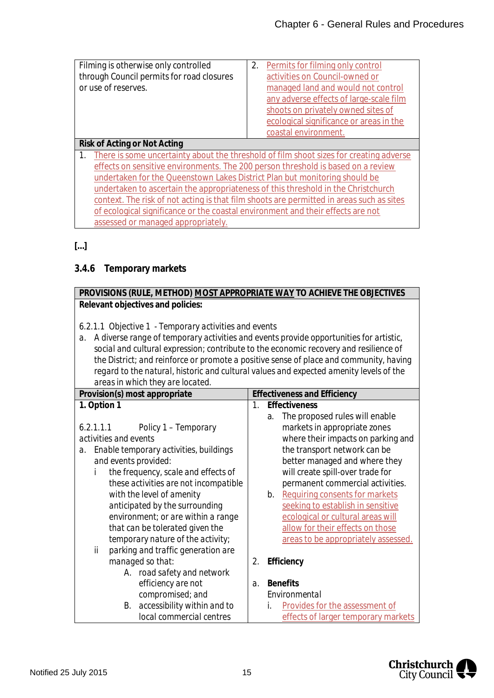| Filming is otherwise only controlled      | 2. Permits for filming only control     |  |
|-------------------------------------------|-----------------------------------------|--|
| through Council permits for road closures | activities on Council-owned or          |  |
| or use of reserves.                       | managed land and would not control      |  |
|                                           | any adverse effects of large-scale film |  |
|                                           | shoots on privately owned sites of      |  |
|                                           | ecological significance or areas in the |  |
|                                           | coastal environment.                    |  |
| Risk of Acting or Not Acting              |                                         |  |

1. There is some uncertainty about the threshold of film shoot sizes for creating adverse effects on sensitive environments. The 200 person threshold is based on a review undertaken for the Queenstown Lakes District Plan but monitoring should be undertaken to ascertain the appropriateness of this threshold in the Christchurch context. The risk of not acting is that film shoots are permitted in areas such as sites of ecological significance or the coastal environment and their effects are not assessed or managed appropriately.

## **[…]**

## **3.4.6 Temporary markets**

| ა.4.0<br>TEITIDOLALY ITIALKELS                                           |                                                                                        |  |
|--------------------------------------------------------------------------|----------------------------------------------------------------------------------------|--|
| PROVISIONS (RULE, METHOD) MOST APPROPRIATE WAY TO ACHIEVE THE OBJECTIVES |                                                                                        |  |
| Relevant objectives and policies:                                        |                                                                                        |  |
|                                                                          |                                                                                        |  |
| 6.2.1.1 Objective 1 - Temporary activities and events                    |                                                                                        |  |
| а.                                                                       | A diverse range of temporary activities and events provide opportunities for artistic, |  |
|                                                                          | social and cultural expression; contribute to the economic recovery and resilience of  |  |
|                                                                          | the District; and reinforce or promote a positive sense of place and community, having |  |
| areas in which they are located.                                         | regard to the natural, historic and cultural values and expected amenity levels of the |  |
| Provision(s) most appropriate                                            | <b>Effectiveness and Efficiency</b>                                                    |  |
| 1. Option 1                                                              | Effectiveness<br>$\mathbf{1}$ .                                                        |  |
|                                                                          | The proposed rules will enable<br>a.                                                   |  |
| 6.2.1.1.1<br>Policy 1 – Temporary                                        | markets in appropriate zones                                                           |  |
| activities and events                                                    | where their impacts on parking and                                                     |  |
| Enable temporary activities, buildings<br>a.                             | the transport network can be                                                           |  |
| and events provided:                                                     | better managed and where they                                                          |  |
| the frequency, scale and effects of<br>İ                                 | will create spill-over trade for                                                       |  |
| these activities are not incompatible                                    | permanent commercial activities.                                                       |  |
| with the level of amenity                                                | Requiring consents for markets<br>b.                                                   |  |
| anticipated by the surrounding                                           | seeking to establish in sensitive                                                      |  |
| environment; or are within a range                                       | ecological or cultural areas will                                                      |  |
| that can be tolerated given the                                          | allow for their effects on those                                                       |  |
| temporary nature of the activity;                                        | areas to be appropriately assessed.                                                    |  |
| parking and traffic generation are<br>ii<br>managed so that:             | 2.<br>Efficiency                                                                       |  |
| A. road safety and network                                               |                                                                                        |  |
| efficiency are not                                                       | <b>Benefits</b><br>$\partial$ .                                                        |  |
|                                                                          |                                                                                        |  |

*compromised; and B. accessibility within and to local commercial centres Environmental* i. Provides for the assessment of effects of larger temporary markets

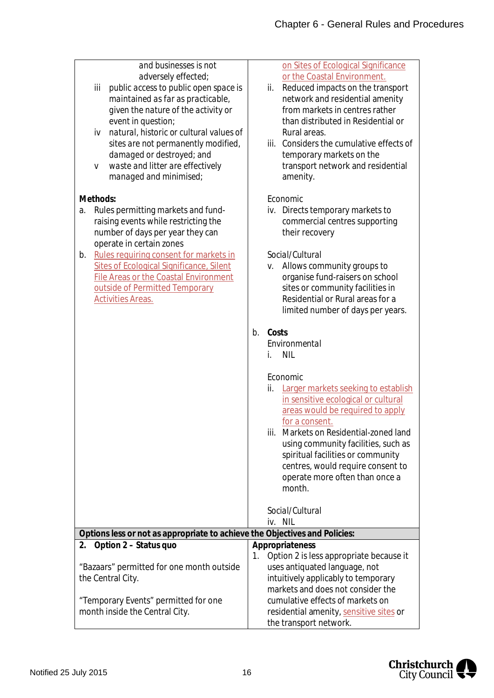| and businesses is not<br>adversely effected;<br>public access to public open space is<br>iii<br>maintained as far as practicable,<br>given the nature of the activity or<br>event in question;<br>natural, historic or cultural values of<br>iv<br>sites are not permanently modified,<br>damaged or destroyed; and<br>waste and litter are effectively<br>V<br>managed and minimised; | on Sites of Ecological Significance<br>or the Coastal Environment.<br>ii. Reduced impacts on the transport<br>network and residential amenity<br>from markets in centres rather<br>than distributed in Residential or<br>Rural areas.<br>iii. Considers the cumulative effects of<br>temporary markets on the<br>transport network and residential<br>amenity. |
|----------------------------------------------------------------------------------------------------------------------------------------------------------------------------------------------------------------------------------------------------------------------------------------------------------------------------------------------------------------------------------------|----------------------------------------------------------------------------------------------------------------------------------------------------------------------------------------------------------------------------------------------------------------------------------------------------------------------------------------------------------------|
| Methods:                                                                                                                                                                                                                                                                                                                                                                               | Economic                                                                                                                                                                                                                                                                                                                                                       |
| Rules permitting markets and fund-<br>a.<br>raising events while restricting the<br>number of days per year they can<br>operate in certain zones                                                                                                                                                                                                                                       | iv. Directs temporary markets to<br>commercial centres supporting<br>their recovery                                                                                                                                                                                                                                                                            |
| Rules requiring consent for markets in<br>b.                                                                                                                                                                                                                                                                                                                                           | Social/Cultural                                                                                                                                                                                                                                                                                                                                                |
| <b>Sites of Ecological Significance, Silent</b><br>File Areas or the Coastal Environment<br>outside of Permitted Temporary<br><b>Activities Areas.</b>                                                                                                                                                                                                                                 | v. Allows community groups to<br>organise fund-raisers on school<br>sites or community facilities in<br>Residential or Rural areas for a<br>limited number of days per years.                                                                                                                                                                                  |
|                                                                                                                                                                                                                                                                                                                                                                                        | Costs<br>b.                                                                                                                                                                                                                                                                                                                                                    |
|                                                                                                                                                                                                                                                                                                                                                                                        | Environmental                                                                                                                                                                                                                                                                                                                                                  |
|                                                                                                                                                                                                                                                                                                                                                                                        | <b>NIL</b><br>i.                                                                                                                                                                                                                                                                                                                                               |
|                                                                                                                                                                                                                                                                                                                                                                                        | Economic<br>Larger markets seeking to establish<br>ii.<br>in sensitive ecological or cultural<br>areas would be required to apply<br>for a consent.<br>iii. Markets on Residential-zoned land<br>using community facilities, such as<br>spiritual facilities or community<br>centres, would require consent to<br>operate more often than once a<br>month.     |
|                                                                                                                                                                                                                                                                                                                                                                                        | Social/Cultural                                                                                                                                                                                                                                                                                                                                                |
|                                                                                                                                                                                                                                                                                                                                                                                        | iv. NIL                                                                                                                                                                                                                                                                                                                                                        |
| Options less or not as appropriate to achieve the Objectives and Policies:                                                                                                                                                                                                                                                                                                             |                                                                                                                                                                                                                                                                                                                                                                |
| 2. Option 2 - Status quo                                                                                                                                                                                                                                                                                                                                                               | Appropriateness                                                                                                                                                                                                                                                                                                                                                |
| "Bazaars" permitted for one month outside                                                                                                                                                                                                                                                                                                                                              | Option 2 is less appropriate because it<br>1.<br>uses antiquated language, not                                                                                                                                                                                                                                                                                 |
| the Central City.                                                                                                                                                                                                                                                                                                                                                                      | intuitively applicably to temporary                                                                                                                                                                                                                                                                                                                            |
|                                                                                                                                                                                                                                                                                                                                                                                        | markets and does not consider the                                                                                                                                                                                                                                                                                                                              |
| "Temporary Events" permitted for one                                                                                                                                                                                                                                                                                                                                                   | cumulative effects of markets on                                                                                                                                                                                                                                                                                                                               |
| month inside the Central City.                                                                                                                                                                                                                                                                                                                                                         | residential amenity, sensitive sites or                                                                                                                                                                                                                                                                                                                        |
|                                                                                                                                                                                                                                                                                                                                                                                        | the transport network.                                                                                                                                                                                                                                                                                                                                         |

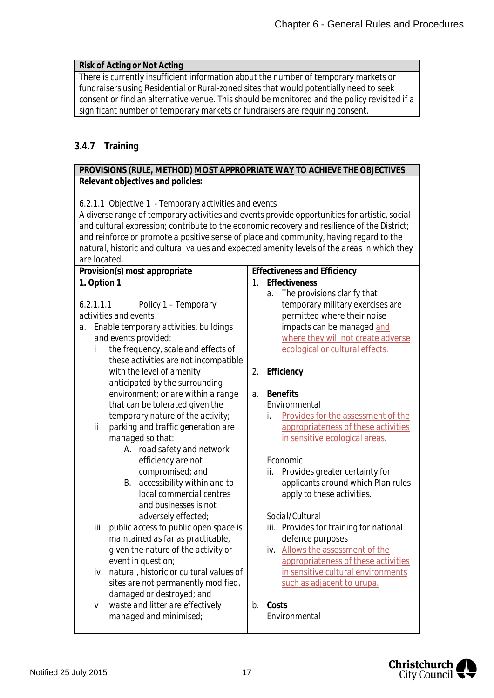## **Risk of Acting or Not Acting**

There is currently insufficient information about the number of temporary markets or fundraisers using Residential or Rural-zoned sites that would potentially need to seek consent or find an alternative venue. This should be monitored and the policy revisited if a significant number of temporary markets or fundraisers are requiring consent.

## **3.4.7 Training**

| PROVISIONS (RULE, METHOD) MOST APPROPRIATE WAY TO ACHIEVE THE OBJECTIVES                     |                                                                                               |  |
|----------------------------------------------------------------------------------------------|-----------------------------------------------------------------------------------------------|--|
| Relevant objectives and policies:                                                            |                                                                                               |  |
|                                                                                              |                                                                                               |  |
| 6.2.1.1 Objective 1 - Temporary activities and events                                        |                                                                                               |  |
|                                                                                              | A diverse range of temporary activities and events provide opportunities for artistic, social |  |
| and cultural expression; contribute to the economic recovery and resilience of the District; |                                                                                               |  |
| and reinforce or promote a positive sense of place and community, having regard to the       |                                                                                               |  |
|                                                                                              | natural, historic and cultural values and expected amenity levels of the areas in which they  |  |
| are located.                                                                                 |                                                                                               |  |
| Provision(s) most appropriate                                                                | <b>Effectiveness and Efficiency</b>                                                           |  |
| 1. Option 1                                                                                  | Effectiveness<br>1 <sub>1</sub>                                                               |  |
|                                                                                              | The provisions clarify that<br>a.                                                             |  |
| Policy 1 - Temporary<br>6.2.1.1.1                                                            | temporary military exercises are                                                              |  |
| activities and events                                                                        | permitted where their noise                                                                   |  |
| Enable temporary activities, buildings<br>а.                                                 | impacts can be managed and                                                                    |  |
| and events provided:                                                                         | where they will not create adverse                                                            |  |
| the frequency, scale and effects of<br>İ                                                     | ecological or cultural effects.                                                               |  |
| these activities are not incompatible                                                        |                                                                                               |  |
| with the level of amenity                                                                    | Efficiency<br>2.                                                                              |  |
| anticipated by the surrounding                                                               |                                                                                               |  |
| environment; or are within a range                                                           | <b>Benefits</b><br>$\partial$ .                                                               |  |
| that can be tolerated given the                                                              | Environmental                                                                                 |  |
| temporary nature of the activity;                                                            | Provides for the assessment of the<br>İ.                                                      |  |
| parking and traffic generation are<br>ii                                                     | appropriateness of these activities                                                           |  |
| managed so that:                                                                             | in sensitive ecological areas.                                                                |  |
| A. road safety and network                                                                   |                                                                                               |  |
| efficiency are not                                                                           | Economic                                                                                      |  |
| compromised; and                                                                             | Provides greater certainty for<br>ii.                                                         |  |
| accessibility within and to<br>В.                                                            | applicants around which Plan rules                                                            |  |
| local commercial centres                                                                     | apply to these activities.                                                                    |  |
| and businesses is not                                                                        |                                                                                               |  |
| adversely effected;                                                                          | Social/Cultural                                                                               |  |
| public access to public open space is<br>iii                                                 | iii. Provides for training for national                                                       |  |
| maintained as far as practicable,                                                            | defence purposes                                                                              |  |
| given the nature of the activity or                                                          | iv. Allows the assessment of the                                                              |  |
| event in question;                                                                           | appropriateness of these activities                                                           |  |
| natural, historic or cultural values of<br>iv                                                | in sensitive cultural environments                                                            |  |
| sites are not permanently modified,                                                          | such as adjacent to urupa.                                                                    |  |
| damaged or destroyed; and                                                                    |                                                                                               |  |
| waste and litter are effectively<br>V                                                        | Costs<br>$b$ .                                                                                |  |
| managed and minimised;                                                                       | Environmental                                                                                 |  |

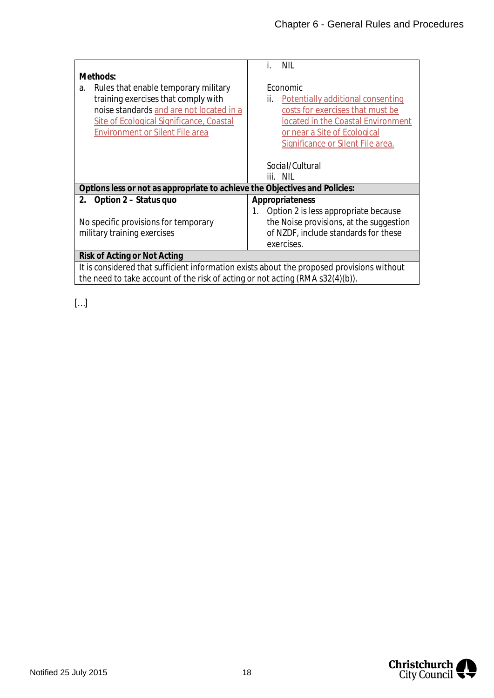|                                                                                           | NIL                                        |  |
|-------------------------------------------------------------------------------------------|--------------------------------------------|--|
| Methods:                                                                                  |                                            |  |
| Rules that enable temporary military<br>a.                                                | Economic                                   |  |
| training exercises that comply with                                                       | Potentially additional consenting<br>ii.   |  |
| noise standards and are not located in a                                                  | costs for exercises that must be           |  |
| <b>Site of Ecological Significance, Coastal</b>                                           | located in the Coastal Environment         |  |
| <b>Environment or Silent File area</b>                                                    | or near a Site of Ecological               |  |
|                                                                                           | Significance or Silent File area.          |  |
|                                                                                           |                                            |  |
|                                                                                           | Social/Cultural                            |  |
|                                                                                           | iii. NII                                   |  |
| Options less or not as appropriate to achieve the Objectives and Policies:                |                                            |  |
| Option 2 – Status quo<br>2.                                                               | Appropriateness                            |  |
|                                                                                           | Option 2 is less appropriate because<br>1. |  |
| No specific provisions for temporary                                                      | the Noise provisions, at the suggestion    |  |
| military training exercises                                                               | of NZDF, include standards for these       |  |
|                                                                                           | exercises.                                 |  |
| Risk of Acting or Not Acting                                                              |                                            |  |
| It is considered that sufficient information exists about the proposed provisions without |                                            |  |
| the need to take account of the risk of acting or not acting (RMA s32(4)(b)).             |                                            |  |

[…]

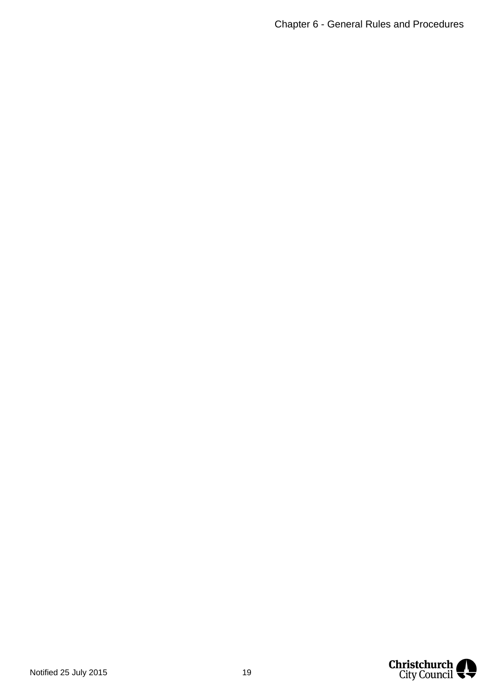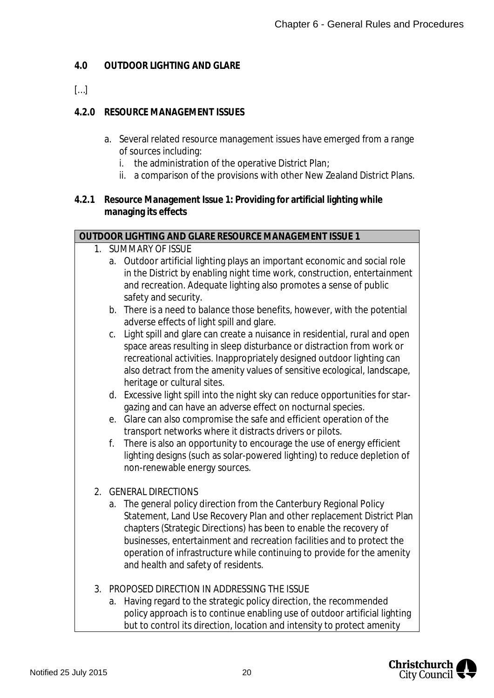## **4.0 OUTDOOR LIGHTING AND GLARE**

[…]

## **4.2.0 RESOURCE MANAGEMENT ISSUES**

- a. Several related resource management issues have emerged from a range of sources including:
	- i. the administration of the operative District Plan;
	- ii. a comparison of the provisions with other New Zealand District Plans.
- **4.2.1 Resource Management Issue 1: Providing for artificial lighting while managing its effects**

## **OUTDOOR LIGHTING AND GLARE RESOURCE MANAGEMENT ISSUE 1**

- 1. SUMMARY OF ISSUE
	- a. Outdoor artificial lighting plays an important economic and social role in the District by enabling night time work, construction, entertainment and recreation. Adequate lighting also promotes a sense of public safety and security.
	- b. There is a need to balance those benefits, however, with the potential adverse effects of light spill and glare.
	- c. Light spill and glare can create a nuisance in residential, rural and open space areas resulting in sleep disturbance or distraction from work or recreational activities. Inappropriately designed outdoor lighting can also detract from the amenity values of sensitive ecological, landscape, heritage or cultural sites.
	- d. Excessive light spill into the night sky can reduce opportunities for stargazing and can have an adverse effect on nocturnal species.
	- e. Glare can also compromise the safe and efficient operation of the transport networks where it distracts drivers or pilots.
	- f. There is also an opportunity to encourage the use of energy efficient lighting designs (such as solar-powered lighting) to reduce depletion of non-renewable energy sources.
	- 2. GENERAL DIRECTIONS
		- a. The general policy direction from the Canterbury Regional Policy Statement, Land Use Recovery Plan and other replacement District Plan chapters (Strategic Directions) has been to enable the recovery of businesses, entertainment and recreation facilities and to protect the operation of infrastructure while continuing to provide for the amenity and health and safety of residents.
	- 3. PROPOSED DIRECTION IN ADDRESSING THE ISSUE
		- a. Having regard to the strategic policy direction, the recommended policy approach is to continue enabling use of outdoor artificial lighting but to control its direction, location and intensity to protect amenity

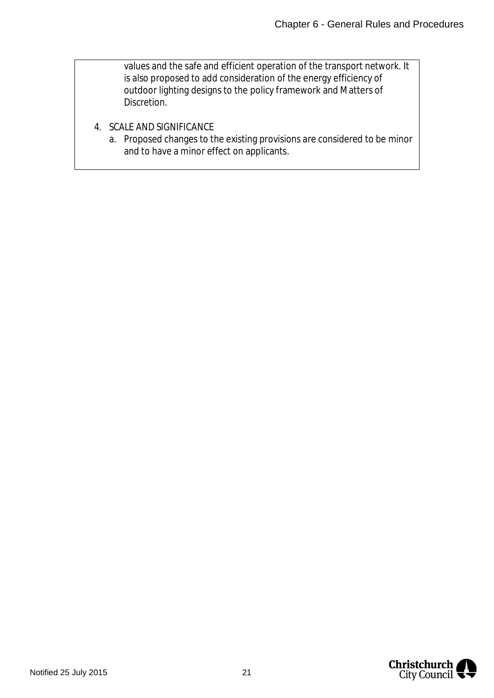values and the safe and efficient operation of the transport network. It is also proposed to add consideration of the energy efficiency of outdoor lighting designs to the policy framework and Matters of Discretion.

- 4. SCALE AND SIGNIFICANCE
	- a. Proposed changes to the existing provisions are considered to be minor and to have a minor effect on applicants.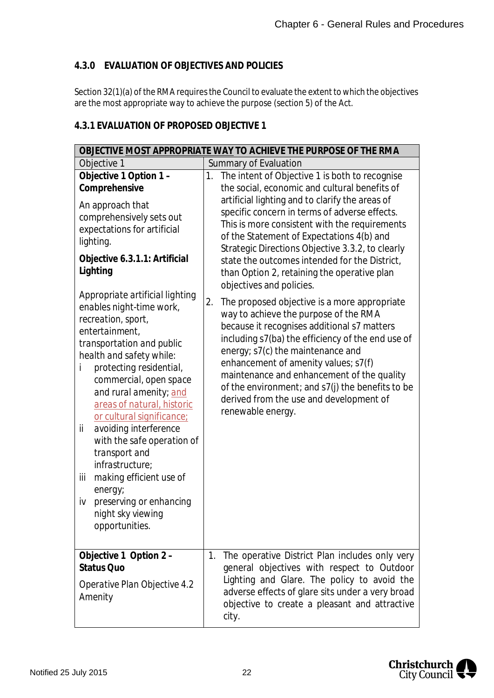## **4.3.0 EVALUATION OF OBJECTIVES AND POLICIES**

Section 32(1)(a) of the RMA requires the Council to evaluate the extent to which the objectives are the most appropriate way to achieve the purpose (section 5) of the Act.

## **4.3.1 EVALUATION OF PROPOSED OBJECTIVE 1**

| OBJECTIVE MOST APPROPRIATE WAY TO ACHIEVE THE PURPOSE OF THE RMA                                                                                                                                                                                                                                                                                                                                                                                                                                                                                                                                                                                                                                                      |                                                                                                                                                                                                                                                                                                                                                                                                                                                                                                                                                                                                                                                                                                                                                                                                                                                                                                                                             |  |  |
|-----------------------------------------------------------------------------------------------------------------------------------------------------------------------------------------------------------------------------------------------------------------------------------------------------------------------------------------------------------------------------------------------------------------------------------------------------------------------------------------------------------------------------------------------------------------------------------------------------------------------------------------------------------------------------------------------------------------------|---------------------------------------------------------------------------------------------------------------------------------------------------------------------------------------------------------------------------------------------------------------------------------------------------------------------------------------------------------------------------------------------------------------------------------------------------------------------------------------------------------------------------------------------------------------------------------------------------------------------------------------------------------------------------------------------------------------------------------------------------------------------------------------------------------------------------------------------------------------------------------------------------------------------------------------------|--|--|
| Objective 1                                                                                                                                                                                                                                                                                                                                                                                                                                                                                                                                                                                                                                                                                                           | Summary of Evaluation                                                                                                                                                                                                                                                                                                                                                                                                                                                                                                                                                                                                                                                                                                                                                                                                                                                                                                                       |  |  |
| Objective 1 Option 1 -<br>Comprehensive<br>An approach that<br>comprehensively sets out<br>expectations for artificial<br>lighting.<br>Objective 6.3.1.1: Artificial<br>Lighting<br>Appropriate artificial lighting<br>enables night-time work,<br>recreation, sport,<br>entertainment,<br>transportation and public<br>health and safety while:<br>protecting residential,<br>Ť<br>commercial, open space<br>and rural amenity; and<br>areas of natural, historic<br>or cultural significance;<br>avoiding interference<br>İΪ<br>with the safe operation of<br>transport and<br>infrastructure;<br>making efficient use of<br>iii<br>energy;<br>preserving or enhancing<br>iv<br>night sky viewing<br>opportunities. | The intent of Objective 1 is both to recognise<br>1.<br>the social, economic and cultural benefits of<br>artificial lighting and to clarify the areas of<br>specific concern in terms of adverse effects.<br>This is more consistent with the requirements<br>of the Statement of Expectations 4(b) and<br>Strategic Directions Objective 3.3.2, to clearly<br>state the outcomes intended for the District,<br>than Option 2, retaining the operative plan<br>objectives and policies.<br>The proposed objective is a more appropriate<br>2.<br>way to achieve the purpose of the RMA<br>because it recognises additional s7 matters<br>including s7(ba) the efficiency of the end use of<br>energy; s7(c) the maintenance and<br>enhancement of amenity values; s7(f)<br>maintenance and enhancement of the quality<br>of the environment; and $s7(j)$ the benefits to be<br>derived from the use and development of<br>renewable energy. |  |  |
| Objective 1 Option 2 -<br><b>Status Quo</b><br>Operative Plan Objective 4.2<br>Amenity                                                                                                                                                                                                                                                                                                                                                                                                                                                                                                                                                                                                                                | The operative District Plan includes only very<br>1.<br>general objectives with respect to Outdoor<br>Lighting and Glare. The policy to avoid the<br>adverse effects of glare sits under a very broad<br>objective to create a pleasant and attractive<br>city.                                                                                                                                                                                                                                                                                                                                                                                                                                                                                                                                                                                                                                                                             |  |  |

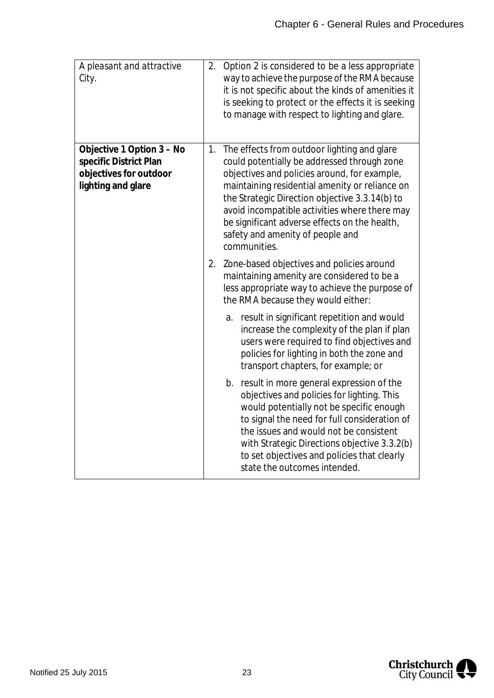| A pleasant and attractive<br>City.                                                                  | 2. | Option 2 is considered to be a less appropriate<br>way to achieve the purpose of the RMA because<br>it is not specific about the kinds of amenities it<br>is seeking to protect or the effects it is seeking<br>to manage with respect to lighting and glare.                                                                                                                                        |
|-----------------------------------------------------------------------------------------------------|----|------------------------------------------------------------------------------------------------------------------------------------------------------------------------------------------------------------------------------------------------------------------------------------------------------------------------------------------------------------------------------------------------------|
| Objective 1 Option 3 - No<br>specific District Plan<br>objectives for outdoor<br>lighting and glare | 1. | The effects from outdoor lighting and glare<br>could potentially be addressed through zone<br>objectives and policies around, for example,<br>maintaining residential amenity or reliance on<br>the Strategic Direction objective 3.3.14(b) to<br>avoid incompatible activities where there may<br>be significant adverse effects on the health,<br>safety and amenity of people and<br>communities. |
|                                                                                                     | 2. | Zone-based objectives and policies around<br>maintaining amenity are considered to be a<br>less appropriate way to achieve the purpose of<br>the RMA because they would either:                                                                                                                                                                                                                      |
|                                                                                                     |    | a. result in significant repetition and would<br>increase the complexity of the plan if plan<br>users were required to find objectives and<br>policies for lighting in both the zone and<br>transport chapters, for example; or                                                                                                                                                                      |
|                                                                                                     |    | b. result in more general expression of the<br>objectives and policies for lighting. This<br>would potentially not be specific enough<br>to signal the need for full consideration of<br>the issues and would not be consistent<br>with Strategic Directions objective 3.3.2(b)<br>to set objectives and policies that clearly<br>state the outcomes intended.                                       |

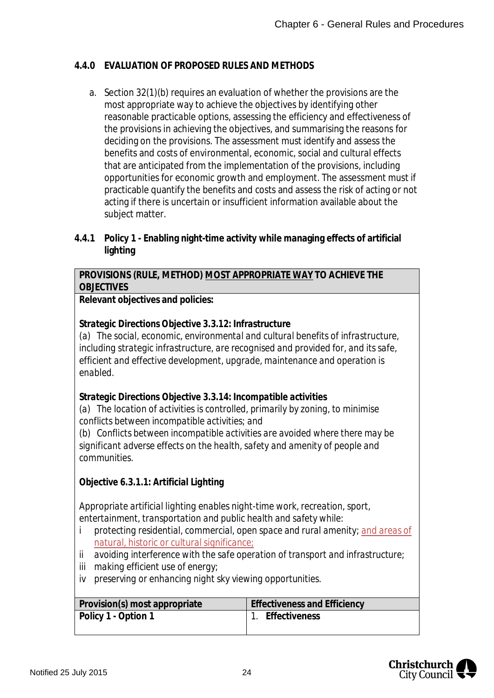## **4.4.0 EVALUATION OF PROPOSED RULES AND METHODS**

- a. Section 32(1)(b) requires an evaluation of whether the provisions are the most appropriate way to achieve the objectives by identifying other reasonable practicable options, assessing the efficiency and effectiveness of the provisions in achieving the objectives, and summarising the reasons for deciding on the provisions. The assessment must identify and assess the benefits and costs of environmental, economic, social and cultural effects that are anticipated from the implementation of the provisions, including opportunities for economic growth and employment. The assessment must if practicable quantify the benefits and costs and assess the risk of acting or not acting if there is uncertain or insufficient information available about the subject matter.
- **4.4.1 Policy 1 Enabling night-time activity while managing effects of artificial lighting**

## **PROVISIONS (RULE, METHOD) MOST APPROPRIATE WAY TO ACHIEVE THE OBJECTIVES**

**Relevant objectives and policies:**

*Strategic Directions Objective 3.3.12: Infrastructure*

*(a) The social, economic, environmental and cultural benefits of infrastructure, including strategic infrastructure, are recognised and provided for, and its safe, efficient and effective development, upgrade, maintenance and operation is enabled.*

*Strategic Directions Objective 3.3.14: Incompatible activities*

*(a) The location of activities is controlled, primarily by zoning, to minimise conflicts between incompatible activities; and*

*(b) Conflicts between incompatible activities are avoided where there may be significant adverse effects on the health, safety and amenity of people and communities.*

*Objective 6.3.1.1: Artificial Lighting*

*Appropriate artificial lighting enables night-time work, recreation, sport, entertainment, transportation and public health and safety while:*

- *i protecting residential, commercial, open space and rural amenity; and areas of natural, historic or cultural significance;*
- *ii avoiding interference with the safe operation of transport and infrastructure;*
- *iii making efficient use of energy;*
- *iv preserving or enhancing night sky viewing opportunities.*

| Provision(s) most appropriate | <b>Effectiveness and Efficiency</b> |
|-------------------------------|-------------------------------------|
| Policy 1 - Option 1           | 1. Effectiveness                    |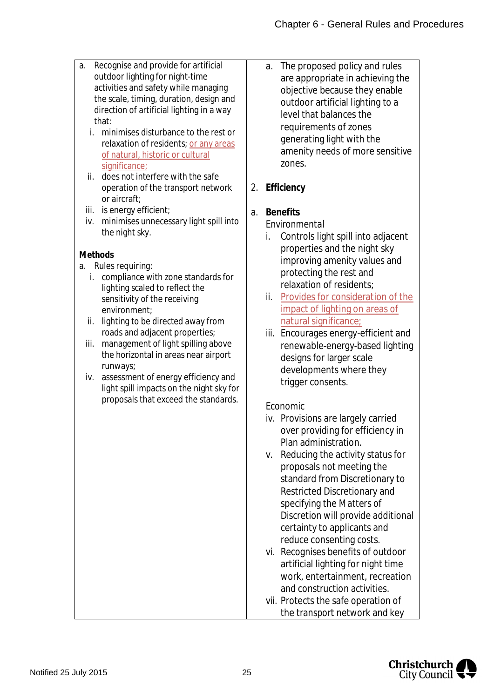- a. Recognise and provide for artificial outdoor lighting for night-time activities and safety while managing the scale, timing, duration, design and direction of artificial lighting in a way that:
	- i. minimises disturbance to the rest or relaxation of residents; or any areas of natural, historic or cultural significance;
	- ii. does not interfere with the safe operation of the transport network or aircraft;
	- iii. is energy efficient;
	- iv. minimises unnecessary light spill into the night sky.

### **Methods**

- a. Rules requiring:
	- i. compliance with zone standards for lighting scaled to reflect the sensitivity of the receiving environment;
	- ii. lighting to be directed away from roads and adjacent properties;
	- iii. management of light spilling above the horizontal in areas near airport runways;
	- iv. assessment of energy efficiency and light spill impacts on the night sky for proposals that exceed the standards.
- a. The proposed policy and rules are appropriate in achieving the objective because they enable outdoor artificial lighting to a level that balances the requirements of zones generating light with the amenity needs of more sensitive zones.
- 2. **Efficiency**
- a. **Benefits** *Environmental*
	- i. Controls light spill into adjacent properties and the night sky improving amenity values and protecting the rest and relaxation of residents;
	- ii. Provides for consideration of the impact of lighting on areas of natural significance;
	- iii. Encourages energy-efficient and renewable-energy-based lighting designs for larger scale developments where they trigger consents.

## *Economic*

- iv. Provisions are largely carried over providing for efficiency in Plan administration.
- v. Reducing the activity status for proposals not meeting the standard from Discretionary to Restricted Discretionary and specifying the Matters of Discretion will provide additional certainty to applicants and reduce consenting costs.
- vi. Recognises benefits of outdoor artificial lighting for night time work, entertainment, recreation and construction activities.
- vii. Protects the safe operation of the transport network and key

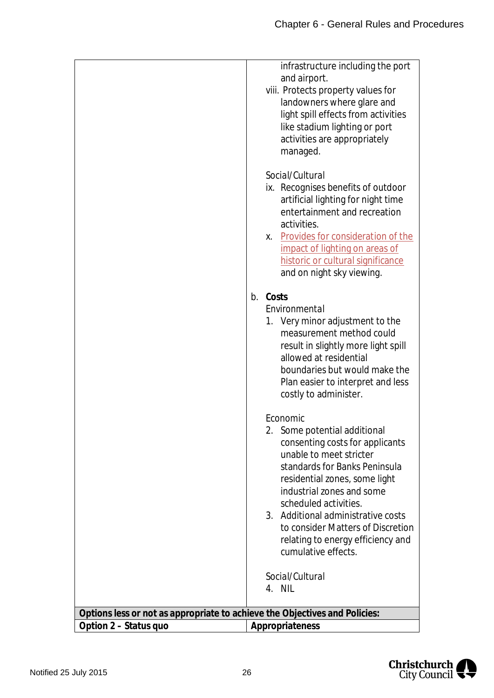|                                                                            |             | infrastructure including the port<br>and airport.                        |
|----------------------------------------------------------------------------|-------------|--------------------------------------------------------------------------|
|                                                                            |             | viii. Protects property values for<br>landowners where glare and         |
|                                                                            |             | light spill effects from activities                                      |
|                                                                            |             | like stadium lighting or port                                            |
|                                                                            |             | activities are appropriately<br>managed.                                 |
|                                                                            |             |                                                                          |
|                                                                            |             | Social/Cultural                                                          |
|                                                                            |             | ix. Recognises benefits of outdoor<br>artificial lighting for night time |
|                                                                            |             | entertainment and recreation<br>activities.                              |
|                                                                            |             | Provides for consideration of the<br>Х.                                  |
|                                                                            |             | impact of lighting on areas of                                           |
|                                                                            |             | historic or cultural significance<br>and on night sky viewing.           |
|                                                                            |             |                                                                          |
|                                                                            | $b_{\cdot}$ | Costs<br>Environmental                                                   |
|                                                                            |             | 1. Very minor adjustment to the                                          |
|                                                                            |             | measurement method could                                                 |
|                                                                            |             | result in slightly more light spill<br>allowed at residential            |
|                                                                            |             | boundaries but would make the                                            |
|                                                                            |             | Plan easier to interpret and less                                        |
|                                                                            |             | costly to administer.                                                    |
|                                                                            |             | Economic                                                                 |
|                                                                            |             | 2. Some potential additional                                             |
|                                                                            |             | consenting costs for applicants<br>unable to meet stricter               |
|                                                                            |             | standards for Banks Peninsula                                            |
|                                                                            |             | residential zones, some light                                            |
|                                                                            |             | industrial zones and some<br>scheduled activities.                       |
|                                                                            |             | 3. Additional administrative costs                                       |
|                                                                            |             | to consider Matters of Discretion                                        |
|                                                                            |             | relating to energy efficiency and                                        |
|                                                                            |             | cumulative effects.                                                      |
|                                                                            |             | Social/Cultural                                                          |
|                                                                            |             | 4. NIL                                                                   |
| Options less or not as appropriate to achieve the Objectives and Policies: |             |                                                                          |
| Option 2 - Status quo                                                      |             | Appropriateness                                                          |

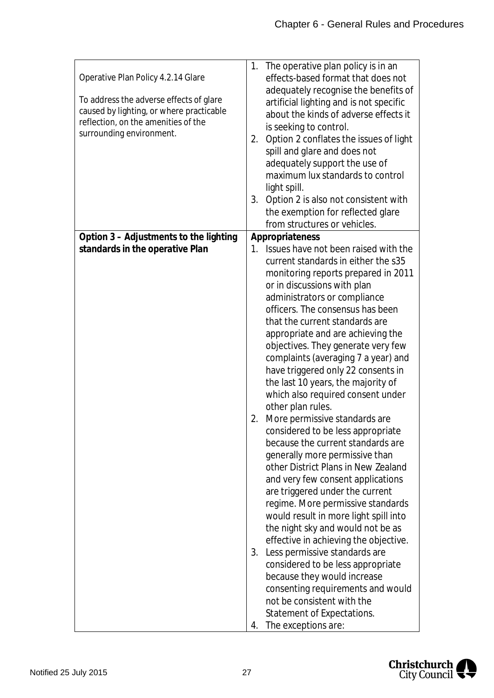|                                          | 1. The operative plan policy is in an           |
|------------------------------------------|-------------------------------------------------|
| Operative Plan Policy 4.2.14 Glare       | effects-based format that does not              |
|                                          | adequately recognise the benefits of            |
| To address the adverse effects of glare  | artificial lighting and is not specific         |
| caused by lighting, or where practicable | about the kinds of adverse effects it           |
| reflection, on the amenities of the      | is seeking to control.                          |
| surrounding environment.                 | Option 2 conflates the issues of light<br>2.    |
|                                          | spill and glare and does not                    |
|                                          | adequately support the use of                   |
|                                          | maximum lux standards to control                |
|                                          | light spill.                                    |
|                                          | Option 2 is also not consistent with<br>3.      |
|                                          |                                                 |
|                                          | the exemption for reflected glare               |
|                                          | from structures or vehicles.                    |
| Option 3 - Adjustments to the lighting   | Appropriateness                                 |
| standards in the operative Plan          | Issues have not been raised with the<br>$1_{-}$ |
|                                          | current standards in either the s35             |
|                                          | monitoring reports prepared in 2011             |
|                                          | or in discussions with plan                     |
|                                          | administrators or compliance                    |
|                                          | officers. The consensus has been                |
|                                          | that the current standards are                  |
|                                          | appropriate and are achieving the               |
|                                          | objectives. They generate very few              |
|                                          | complaints (averaging 7 a year) and             |
|                                          | have triggered only 22 consents in              |
|                                          | the last 10 years, the majority of              |
|                                          | which also required consent under               |
|                                          | other plan rules.                               |
|                                          | More permissive standards are<br>2.             |
|                                          | considered to be less appropriate               |
|                                          | because the current standards are               |
|                                          | generally more permissive than                  |
|                                          | other District Plans in New Zealand             |
|                                          | and very few consent applications               |
|                                          | are triggered under the current                 |
|                                          | regime. More permissive standards               |
|                                          | would result in more light spill into           |
|                                          | the night sky and would not be as               |
|                                          | effective in achieving the objective.           |
|                                          | Less permissive standards are<br>3.             |
|                                          |                                                 |
|                                          | considered to be less appropriate               |
|                                          | because they would increase                     |
|                                          | consenting requirements and would               |
|                                          | not be consistent with the                      |
|                                          | <b>Statement of Expectations.</b>               |
|                                          | The exceptions are:<br>4.                       |

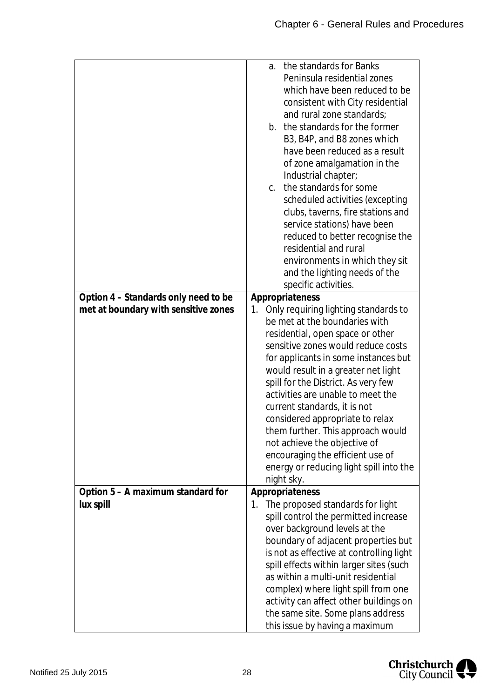|                                      | the standards for Banks<br>a.              |
|--------------------------------------|--------------------------------------------|
|                                      | Peninsula residential zones                |
|                                      | which have been reduced to be              |
|                                      | consistent with City residential           |
|                                      | and rural zone standards;                  |
|                                      | b. the standards for the former            |
|                                      | B3, B4P, and B8 zones which                |
|                                      | have been reduced as a result              |
|                                      | of zone amalgamation in the                |
|                                      | Industrial chapter;                        |
|                                      | the standards for some<br>C.               |
|                                      | scheduled activities (excepting            |
|                                      | clubs, taverns, fire stations and          |
|                                      |                                            |
|                                      | service stations) have been                |
|                                      | reduced to better recognise the            |
|                                      | residential and rural                      |
|                                      | environments in which they sit             |
|                                      | and the lighting needs of the              |
|                                      | specific activities.                       |
| Option 4 - Standards only need to be | Appropriateness                            |
| met at boundary with sensitive zones | Only requiring lighting standards to<br>1. |
|                                      | be met at the boundaries with              |
|                                      | residential, open space or other           |
|                                      | sensitive zones would reduce costs         |
|                                      | for applicants in some instances but       |
|                                      | would result in a greater net light        |
|                                      | spill for the District. As very few        |
|                                      | activities are unable to meet the          |
|                                      | current standards, it is not               |
|                                      | considered appropriate to relax            |
|                                      | them further. This approach would          |
|                                      | not achieve the objective of               |
|                                      | encouraging the efficient use of           |
|                                      | energy or reducing light spill into the    |
|                                      | night sky.                                 |
| Option 5 - A maximum standard for    | Appropriateness                            |
| lux spill                            | The proposed standards for light<br>1.     |
|                                      | spill control the permitted increase       |
|                                      | over background levels at the              |
|                                      | boundary of adjacent properties but        |
|                                      | is not as effective at controlling light   |
|                                      | spill effects within larger sites (such    |
|                                      | as within a multi-unit residential         |
|                                      | complex) where light spill from one        |
|                                      |                                            |
|                                      | activity can affect other buildings on     |
|                                      | the same site. Some plans address          |
|                                      | this issue by having a maximum             |

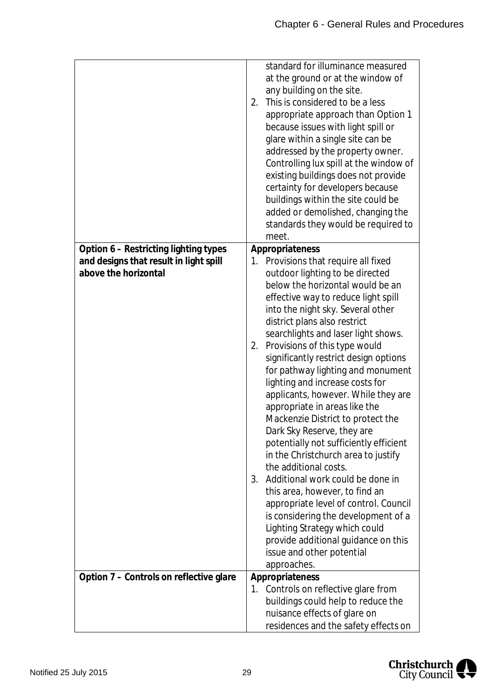|                                         | standard for illuminance measured<br>at the ground or at the window of<br>any building on the site.<br>This is considered to be a less<br>2.<br>appropriate approach than Option 1<br>because issues with light spill or<br>glare within a single site can be<br>addressed by the property owner.<br>Controlling lux spill at the window of<br>existing buildings does not provide<br>certainty for developers because<br>buildings within the site could be<br>added or demolished, changing the<br>standards they would be required to<br>meet.                                                                                |
|-----------------------------------------|----------------------------------------------------------------------------------------------------------------------------------------------------------------------------------------------------------------------------------------------------------------------------------------------------------------------------------------------------------------------------------------------------------------------------------------------------------------------------------------------------------------------------------------------------------------------------------------------------------------------------------|
| Option 6 - Restricting lighting types   | Appropriateness                                                                                                                                                                                                                                                                                                                                                                                                                                                                                                                                                                                                                  |
| and designs that result in light spill  | Provisions that require all fixed<br>$1_{\cdot}$                                                                                                                                                                                                                                                                                                                                                                                                                                                                                                                                                                                 |
| above the horizontal                    | outdoor lighting to be directed<br>below the horizontal would be an<br>effective way to reduce light spill<br>into the night sky. Several other<br>district plans also restrict<br>searchlights and laser light shows.<br>2. Provisions of this type would<br>significantly restrict design options<br>for pathway lighting and monument<br>lighting and increase costs for<br>applicants, however. While they are<br>appropriate in areas like the<br>Mackenzie District to protect the<br>Dark Sky Reserve, they are<br>potentially not sufficiently efficient<br>in the Christchurch area to justify<br>the additional costs. |
|                                         | Additional work could be done in<br>$3_{-}$<br>this area, however, to find an<br>appropriate level of control. Council<br>is considering the development of a<br>Lighting Strategy which could<br>provide additional guidance on this<br>issue and other potential<br>approaches.                                                                                                                                                                                                                                                                                                                                                |
| Option 7 - Controls on reflective glare | Appropriateness                                                                                                                                                                                                                                                                                                                                                                                                                                                                                                                                                                                                                  |
|                                         | 1. Controls on reflective glare from<br>buildings could help to reduce the<br>nuisance effects of glare on<br>residences and the safety effects on                                                                                                                                                                                                                                                                                                                                                                                                                                                                               |

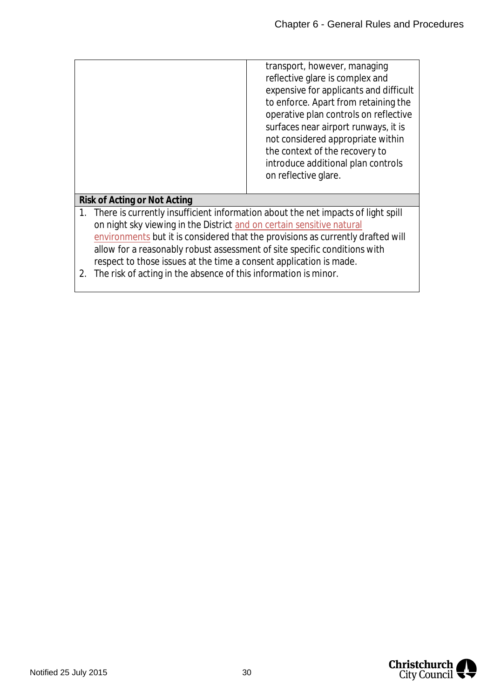|                                                                                  | transport, however, managing<br>reflective glare is complex and<br>expensive for applicants and difficult<br>to enforce. Apart from retaining the<br>operative plan controls on reflective<br>surfaces near airport runways, it is<br>not considered appropriate within<br>the context of the recovery to<br>introduce additional plan controls<br>on reflective glare. |  |
|----------------------------------------------------------------------------------|-------------------------------------------------------------------------------------------------------------------------------------------------------------------------------------------------------------------------------------------------------------------------------------------------------------------------------------------------------------------------|--|
| Risk of Acting or Not Acting                                                     |                                                                                                                                                                                                                                                                                                                                                                         |  |
| There is currently insufficient information about the net impacts of light spill |                                                                                                                                                                                                                                                                                                                                                                         |  |
| on night sky viewing in the District and on certain sensitive natural            |                                                                                                                                                                                                                                                                                                                                                                         |  |
|                                                                                  | environments but it is considered that the provisions as currently drafted will                                                                                                                                                                                                                                                                                         |  |

respect to those issues at the time a consent application is made.

allow for a reasonably robust assessment of site specific conditions with

2. The risk of acting in the absence of this information is minor.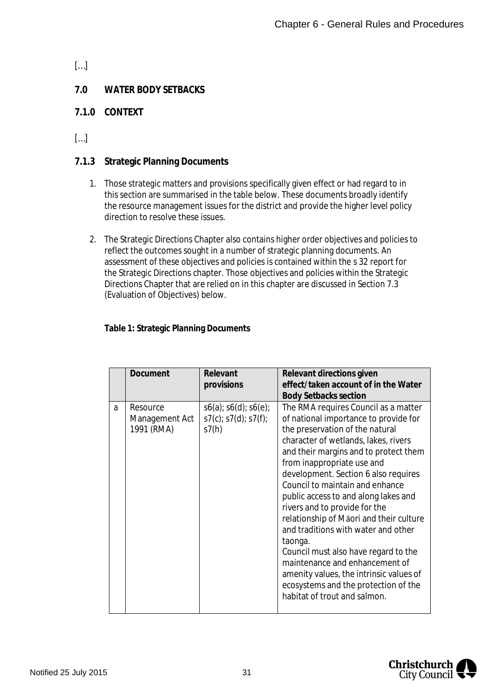- […]
- **7.0 WATER BODY SETBACKS**
- **7.1.0 CONTEXT**
- […]
- **7.1.3 Strategic Planning Documents**
	- 1. Those strategic matters and provisions specifically given effect or had regard to in this section are summarised in the table below. These documents broadly identify the resource management issues for the district and provide the higher level policy direction to resolve these issues.
	- 2. The Strategic Directions Chapter also contains higher order objectives and policies to reflect the outcomes sought in a number of strategic planning documents. An assessment of these objectives and policies is contained within the s 32 report for the Strategic Directions chapter. Those objectives and policies within the Strategic Directions Chapter that are relied on in this chapter are discussed in Section 7.3 (Evaluation of Objectives) below.

|   | Document                                 | Relevant<br>provisions                                                  | Relevant directions given<br>effect/taken account of in the Water<br><b>Body Setbacks section</b>                                                                                                                                                                                                                                                                                                                                                                                                                                                                                                                                                                             |
|---|------------------------------------------|-------------------------------------------------------------------------|-------------------------------------------------------------------------------------------------------------------------------------------------------------------------------------------------------------------------------------------------------------------------------------------------------------------------------------------------------------------------------------------------------------------------------------------------------------------------------------------------------------------------------------------------------------------------------------------------------------------------------------------------------------------------------|
| a | Resource<br>Management Act<br>1991 (RMA) | $s6(a)$ ; $s6(d)$ ; $s6(e)$ ;<br>$s7(c)$ ; $s7(d)$ ; $s7(f)$ ;<br>s7(h) | The RMA requires Council as a matter<br>of national importance to provide for<br>the preservation of the natural<br>character of wetlands, lakes, rivers<br>and their margins and to protect them<br>from inappropriate use and<br>development. Section 6 also requires<br>Council to maintain and enhance<br>public access to and along lakes and<br>rivers and to provide for the<br>relationship of Maori and their culture<br>and traditions with water and other<br>taonga.<br>Council must also have regard to the<br>maintenance and enhancement of<br>amenity values, the intrinsic values of<br>ecosystems and the protection of the<br>habitat of trout and salmon. |

**Table 1: Strategic Planning Documents**

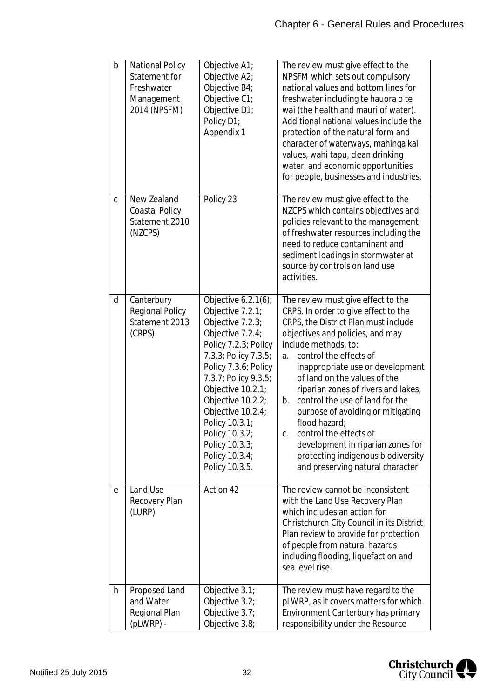| b | <b>National Policy</b><br>Statement for<br>Freshwater<br>Management<br>2014 (NPSFM) | Objective A1;<br>Objective A2;<br>Objective B4;<br>Objective C1;<br>Objective D1;<br>Policy D1;<br>Appendix 1                                                                                                                                                                                                                            | The review must give effect to the<br>NPSFM which sets out compulsory<br>national values and bottom lines for<br>freshwater including te hauora o te<br>wai (the health and mauri of water).<br>Additional national values include the<br>protection of the natural form and<br>character of waterways, mahinga kai<br>values, wahi tapu, clean drinking<br>water, and economic opportunities<br>for people, businesses and industries.                                                                                                                                          |
|---|-------------------------------------------------------------------------------------|------------------------------------------------------------------------------------------------------------------------------------------------------------------------------------------------------------------------------------------------------------------------------------------------------------------------------------------|----------------------------------------------------------------------------------------------------------------------------------------------------------------------------------------------------------------------------------------------------------------------------------------------------------------------------------------------------------------------------------------------------------------------------------------------------------------------------------------------------------------------------------------------------------------------------------|
| C | New Zealand<br><b>Coastal Policy</b><br>Statement 2010<br>(NZCPS)                   | Policy 23                                                                                                                                                                                                                                                                                                                                | The review must give effect to the<br>NZCPS which contains objectives and<br>policies relevant to the management<br>of freshwater resources including the<br>need to reduce contaminant and<br>sediment loadings in stormwater at<br>source by controls on land use<br>activities.                                                                                                                                                                                                                                                                                               |
| d | Canterbury<br><b>Regional Policy</b><br>Statement 2013<br>(CRPS)                    | Objective 6.2.1(6);<br>Objective 7.2.1;<br>Objective 7.2.3;<br>Objective 7.2.4;<br>Policy 7.2.3; Policy<br>7.3.3; Policy 7.3.5;<br>Policy 7.3.6; Policy<br>7.3.7; Policy 9.3.5;<br>Objective 10.2.1;<br>Objective 10.2.2;<br>Objective 10.2.4;<br>Policy 10.3.1;<br>Policy 10.3.2;<br>Policy 10.3.3;<br>Policy 10.3.4;<br>Policy 10.3.5. | The review must give effect to the<br>CRPS. In order to give effect to the<br>CRPS, the District Plan must include<br>objectives and policies, and may<br>include methods, to:<br>control the effects of<br>a.<br>inappropriate use or development<br>of land on the values of the<br>riparian zones of rivers and lakes;<br>control the use of land for the<br>b.<br>purpose of avoiding or mitigating<br>flood hazard;<br>control the effects of<br>$C_{\cdot}$<br>development in riparian zones for<br>protecting indigenous biodiversity<br>and preserving natural character |
| e | Land Use<br>Recovery Plan<br>(LURP)                                                 | Action 42                                                                                                                                                                                                                                                                                                                                | The review cannot be inconsistent<br>with the Land Use Recovery Plan<br>which includes an action for<br>Christchurch City Council in its District<br>Plan review to provide for protection<br>of people from natural hazards<br>including flooding, liquefaction and<br>sea level rise.                                                                                                                                                                                                                                                                                          |
| h | Proposed Land<br>and Water<br>Regional Plan<br>(pLWRP) -                            | Objective 3.1;<br>Objective 3.2;<br>Objective 3.7;<br>Objective 3.8;                                                                                                                                                                                                                                                                     | The review must have regard to the<br>pLWRP, as it covers matters for which<br>Environment Canterbury has primary<br>responsibility under the Resource                                                                                                                                                                                                                                                                                                                                                                                                                           |

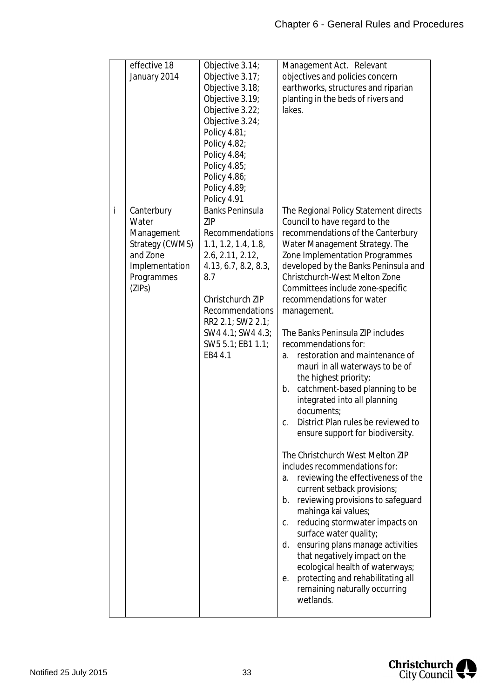|   | effective 18<br>January 2014                                                                               | Objective 3.14;<br>Objective 3.17;<br>Objective 3.18;<br>Objective 3.19;<br>Objective 3.22;<br>Objective 3.24;<br>Policy 4.81;<br>Policy 4.82;<br>Policy 4.84;<br>Policy 4.85;<br>Policy 4.86;<br>Policy 4.89;<br>Policy 4.91                      | Management Act. Relevant<br>objectives and policies concern<br>earthworks, structures and riparian<br>planting in the beds of rivers and<br>lakes.                                                                                                                                                                                                                                                                                                                                                                                                                                                                                                                                                                                                                                                                                                                                                                                                                                                                                                                                                                                                                        |
|---|------------------------------------------------------------------------------------------------------------|----------------------------------------------------------------------------------------------------------------------------------------------------------------------------------------------------------------------------------------------------|---------------------------------------------------------------------------------------------------------------------------------------------------------------------------------------------------------------------------------------------------------------------------------------------------------------------------------------------------------------------------------------------------------------------------------------------------------------------------------------------------------------------------------------------------------------------------------------------------------------------------------------------------------------------------------------------------------------------------------------------------------------------------------------------------------------------------------------------------------------------------------------------------------------------------------------------------------------------------------------------------------------------------------------------------------------------------------------------------------------------------------------------------------------------------|
| İ | Canterbury<br>Water<br>Management<br>Strategy (CWMS)<br>and Zone<br>Implementation<br>Programmes<br>(ZIPs) | <b>Banks Peninsula</b><br><b>ZIP</b><br>Recommendations<br>1.1, 1.2, 1.4, 1.8,<br>2.6, 2.11, 2.12,<br>4.13, 6.7, 8.2, 8.3,<br>8.7<br>Christchurch ZIP<br>Recommendations<br>RR2 2.1; SW2 2.1;<br>SW4 4.1; SW4 4.3;<br>SW5 5.1; EB1 1.1;<br>EB4 4.1 | The Regional Policy Statement directs<br>Council to have regard to the<br>recommendations of the Canterbury<br>Water Management Strategy. The<br>Zone Implementation Programmes<br>developed by the Banks Peninsula and<br>Christchurch-West Melton Zone<br>Committees include zone-specific<br>recommendations for water<br>management.<br>The Banks Peninsula ZIP includes<br>recommendations for:<br>restoration and maintenance of<br>a.<br>mauri in all waterways to be of<br>the highest priority;<br>catchment-based planning to be<br>b.<br>integrated into all planning<br>documents;<br>District Plan rules be reviewed to<br>C.<br>ensure support for biodiversity.<br>The Christchurch West Melton ZIP<br>includes recommendations for:<br>reviewing the effectiveness of the<br>a.<br>current setback provisions;<br>reviewing provisions to safeguard<br>b.<br>mahinga kai values;<br>reducing stormwater impacts on<br>C.<br>surface water quality;<br>ensuring plans manage activities<br>d.<br>that negatively impact on the<br>ecological health of waterways;<br>protecting and rehabilitating all<br>е.<br>remaining naturally occurring<br>wetlands. |

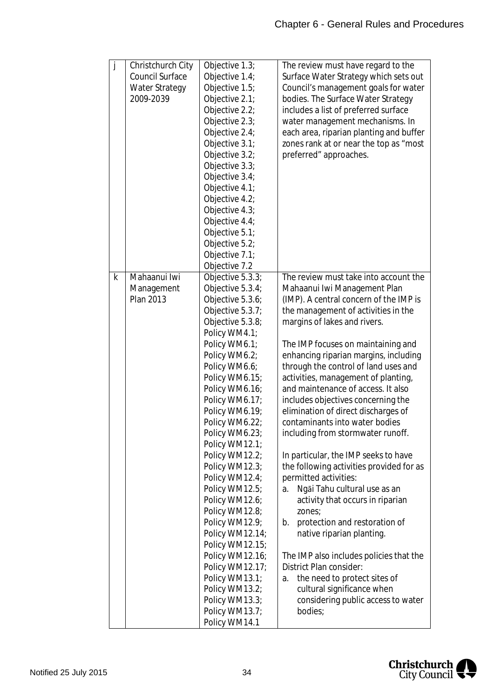| j | Christchurch City     | Objective 1.3;                    | The review must have regard to the                                               |
|---|-----------------------|-----------------------------------|----------------------------------------------------------------------------------|
|   | Council Surface       | Objective 1.4;                    | Surface Water Strategy which sets out                                            |
|   | <b>Water Strategy</b> | Objective 1.5;                    | Council's management goals for water                                             |
|   | 2009-2039             | Objective 2.1;                    | bodies. The Surface Water Strategy                                               |
|   |                       | Objective 2.2;                    | includes a list of preferred surface                                             |
|   |                       | Objective 2.3;                    | water management mechanisms. In                                                  |
|   |                       | Objective 2.4;                    | each area, riparian planting and buffer                                          |
|   |                       | Objective 3.1;                    | zones rank at or near the top as "most                                           |
|   |                       | Objective 3.2;                    | preferred" approaches.                                                           |
|   |                       | Objective 3.3;                    |                                                                                  |
|   |                       | Objective 3.4;                    |                                                                                  |
|   |                       | Objective 4.1;                    |                                                                                  |
|   |                       | Objective 4.2;                    |                                                                                  |
|   |                       | Objective 4.3;                    |                                                                                  |
|   |                       | Objective 4.4;                    |                                                                                  |
|   |                       | Objective 5.1;                    |                                                                                  |
|   |                       | Objective 5.2;                    |                                                                                  |
|   |                       | Objective 7.1;                    |                                                                                  |
|   |                       | Objective 7.2                     |                                                                                  |
| k | Mahaanui Iwi          | Objective 5.3.3;                  | The review must take into account the                                            |
|   | Management            | Objective 5.3.4;                  | Mahaanui Iwi Management Plan                                                     |
|   | Plan 2013             | Objective 5.3.6;                  | (IMP). A central concern of the IMP is                                           |
|   |                       | Objective 5.3.7;                  | the management of activities in the                                              |
|   |                       | Objective 5.3.8;                  | margins of lakes and rivers.                                                     |
|   |                       | Policy WM4.1;                     |                                                                                  |
|   |                       | Policy WM6.1;                     |                                                                                  |
|   |                       |                                   | The IMP focuses on maintaining and                                               |
|   |                       | Policy WM6.2;                     | enhancing riparian margins, including                                            |
|   |                       | Policy WM6.6;<br>Policy WM6.15;   | through the control of land uses and<br>activities, management of planting,      |
|   |                       | Policy WM6.16;                    | and maintenance of access. It also                                               |
|   |                       | Policy WM6.17;                    |                                                                                  |
|   |                       | Policy WM6.19;                    | includes objectives concerning the<br>elimination of direct discharges of        |
|   |                       | Policy WM6.22;                    | contaminants into water bodies                                                   |
|   |                       | Policy WM6.23;                    | including from stormwater runoff.                                                |
|   |                       | Policy WM12.1;                    |                                                                                  |
|   |                       | Policy WM12.2;                    |                                                                                  |
|   |                       | Policy WM12.3;                    | In particular, the IMP seeks to have<br>the following activities provided for as |
|   |                       | Policy WM12.4;                    | permitted activities:                                                            |
|   |                       |                                   |                                                                                  |
|   |                       | Policy WM12.5;<br>Policy WM12.6;  | Ngāi Tahu cultural use as an<br>a.                                               |
|   |                       | Policy WM12.8;                    | activity that occurs in riparian<br>zones;                                       |
|   |                       |                                   |                                                                                  |
|   |                       | Policy WM12.9;<br>Policy WM12.14; | protection and restoration of<br>b.                                              |
|   |                       |                                   | native riparian planting.                                                        |
|   |                       | Policy WM12.15;                   |                                                                                  |
|   |                       | Policy WM12.16;                   | The IMP also includes policies that the<br>District Plan consider:               |
|   |                       | Policy WM12.17;                   |                                                                                  |
|   |                       | Policy WM13.1;                    | the need to protect sites of<br>a.                                               |
|   |                       | Policy WM13.2;                    | cultural significance when                                                       |
|   |                       | Policy WM13.3;                    | considering public access to water                                               |
|   |                       | Policy WM13.7;                    | bodies;                                                                          |
|   |                       | Policy WM14.1                     |                                                                                  |

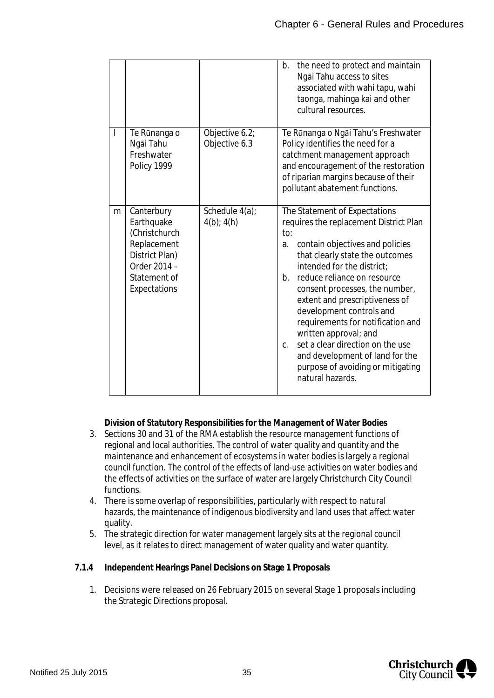|              |                                                                                                                            |                                      | b. the need to protect and maintain<br>Ngāi Tahu access to sites<br>associated with wahi tapu, wahi<br>taonga, mahinga kai and other<br>cultural resources.                                                                                                                                                                                                                                                                                                                                                                                     |
|--------------|----------------------------------------------------------------------------------------------------------------------------|--------------------------------------|-------------------------------------------------------------------------------------------------------------------------------------------------------------------------------------------------------------------------------------------------------------------------------------------------------------------------------------------------------------------------------------------------------------------------------------------------------------------------------------------------------------------------------------------------|
| $\mathsf{l}$ | Te Rūnanga o<br>Ngāi Tahu<br>Freshwater<br>Policy 1999                                                                     | Objective 6.2;<br>Objective 6.3      | Te Rūnanga o Ngāi Tahu's Freshwater<br>Policy identifies the need for a<br>catchment management approach<br>and encouragement of the restoration<br>of riparian margins because of their<br>pollutant abatement functions.                                                                                                                                                                                                                                                                                                                      |
| m            | Canterbury<br>Earthquake<br>(Christchurch<br>Replacement<br>District Plan)<br>Order 2014 -<br>Statement of<br>Expectations | Schedule $4(a)$ ;<br>$4(b)$ ; $4(h)$ | The Statement of Expectations<br>requires the replacement District Plan<br>to:<br>contain objectives and policies<br>a.<br>that clearly state the outcomes<br>intended for the district:<br>reduce reliance on resource<br>$b_{-}$<br>consent processes, the number,<br>extent and prescriptiveness of<br>development controls and<br>requirements for notification and<br>written approval; and<br>set a clear direction on the use<br>$C_{\cdot}$<br>and development of land for the<br>purpose of avoiding or mitigating<br>natural hazards. |

**Division of Statutory Responsibilities for the Management of Water Bodies**

- 3. Sections 30 and 31 of the RMA establish the resource management functions of regional and local authorities. The control of water quality and quantity and the maintenance and enhancement of ecosystems in water bodies is largely a regional council function. The control of the effects of land-use activities on water bodies and the effects of activities on the surface of water are largely Christchurch City Council functions.
- 4. There is some overlap of responsibilities, particularly with respect to natural hazards, the maintenance of indigenous biodiversity and land uses that affect water quality.
- 5. The strategic direction for water management largely sits at the regional council level, as it relates to direct management of water quality and water quantity.
- **7.1.4 Independent Hearings Panel Decisions on Stage 1 Proposals**
	- 1. Decisions were released on 26 February 2015 on several Stage 1 proposals including the Strategic Directions proposal.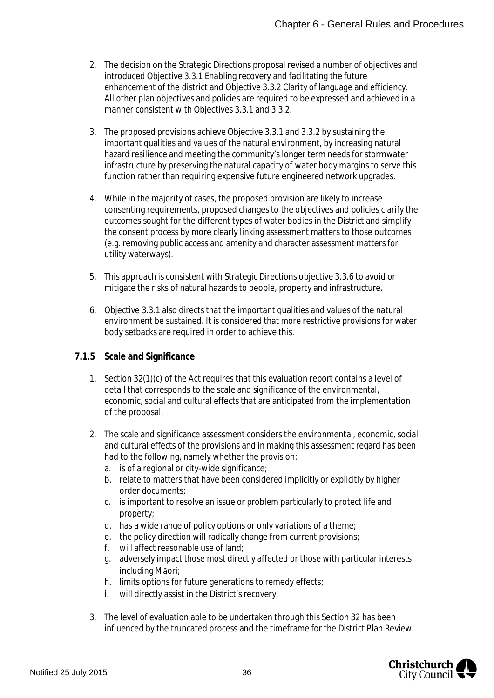- 2. The decision on the Strategic Directions proposal revised a number of objectives and introduced Objective 3.3.1 Enabling recovery and facilitating the future enhancement of the district and Objective 3.3.2 Clarity of language and efficiency. All other plan objectives and policies are required to be expressed and achieved in a manner consistent with Objectives 3.3.1 and 3.3.2.
- 3. The proposed provisions achieve Objective 3.3.1 and 3.3.2 by sustaining the important qualities and values of the natural environment, by increasing natural hazard resilience and meeting the community's longer term needs for stormwater infrastructure by preserving the natural capacity of water body margins to serve this function rather than requiring expensive future engineered network upgrades.
- 4. While in the majority of cases, the proposed provision are likely to increase consenting requirements, proposed changes to the objectives and policies clarify the outcomes sought for the different types of water bodies in the District and simplify the consent process by more clearly linking assessment matters to those outcomes (e.g. removing public access and amenity and character assessment matters for utility waterways).
- 5. This approach is consistent with Strategic Directions objective 3.3.6 to avoid or mitigate the risks of natural hazards to people, property and infrastructure.
- 6. Objective 3.3.1 also directs that the important qualities and values of the natural environment be sustained. It is considered that more restrictive provisions for water body setbacks are required in order to achieve this.
- **7.1.5 Scale and Significance**
	- 1. Section 32(1)(c) of the Act requires that this evaluation report contains a level of detail that corresponds to the scale and significance of the environmental, economic, social and cultural effects that are anticipated from the implementation of the proposal.
	- 2. The scale and significance assessment considers the environmental, economic, social and cultural effects of the provisions and in making this assessment regard has been had to the following, namely whether the provision:
		- a. is of a regional or city-wide significance;
		- b. relate to matters that have been considered implicitly or explicitly by higher order documents;
		- c. is important to resolve an issue or problem particularly to protect life and property;
		- d. has a wide range of policy options or only variations of a theme;
		- e. the policy direction will radically change from current provisions;
		- f. will affect reasonable use of land;
		- g. adversely impact those most directly affected or those with particular interests including Māori;
		- h. limits options for future generations to remedy effects;
		- i. will directly assist in the District's recovery.
	- 3. The level of evaluation able to be undertaken through this Section 32 has been influenced by the truncated process and the timeframe for the District Plan Review.

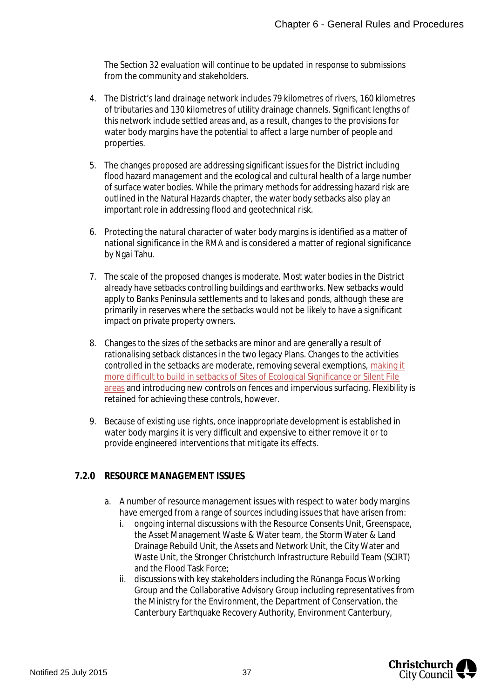The Section 32 evaluation will continue to be updated in response to submissions from the community and stakeholders.

- 4. The District's land drainage network includes 79 kilometres of rivers, 160 kilometres of tributaries and 130 kilometres of utility drainage channels. Significant lengths of this network include settled areas and, as a result, changes to the provisions for water body margins have the potential to affect a large number of people and properties.
- 5. The changes proposed are addressing significant issues for the District including flood hazard management and the ecological and cultural health of a large number of surface water bodies. While the primary methods for addressing hazard risk are outlined in the Natural Hazards chapter, the water body setbacks also play an important role in addressing flood and geotechnical risk.
- 6. Protecting the natural character of water body margins is identified as a matter of national significance in the RMA and is considered a matter of regional significance by Ngai Tahu.
- 7. The scale of the proposed changes is moderate. Most water bodies in the District already have setbacks controlling buildings and earthworks. New setbacks would apply to Banks Peninsula settlements and to lakes and ponds, although these are primarily in reserves where the setbacks would not be likely to have a significant impact on private property owners.
- 8. Changes to the sizes of the setbacks are minor and are generally a result of rationalising setback distances in the two legacy Plans. Changes to the activities controlled in the setbacks are moderate, removing several exemptions, making it more difficult to build in setbacks of Sites of Ecological Significance or Silent File areas and introducing new controls on fences and impervious surfacing. Flexibility is retained for achieving these controls, however.
- 9. Because of existing use rights, once inappropriate development is established in water body margins it is very difficult and expensive to either remove it or to provide engineered interventions that mitigate its effects.

## **7.2.0 RESOURCE MANAGEMENT ISSUES**

- a. A number of resource management issues with respect to water body margins have emerged from a range of sources including issues that have arisen from:
	- i. ongoing internal discussions with the Resource Consents Unit, Greenspace, the Asset Management Waste & Water team, the Storm Water & Land Drainage Rebuild Unit, the Assets and Network Unit, the City Water and Waste Unit, the Stronger Christchurch Infrastructure Rebuild Team (SCIRT) and the Flood Task Force;
	- ii. discussions with key stakeholders including the Rūnanga Focus Working Group and the Collaborative Advisory Group including representatives from the Ministry for the Environment, the Department of Conservation, the Canterbury Earthquake Recovery Authority, Environment Canterbury,

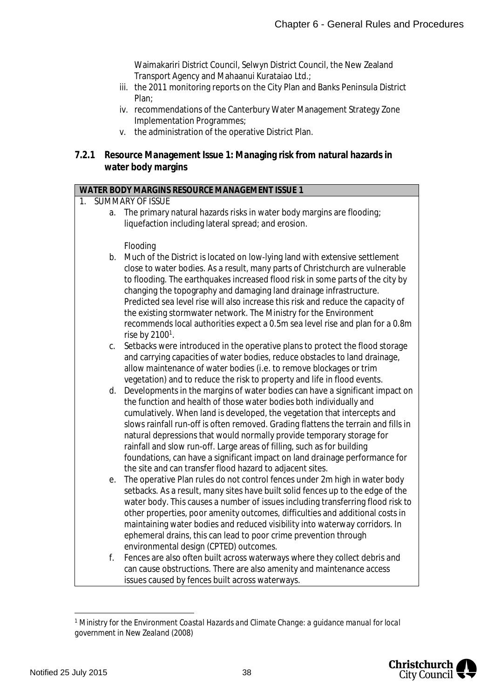Waimakariri District Council, Selwyn District Council, the New Zealand Transport Agency and Mahaanui Kurataiao Ltd.;

- iii. the 2011 monitoring reports on the City Plan and Banks Peninsula District Plan;
- iv. recommendations of the Canterbury Water Management Strategy Zone Implementation Programmes;
- v. the administration of the operative District Plan.
- **7.2.1 Resource Management Issue 1: Managing risk from natural hazards in water body margins**

|    | WATER BODY MARGINS RESOURCE MANAGEMENT ISSUE 1 |                                                                                                                                                                 |  |
|----|------------------------------------------------|-----------------------------------------------------------------------------------------------------------------------------------------------------------------|--|
| 1. | <b>SUMMARY OF ISSUE</b>                        |                                                                                                                                                                 |  |
|    | a.                                             | The primary natural hazards risks in water body margins are flooding;                                                                                           |  |
|    |                                                | liquefaction including lateral spread; and erosion.                                                                                                             |  |
|    |                                                |                                                                                                                                                                 |  |
|    |                                                | Flooding                                                                                                                                                        |  |
|    | b.                                             | Much of the District is located on low-lying land with extensive settlement                                                                                     |  |
|    |                                                | close to water bodies. As a result, many parts of Christchurch are vulnerable<br>to flooding. The earthquakes increased flood risk in some parts of the city by |  |
|    |                                                | changing the topography and damaging land drainage infrastructure.                                                                                              |  |
|    |                                                | Predicted sea level rise will also increase this risk and reduce the capacity of                                                                                |  |
|    |                                                | the existing stormwater network. The Ministry for the Environment                                                                                               |  |
|    |                                                | recommends local authorities expect a 0.5m sea level rise and plan for a 0.8m                                                                                   |  |
|    |                                                | rise by 2100 <sup>1</sup> .                                                                                                                                     |  |
|    | C.                                             | Setbacks were introduced in the operative plans to protect the flood storage                                                                                    |  |
|    |                                                | and carrying capacities of water bodies, reduce obstacles to land drainage,                                                                                     |  |
|    |                                                | allow maintenance of water bodies (i.e. to remove blockages or trim                                                                                             |  |
|    |                                                | vegetation) and to reduce the risk to property and life in flood events.                                                                                        |  |
|    | d.                                             | Developments in the margins of water bodies can have a significant impact on                                                                                    |  |
|    |                                                | the function and health of those water bodies both individually and                                                                                             |  |
|    |                                                | cumulatively. When land is developed, the vegetation that intercepts and                                                                                        |  |
|    |                                                | slows rainfall run-off is often removed. Grading flattens the terrain and fills in<br>natural depressions that would normally provide temporary storage for     |  |
|    |                                                | rainfall and slow run-off. Large areas of filling, such as for building                                                                                         |  |
|    |                                                | foundations, can have a significant impact on land drainage performance for                                                                                     |  |
|    |                                                | the site and can transfer flood hazard to adjacent sites.                                                                                                       |  |
|    | е.                                             | The operative Plan rules do not control fences under 2m high in water body                                                                                      |  |
|    |                                                | setbacks. As a result, many sites have built solid fences up to the edge of the                                                                                 |  |
|    |                                                | water body. This causes a number of issues including transferring flood risk to                                                                                 |  |
|    |                                                | other properties, poor amenity outcomes, difficulties and additional costs in                                                                                   |  |
|    |                                                | maintaining water bodies and reduced visibility into waterway corridors. In                                                                                     |  |
|    |                                                | ephemeral drains, this can lead to poor crime prevention through                                                                                                |  |
|    |                                                | environmental design (CPTED) outcomes.                                                                                                                          |  |
|    | f.                                             | Fences are also often built across waterways where they collect debris and                                                                                      |  |
|    |                                                | can cause obstructions. There are also amenity and maintenance access                                                                                           |  |
|    |                                                | issues caused by fences built across waterways.                                                                                                                 |  |

<span id="page-38-0"></span><sup>&</sup>lt;sup>1</sup> Ministry for the Environment *Coastal Hazards and Climate Change: a guidance manual for local government in New Zealand* (2008)

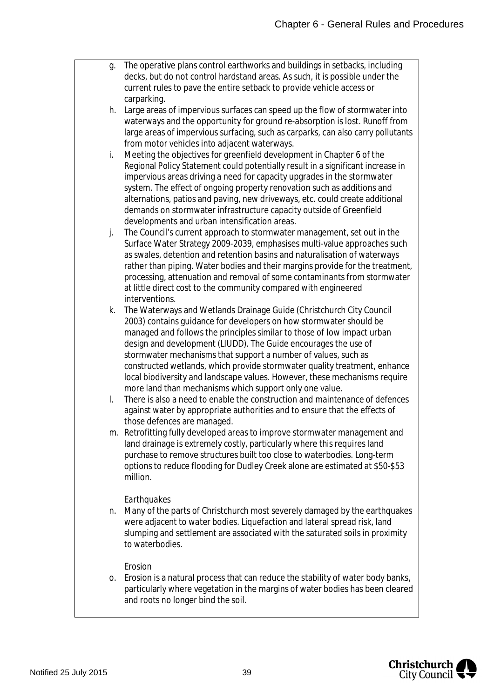- g. The operative plans control earthworks and buildings in setbacks, including decks, but do not control hardstand areas. As such, it is possible under the current rules to pave the entire setback to provide vehicle access or carparking.
- h. Large areas of impervious surfaces can speed up the flow of stormwater into waterways and the opportunity for ground re-absorption is lost. Runoff from large areas of impervious surfacing, such as carparks, can also carry pollutants from motor vehicles into adjacent waterways.
- i. Meeting the objectives for greenfield development in Chapter 6 of the Regional Policy Statement could potentially result in a significant increase in impervious areas driving a need for capacity upgrades in the stormwater system. The effect of ongoing property renovation such as additions and alternations, patios and paving, new driveways, etc. could create additional demands on stormwater infrastructure capacity outside of Greenfield developments and urban intensification areas.
- j. The Council's current approach to stormwater management, set out in the Surface Water Strategy 2009-2039, emphasises multi-value approaches such as swales, detention and retention basins and naturalisation of waterways rather than piping. Water bodies and their margins provide for the treatment, processing, attenuation and removal of some contaminants from stormwater at little direct cost to the community compared with engineered interventions.
- k. The Waterways and Wetlands Drainage Guide (Christchurch City Council 2003) contains guidance for developers on how stormwater should be managed and follows the principles similar to those of low impact urban design and development (LIUDD). The Guide encourages the use of stormwater mechanisms that support a number of values, such as constructed wetlands, which provide stormwater quality treatment, enhance local biodiversity and landscape values. However, these mechanisms require more land than mechanisms which support only one value.
- l. There is also a need to enable the construction and maintenance of defences against water by appropriate authorities and to ensure that the effects of those defences are managed.
- m. Retrofitting fully developed areas to improve stormwater management and land drainage is extremely costly, particularly where this requires land purchase to remove structures built too close to waterbodies. Long-term options to reduce flooding for Dudley Creek alone are estimated at \$50-\$53 million.

#### *Earthquakes*

n. Many of the parts of Christchurch most severely damaged by the earthquakes were adjacent to water bodies. Liquefaction and lateral spread risk, land slumping and settlement are associated with the saturated soils in proximity to waterbodies.

#### *Erosion*

o. Erosion is a natural process that can reduce the stability of water body banks, particularly where vegetation in the margins of water bodies has been cleared and roots no longer bind the soil.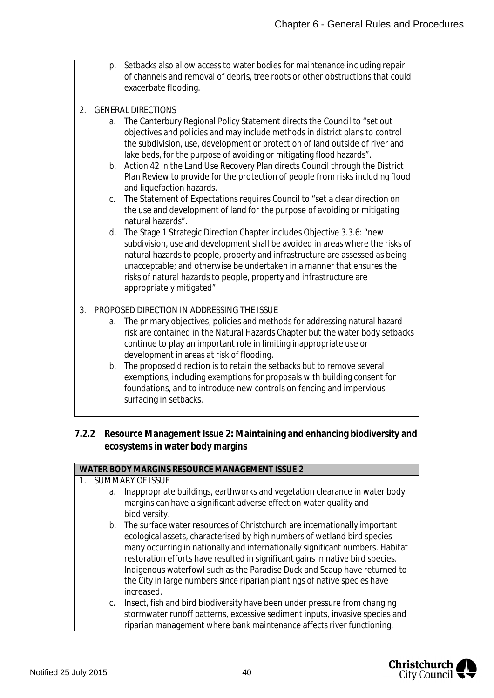- p. Setbacks also allow access to water bodies for maintenance including repair of channels and removal of debris, tree roots or other obstructions that could exacerbate flooding.
- 2. GENERAL DIRECTIONS
	- a. The Canterbury Regional Policy Statement directs the Council to "set out objectives and policies and may include methods in district plans to control the subdivision, use, development or protection of land outside of river and lake beds, for the purpose of avoiding or mitigating flood hazards".
	- b. Action 42 in the Land Use Recovery Plan directs Council through the District Plan Review to provide for the protection of people from risks including flood and liquefaction hazards.
	- c. The Statement of Expectations requires Council to "set a clear direction on the use and development of land for the purpose of avoiding or mitigating natural hazards".
	- d. The Stage 1 Strategic Direction Chapter includes Objective 3.3.6: "new subdivision, use and development shall be avoided in areas where the risks of natural hazards to people, property and infrastructure are assessed as being unacceptable; and otherwise be undertaken in a manner that ensures the risks of natural hazards to people, property and infrastructure are appropriately mitigated".
- 3. PROPOSED DIRECTION IN ADDRESSING THE ISSUE
	- a. The primary objectives, policies and methods for addressing natural hazard risk are contained in the Natural Hazards Chapter but the water body setbacks continue to play an important role in limiting inappropriate use or development in areas at risk of flooding.
	- b. The proposed direction is to retain the setbacks but to remove several exemptions, including exemptions for proposals with building consent for foundations, and to introduce new controls on fencing and impervious surfacing in setbacks.
- **7.2.2 Resource Management Issue 2: Maintaining and enhancing biodiversity and ecosystems in water body margins**

| WATER BODY MARGINS RESOURCE MANAGEMENT ISSUE 2 |                                                                                                                                                                                                                                                                                                                                                                                                                                                                                                     |  |
|------------------------------------------------|-----------------------------------------------------------------------------------------------------------------------------------------------------------------------------------------------------------------------------------------------------------------------------------------------------------------------------------------------------------------------------------------------------------------------------------------------------------------------------------------------------|--|
|                                                | <b>SUMMARY OF ISSUE</b>                                                                                                                                                                                                                                                                                                                                                                                                                                                                             |  |
| a.                                             | Inappropriate buildings, earthworks and vegetation clearance in water body<br>margins can have a significant adverse effect on water quality and<br>biodiversity.                                                                                                                                                                                                                                                                                                                                   |  |
|                                                | b. The surface water resources of Christchurch are internationally important<br>ecological assets, characterised by high numbers of wetland bird species<br>many occurring in nationally and internationally significant numbers. Habitat<br>restoration efforts have resulted in significant gains in native bird species.<br>Indigenous waterfowl such as the Paradise Duck and Scaup have returned to<br>the City in large numbers since riparian plantings of native species have<br>increased. |  |
| C.                                             | Insect, fish and bird biodiversity have been under pressure from changing<br>stormwater runoff patterns, excessive sediment inputs, invasive species and<br>riparian management where bank maintenance affects river functioning.                                                                                                                                                                                                                                                                   |  |

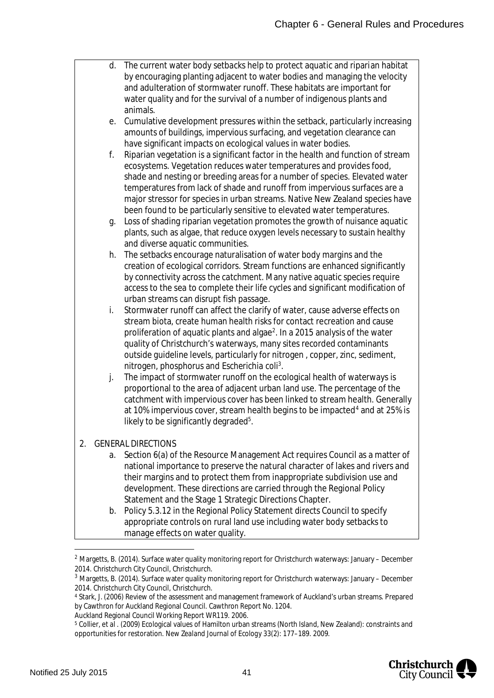|    |    | d. The current water body setbacks help to protect aquatic and riparian habitat          |
|----|----|------------------------------------------------------------------------------------------|
|    |    | by encouraging planting adjacent to water bodies and managing the velocity               |
|    |    | and adulteration of stormwater runoff. These habitats are important for                  |
|    |    | water quality and for the survival of a number of indigenous plants and                  |
|    |    | animals.                                                                                 |
|    | е. | Cumulative development pressures within the setback, particularly increasing             |
|    |    | amounts of buildings, impervious surfacing, and vegetation clearance can                 |
|    |    | have significant impacts on ecological values in water bodies.                           |
|    | f. | Riparian vegetation is a significant factor in the health and function of stream         |
|    |    | ecosystems. Vegetation reduces water temperatures and provides food,                     |
|    |    | shade and nesting or breeding areas for a number of species. Elevated water              |
|    |    | temperatures from lack of shade and runoff from impervious surfaces are a                |
|    |    | major stressor for species in urban streams. Native New Zealand species have             |
|    |    | been found to be particularly sensitive to elevated water temperatures.                  |
|    | g. | Loss of shading riparian vegetation promotes the growth of nuisance aquatic              |
|    |    | plants, such as algae, that reduce oxygen levels necessary to sustain healthy            |
|    |    | and diverse aquatic communities.                                                         |
|    | h. | The setbacks encourage naturalisation of water body margins and the                      |
|    |    | creation of ecological corridors. Stream functions are enhanced significantly            |
|    |    | by connectivity across the catchment. Many native aquatic species require                |
|    |    | access to the sea to complete their life cycles and significant modification of          |
|    |    | urban streams can disrupt fish passage.                                                  |
|    | İ. | Stormwater runoff can affect the clarify of water, cause adverse effects on              |
|    |    | stream biota, create human health risks for contact recreation and cause                 |
|    |    | proliferation of aquatic plants and algae <sup>2</sup> . In a 2015 analysis of the water |
|    |    | quality of Christchurch's waterways, many sites recorded contaminants                    |
|    |    | outside guideline levels, particularly for nitrogen, copper, zinc, sediment,             |
|    |    | nitrogen, phosphorus and Escherichia coli <sup>3</sup> .                                 |
|    | j. | The impact of stormwater runoff on the ecological health of waterways is                 |
|    |    | proportional to the area of adjacent urban land use. The percentage of the               |
|    |    | catchment with impervious cover has been linked to stream health. Generally              |
|    |    | at 10% impervious cover, stream health begins to be impacted <sup>4</sup> and at 25% is  |
|    |    | likely to be significantly degraded <sup>5</sup> .                                       |
|    |    |                                                                                          |
| 2. |    | <b>GENERAL DIRECTIONS</b>                                                                |
|    | a. | Section 6(a) of the Resource Management Act requires Council as a matter of              |
|    |    | national importance to preserve the natural character of lakes and rivers and            |
|    |    | their margins and to protect them from inappropriate subdivision use and                 |
|    |    | development. These directions are carried through the Regional Policy                    |
|    |    | Statement and the Stage 1 Strategic Directions Chapter.                                  |
|    |    | b. Policy 5.3.12 in the Regional Policy Statement directs Council to specify             |
|    |    | appropriate controls on rural land use including water body setbacks to                  |

manage effects on water quality.

<span id="page-41-3"></span><sup>5</sup> Collier, et al . (2009) Ecological values of Hamilton urban streams (North Island, New Zealand): constraints and opportunities for restoration. *New Zealand Journal of Ecology* 33(2): 177–189. 2009.



<span id="page-41-0"></span><sup>&</sup>lt;sup>2</sup> Margetts, B. (2014). Surface water quality monitoring report for Christchurch waterways: January – December 2014. Christchurch City Council, Christchurch.

<span id="page-41-1"></span><sup>3</sup> Margetts, B. (2014). Surface water quality monitoring report for Christchurch waterways: January – December 2014. Christchurch City Council, Christchurch.

<span id="page-41-2"></span><sup>4</sup> Stark, J. (2006) Review of the assessment and management framework of Auckland's urban streams. Prepared by Cawthron for Auckland Regional Council. Cawthron Report No. 1204.

Auckland Regional Council Working Report WR119. 2006.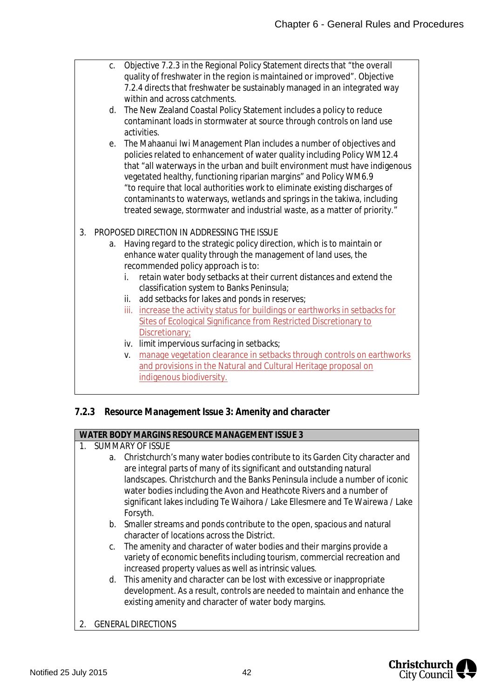- c. Objective 7.2.3 in the Regional Policy Statement directs that "the overall quality of freshwater in the region is maintained or improved". Objective 7.2.4 directs that freshwater be sustainably managed in an integrated way within and across catchments. d. The New Zealand Coastal Policy Statement includes a policy to reduce contaminant loads in stormwater at source through controls on land use activities. e. The Mahaanui Iwi Management Plan includes a number of objectives and policies related to enhancement of water quality including Policy WM12.4 that "all waterways in the urban and built environment must have indigenous vegetated healthy, functioning riparian margins" and Policy WM6.9 "to require that local authorities work to eliminate existing discharges of contaminants to waterways, wetlands and springs in the takiwa, including treated sewage, stormwater and industrial waste, as a matter of priority." 3. PROPOSED DIRECTION IN ADDRESSING THE ISSUE a. Having regard to the strategic policy direction, which is to maintain or enhance water quality through the management of land uses, the recommended policy approach is to: i. retain water body setbacks at their current distances and extend the classification system to Banks Peninsula; ii. add setbacks for lakes and ponds in reserves; iii. increase the activity status for buildings or earthworks in setbacks for Sites of Ecological Significance from Restricted Discretionary to Discretionary; iv. limit impervious surfacing in setbacks;
	- v. manage vegetation clearance in setbacks through controls on earthworks and provisions in the Natural and Cultural Heritage proposal on indigenous biodiversity.
- **7.2.3 Resource Management Issue 3: Amenity and character**

### **WATER BODY MARGINS RESOURCE MANAGEMENT ISSUE 3**

- 1. SUMMARY OF ISSUE a. Christchurch's many water bodies contribute to its Garden City character and are integral parts of many of its significant and outstanding natural landscapes. Christchurch and the Banks Peninsula include a number of iconic water bodies including the Avon and Heathcote Rivers and a number of significant lakes including Te Waihora / Lake Ellesmere and Te Wairewa / Lake Forsyth.
	- b. Smaller streams and ponds contribute to the open, spacious and natural character of locations across the District.
	- c. The amenity and character of water bodies and their margins provide a variety of economic benefits including tourism, commercial recreation and increased property values as well as intrinsic values.
	- d. This amenity and character can be lost with excessive or inappropriate development. As a result, controls are needed to maintain and enhance the existing amenity and character of water body margins.
- 2. GENERAL DIRECTIONS

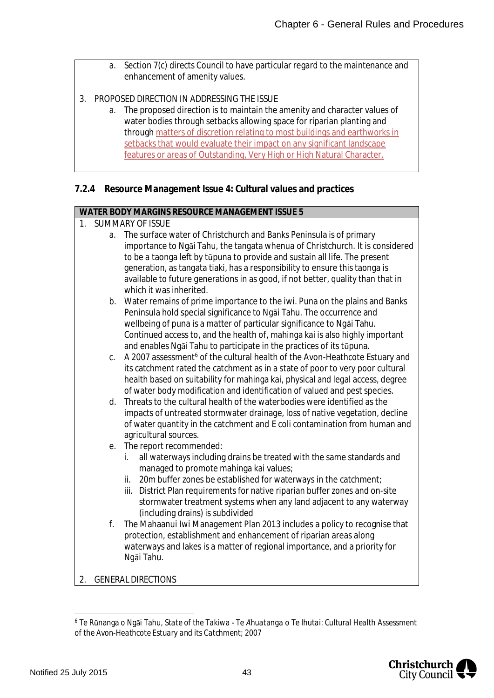a. Section 7(c) directs Council to have particular regard to the maintenance and enhancement of amenity values.

## 3. PROPOSED DIRECTION IN ADDRESSING THE ISSUE

a. The proposed direction is to maintain the amenity and character values of water bodies through setbacks allowing space for riparian planting and through matters of discretion relating to most buildings and earthworks in setbacks that would evaluate their impact on any significant landscape features or areas of Outstanding, Very High or High Natural Character.

**7.2.4 Resource Management Issue 4: Cultural values and practices**

|    |    | WATER BODY MARGINS RESOURCE MANAGEMENT ISSUE 5                                                                                                                                                                                                                                                                                                                                                                                  |
|----|----|---------------------------------------------------------------------------------------------------------------------------------------------------------------------------------------------------------------------------------------------------------------------------------------------------------------------------------------------------------------------------------------------------------------------------------|
|    |    | SUMMARY OF ISSUE                                                                                                                                                                                                                                                                                                                                                                                                                |
|    | a. | The surface water of Christchurch and Banks Peninsula is of primary<br>importance to Ngai Tahu, the tangata whenua of Christchurch. It is considered<br>to be a taonga left by tūpuna to provide and sustain all life. The present<br>generation, as tangata tiaki, has a responsibility to ensure this taonga is<br>available to future generations in as good, if not better, quality than that in<br>which it was inherited. |
|    |    | b. Water remains of prime importance to the iwi. Puna on the plains and Banks<br>Peninsula hold special significance to Ngai Tahu. The occurrence and<br>wellbeing of puna is a matter of particular significance to Ngai Tahu.<br>Continued access to, and the health of, mahinga kai is also highly important<br>and enables Ngāi Tahu to participate in the practices of its tūpuna.                                         |
|    | C. | A 2007 assessment <sup>6</sup> of the cultural health of the Avon-Heathcote Estuary and<br>its catchment rated the catchment as in a state of poor to very poor cultural<br>health based on suitability for mahinga kai, physical and legal access, degree<br>of water body modification and identification of valued and pest species.                                                                                         |
|    | d. | Threats to the cultural health of the waterbodies were identified as the<br>impacts of untreated stormwater drainage, loss of native vegetation, decline<br>of water quantity in the catchment and E coli contamination from human and<br>agricultural sources.                                                                                                                                                                 |
|    | е. | The report recommended:<br>all waterways including drains be treated with the same standards and<br>i.<br>managed to promote mahinga kai values;<br>20m buffer zones be established for waterways in the catchment;<br>ii.<br>iii. District Plan requirements for native riparian buffer zones and on-site<br>stormwater treatment systems when any land adjacent to any waterway<br>(including drains) is subdivided           |
|    | f. | The Mahaanui Iwi Management Plan 2013 includes a policy to recognise that<br>protection, establishment and enhancement of riparian areas along<br>waterways and lakes is a matter of regional importance, and a priority for<br>Ngāi Tahu.                                                                                                                                                                                      |
| 2. |    | <b>GENERAL DIRECTIONS</b>                                                                                                                                                                                                                                                                                                                                                                                                       |
|    |    |                                                                                                                                                                                                                                                                                                                                                                                                                                 |

<span id="page-43-0"></span><sup>6</sup> Te Rūnanga o Ngāi Tahu, *State of the Takiwa - Te Āhuatanga o Te Ihutai: Cultural Health Assessment of the Avon-Heathcote Estuary and its Catchment;* 2007

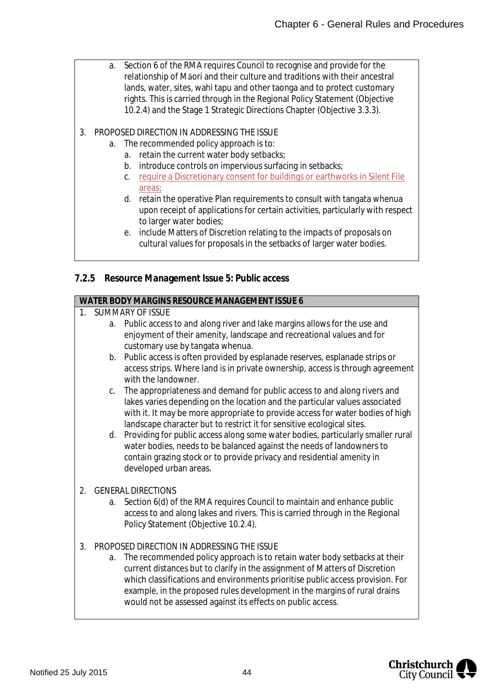- a. Section 6 of the RMA requires Council to recognise and provide for the relationship of Māori and their culture and traditions with their ancestral lands, water, sites, wahi tapu and other taonga and to protect customary rights. This is carried through in the Regional Policy Statement (Objective 10.2.4) and the Stage 1 Strategic Directions Chapter (Objective 3.3.3).
- 3. PROPOSED DIRECTION IN ADDRESSING THE ISSUE
	- a. The recommended policy approach is to:
		- a. retain the current water body setbacks;
		- b. introduce controls on impervious surfacing in setbacks;
		- c. require a Discretionary consent for buildings or earthworks in Silent File areas;
		- d. retain the operative Plan requirements to consult with tangata whenua upon receipt of applications for certain activities, particularly with respect to larger water bodies;
		- e. include Matters of Discretion relating to the impacts of proposals on cultural values for proposals in the setbacks of larger water bodies.

### **7.2.5 Resource Management Issue 5: Public access**

|                | WATER BODY MARGINS RESOURCE MANAGEMENT ISSUE 6 |                                                                                                                                                           |  |  |
|----------------|------------------------------------------------|-----------------------------------------------------------------------------------------------------------------------------------------------------------|--|--|
| $\mathbf{1}$ . | <b>SUMMARY OF ISSUE</b>                        |                                                                                                                                                           |  |  |
|                | а.                                             | Public access to and along river and lake margins allows for the use and                                                                                  |  |  |
|                |                                                | enjoyment of their amenity, landscape and recreational values and for                                                                                     |  |  |
|                |                                                | customary use by tangata whenua.                                                                                                                          |  |  |
|                | b.                                             | Public access is often provided by esplanade reserves, esplanade strips or                                                                                |  |  |
|                |                                                | access strips. Where land is in private ownership, access is through agreement                                                                            |  |  |
|                |                                                | with the landowner.                                                                                                                                       |  |  |
|                | C.                                             | The appropriateness and demand for public access to and along rivers and                                                                                  |  |  |
|                |                                                | lakes varies depending on the location and the particular values associated                                                                               |  |  |
|                |                                                | with it. It may be more appropriate to provide access for water bodies of high                                                                            |  |  |
|                |                                                | landscape character but to restrict it for sensitive ecological sites.<br>Providing for public access along some water bodies, particularly smaller rural |  |  |
|                | d.                                             | water bodies, needs to be balanced against the needs of landowners to                                                                                     |  |  |
|                |                                                | contain grazing stock or to provide privacy and residential amenity in                                                                                    |  |  |
|                |                                                | developed urban areas.                                                                                                                                    |  |  |
|                |                                                |                                                                                                                                                           |  |  |
| 2.             |                                                | <b>GENERAL DIRECTIONS</b>                                                                                                                                 |  |  |
|                | a.                                             | Section 6(d) of the RMA requires Council to maintain and enhance public                                                                                   |  |  |
|                |                                                | access to and along lakes and rivers. This is carried through in the Regional                                                                             |  |  |
|                |                                                | Policy Statement (Objective 10.2.4).                                                                                                                      |  |  |
|                |                                                |                                                                                                                                                           |  |  |
| 3.             |                                                | PROPOSED DIRECTION IN ADDRESSING THE ISSUE                                                                                                                |  |  |
|                | a.                                             | The recommended policy approach is to retain water body setbacks at their                                                                                 |  |  |
|                |                                                | current distances but to clarify in the assignment of Matters of Discretion                                                                               |  |  |
|                |                                                | which classifications and environments prioritise public access provision. For                                                                            |  |  |
|                |                                                | example, in the proposed rules development in the margins of rural drains                                                                                 |  |  |
|                |                                                | would not be assessed against its effects on public access.                                                                                               |  |  |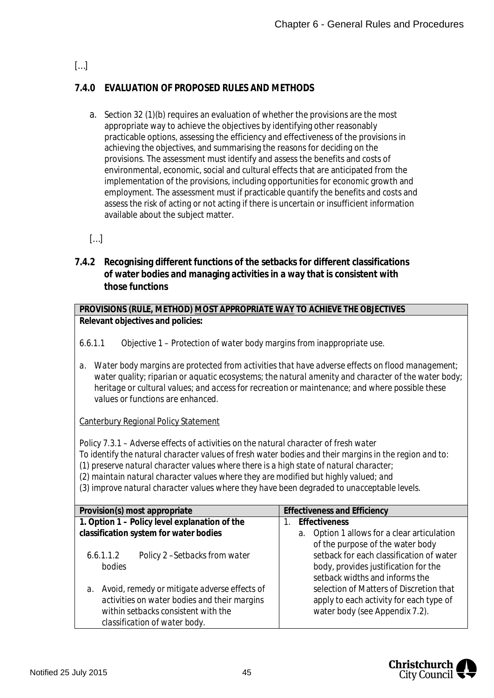## $\left[\ldots\right]$

## **7.4.0 EVALUATION OF PROPOSED RULES AND METHODS**

- a. Section 32 (1)(b) requires an evaluation of whether the provisions are the most appropriate way to achieve the objectives by identifying other reasonably practicable options, assessing the efficiency and effectiveness of the provisions in achieving the objectives, and summarising the reasons for deciding on the provisions. The assessment must identify and assess the benefits and costs of environmental, economic, social and cultural effects that are anticipated from the implementation of the provisions, including opportunities for economic growth and employment. The assessment must if practicable quantify the benefits and costs and assess the risk of acting or not acting if there is uncertain or insufficient information available about the subject matter.
- […]
- **7.4.2 Recognising different functions of the setbacks for different classifications of water bodies and managing activities in a way that is consistent with those functions**

**PROVISIONS (RULE, METHOD) MOST APPROPRIATE WAY TO ACHIEVE THE OBJECTIVES Relevant objectives and policies:**

- *6.6.1.1 Objective 1 Protection of water body margins from inappropriate use.*
- *a. Water body margins are protected from activities that have adverse effects on flood management; water quality; riparian or aquatic ecosystems; the natural amenity and character of the water body; heritage or cultural values; and access for recreation or maintenance; and where possible these values or functions are enhanced.*

Canterbury Regional Policy Statement

*Policy 7.3.1 – Adverse effects of activities on the natural character of fresh water To identify the natural character values of fresh water bodies and their margins in the region and to: (1) preserve natural character values where there is a high state of natural character; (2) maintain natural character values where they are modified but highly valued; and (3) improve natural character values where they have been degraded to unacceptable levels.*

| Provision(s) most appropriate                      | <b>Effectiveness and Efficiency</b>         |
|----------------------------------------------------|---------------------------------------------|
| 1. Option 1 - Policy level explanation of the      | Effectiveness                               |
| classification system for water bodies             | a. Option 1 allows for a clear articulation |
|                                                    | of the purpose of the water body            |
| 6.6.1.1.2<br>Policy 2-Setbacks from water          | setback for each classification of water    |
| bodies                                             | body, provides justification for the        |
|                                                    | setback widths and informs the              |
| Avoid, remedy or mitigate adverse effects of<br>a. | selection of Matters of Discretion that     |
| activities on water bodies and their margins       | apply to each activity for each type of     |
| within setbacks consistent with the                | water body (see Appendix 7.2).              |
| classification of water body.                      |                                             |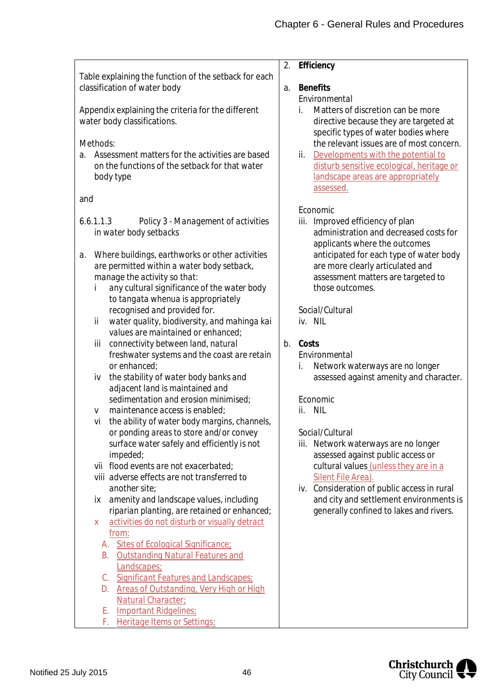|                                                                                                                      | 2.<br>Efficiency                                                                                                                         |
|----------------------------------------------------------------------------------------------------------------------|------------------------------------------------------------------------------------------------------------------------------------------|
| Table explaining the function of the setback for each<br>classification of water body                                | <b>Benefits</b><br>a.<br>Environmental                                                                                                   |
| Appendix explaining the criteria for the different<br>water body classifications.                                    | Matters of discretion can be more<br>İ.<br>directive because they are targeted at<br>specific types of water bodies where                |
| Methods:                                                                                                             | the relevant issues are of most concern.                                                                                                 |
| Assessment matters for the activities are based<br>a.<br>on the functions of the setback for that water<br>body type | Developments with the potential to<br>ii.<br>disturb sensitive ecological, heritage or<br>landscape areas are appropriately<br>assessed. |
| and                                                                                                                  | Economic                                                                                                                                 |
| 6.6.1.1.3<br>Policy 3 - Management of activities<br>in water body setbacks                                           | iii. Improved efficiency of plan<br>administration and decreased costs for<br>applicants where the outcomes                              |
| Where buildings, earthworks or other activities<br>a.<br>are permitted within a water body setback,                  | anticipated for each type of water body<br>are more clearly articulated and                                                              |
| manage the activity so that:<br>any cultural significance of the water body<br>İ                                     | assessment matters are targeted to<br>those outcomes.                                                                                    |
| to tangata whenua is appropriately                                                                                   |                                                                                                                                          |
| recognised and provided for.                                                                                         | Social/Cultural                                                                                                                          |
| water quality, biodiversity, and mahinga kai<br>ii<br>values are maintained or enhanced;                             | iv. NIL                                                                                                                                  |
| connectivity between land, natural<br>iii                                                                            | Costs<br>b.                                                                                                                              |
| freshwater systems and the coast are retain<br>or enhanced;                                                          | Environmental<br>Network waterways are no longer<br>i.                                                                                   |
| the stability of water body banks and<br>iv                                                                          | assessed against amenity and character.                                                                                                  |
| adjacent land is maintained and                                                                                      |                                                                                                                                          |
| sedimentation and erosion minimised;                                                                                 | Economic                                                                                                                                 |
| maintenance access is enabled;<br>V                                                                                  | <b>NIL</b><br>ii.                                                                                                                        |
| the ability of water body margins, channels,<br>νi                                                                   |                                                                                                                                          |
| or ponding areas to store and/or convey<br>surface water safely and efficiently is not                               | Social/Cultural<br>iii. Network waterways are no longer                                                                                  |
| impeded;                                                                                                             | assessed against public access or                                                                                                        |
| vii flood events are not exacerbated;                                                                                | cultural values (unless they are in a                                                                                                    |
| viii adverse effects are not transferred to                                                                          | Silent File Area).                                                                                                                       |
| another site;                                                                                                        | iv. Consideration of public access in rural                                                                                              |
| amenity and landscape values, including<br>İХ                                                                        | and city and settlement environments is                                                                                                  |
| riparian planting, are retained or enhanced;<br>activities do not disturb or visually detract                        | generally confined to lakes and rivers.                                                                                                  |
| Х<br>from:                                                                                                           |                                                                                                                                          |
| <b>Sites of Ecological Significance:</b><br>А.                                                                       |                                                                                                                                          |
| <b>Outstanding Natural Features and</b><br>В.                                                                        |                                                                                                                                          |
| Landscapes;                                                                                                          |                                                                                                                                          |
| <b>Significant Features and Landscapes</b> ;<br>C.                                                                   |                                                                                                                                          |
| <b>Areas of Outstanding, Very High or High</b><br>D.<br>Natural Character;                                           |                                                                                                                                          |
| Important Ridgelines;<br>Е.                                                                                          |                                                                                                                                          |
| <b>Heritage Items or Settings;</b><br>F.                                                                             |                                                                                                                                          |

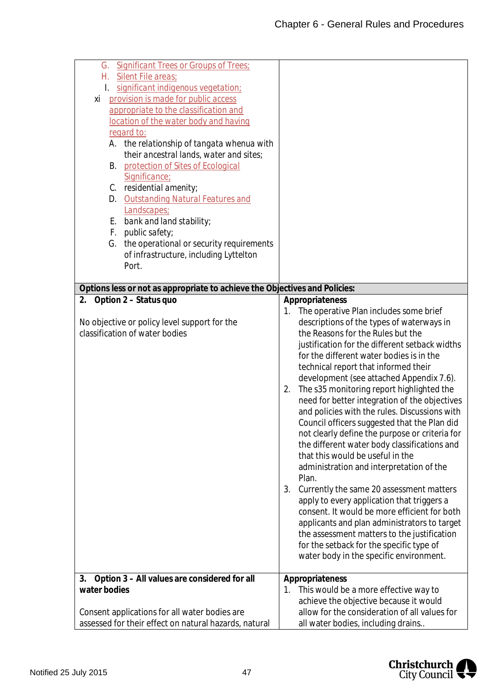| <b>Significant Trees or Groups of Trees;</b><br>G.<br>Silent File areas;<br>Н.<br>significant indigenous vegetation;<br>provision is made for public access<br>хi<br>appropriate to the classification and<br>location of the water body and having<br>regard to:<br>A. the relationship of tangata whenua with<br>their ancestral lands, water and sites;<br><b>B.</b> protection of Sites of Ecological<br>Significance;<br>C. residential amenity;<br>D. Outstanding Natural Features and<br>Landscapes;<br>bank and land stability;<br>E.<br>F. public safety;<br>G. the operational or security requirements<br>of infrastructure, including Lyttelton<br>Port. |                                                                                                                                                                                                                                                                                                                                                                                                                                                                                                                                                                                                                                                                                                                                                                                                                                                                                                                                                                                                                                                                           |
|----------------------------------------------------------------------------------------------------------------------------------------------------------------------------------------------------------------------------------------------------------------------------------------------------------------------------------------------------------------------------------------------------------------------------------------------------------------------------------------------------------------------------------------------------------------------------------------------------------------------------------------------------------------------|---------------------------------------------------------------------------------------------------------------------------------------------------------------------------------------------------------------------------------------------------------------------------------------------------------------------------------------------------------------------------------------------------------------------------------------------------------------------------------------------------------------------------------------------------------------------------------------------------------------------------------------------------------------------------------------------------------------------------------------------------------------------------------------------------------------------------------------------------------------------------------------------------------------------------------------------------------------------------------------------------------------------------------------------------------------------------|
| Options less or not as appropriate to achieve the Objectives and Policies:                                                                                                                                                                                                                                                                                                                                                                                                                                                                                                                                                                                           |                                                                                                                                                                                                                                                                                                                                                                                                                                                                                                                                                                                                                                                                                                                                                                                                                                                                                                                                                                                                                                                                           |
| 2. Option 2 - Status quo<br>No objective or policy level support for the<br>classification of water bodies                                                                                                                                                                                                                                                                                                                                                                                                                                                                                                                                                           | Appropriateness<br>The operative Plan includes some brief<br>1.<br>descriptions of the types of waterways in<br>the Reasons for the Rules but the<br>justification for the different setback widths<br>for the different water bodies is in the<br>technical report that informed their<br>development (see attached Appendix 7.6).<br>The s35 monitoring report highlighted the<br>2.<br>need for better integration of the objectives<br>and policies with the rules. Discussions with<br>Council officers suggested that the Plan did<br>not clearly define the purpose or criteria for<br>the different water body classifications and<br>that this would be useful in the<br>administration and interpretation of the<br>Plan.<br>Currently the same 20 assessment matters<br>3.<br>apply to every application that triggers a<br>consent. It would be more efficient for both<br>applicants and plan administrators to target<br>the assessment matters to the justification<br>for the setback for the specific type of<br>water body in the specific environment. |
| Option 3 - All values are considered for all<br>3.                                                                                                                                                                                                                                                                                                                                                                                                                                                                                                                                                                                                                   | Appropriateness                                                                                                                                                                                                                                                                                                                                                                                                                                                                                                                                                                                                                                                                                                                                                                                                                                                                                                                                                                                                                                                           |
| water bodies<br>Consent applications for all water bodies are<br>assessed for their effect on natural hazards, natural                                                                                                                                                                                                                                                                                                                                                                                                                                                                                                                                               | This would be a more effective way to<br>1.<br>achieve the objective because it would<br>allow for the consideration of all values for<br>all water bodies, including drains                                                                                                                                                                                                                                                                                                                                                                                                                                                                                                                                                                                                                                                                                                                                                                                                                                                                                              |

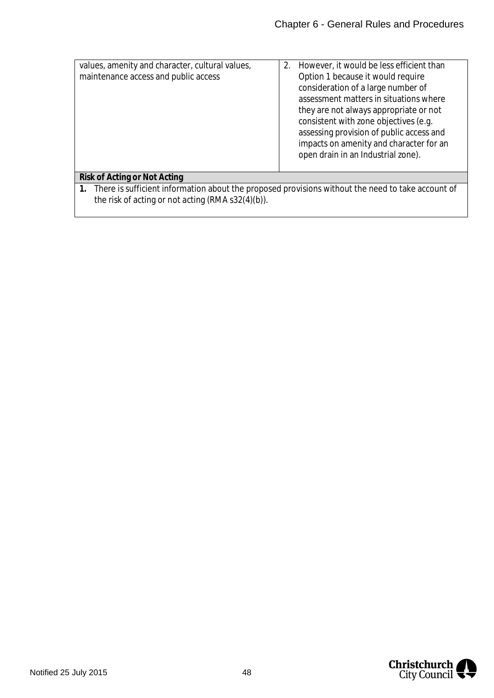| values, amenity and character, cultural values,                                                         | 2.<br>However, it would be less efficient than |
|---------------------------------------------------------------------------------------------------------|------------------------------------------------|
| maintenance access and public access                                                                    | Option 1 because it would require              |
|                                                                                                         | consideration of a large number of             |
|                                                                                                         | assessment matters in situations where         |
|                                                                                                         | they are not always appropriate or not         |
|                                                                                                         | consistent with zone objectives (e.g.          |
|                                                                                                         | assessing provision of public access and       |
|                                                                                                         | impacts on amenity and character for an        |
|                                                                                                         | open drain in an Industrial zone).             |
|                                                                                                         |                                                |
| Risk of Acting or Not Acting                                                                            |                                                |
| There is sufficient information about the proposed provisions without the need to take account of<br>1. |                                                |
| the risk of acting or not acting (RMA s32(4)(b)).                                                       |                                                |
|                                                                                                         |                                                |



 $\overline{\phantom{a}}$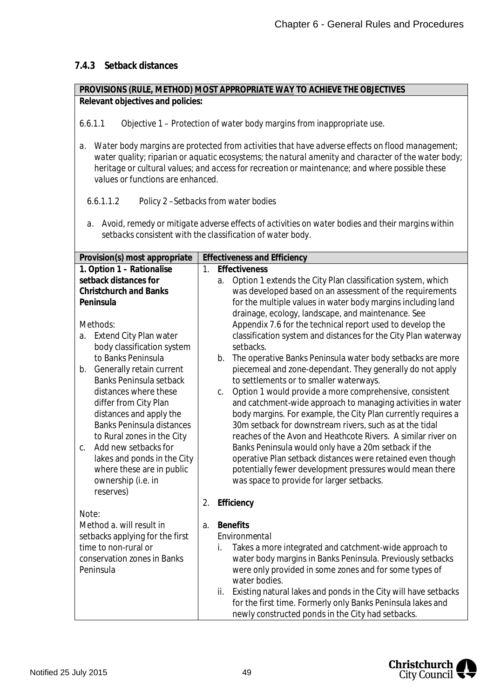### **7.4.3 Setback distances**

**PROVISIONS (RULE, METHOD) MOST APPROPRIATE WAY TO ACHIEVE THE OBJECTIVES Relevant objectives and policies:**

*6.6.1.1 Objective 1 – Protection of water body margins from inappropriate use.*

*a. Water body margins are protected from activities that have adverse effects on flood management; water quality; riparian or aquatic ecosystems; the natural amenity and character of the water body; heritage or cultural values; and access for recreation or maintenance; and where possible these values or functions are enhanced.*

*6.6.1.1.2 Policy 2 –Setbacks from water bodies*

*a. Avoid, remedy or mitigate adverse effects of activities on water bodies and their margins within setbacks consistent with the classification of water body.*

| Provision(s) most appropriate       | <b>Effectiveness and Efficiency</b>                                    |
|-------------------------------------|------------------------------------------------------------------------|
| 1. Option 1 - Rationalise           | Effectiveness<br>1.                                                    |
| setback distances for               | Option 1 extends the City Plan classification system, which<br>a.      |
| <b>Christchurch and Banks</b>       | was developed based on an assessment of the requirements               |
| Peninsula                           | for the multiple values in water body margins including land           |
|                                     | drainage, ecology, landscape, and maintenance. See                     |
| Methods:                            | Appendix 7.6 for the technical report used to develop the              |
| <b>Extend City Plan water</b><br>a. | classification system and distances for the City Plan waterway         |
| body classification system          | setbacks.                                                              |
| to Banks Peninsula                  | The operative Banks Peninsula water body setbacks are more<br>b.       |
| Generally retain current<br>b.      | piecemeal and zone-dependant. They generally do not apply              |
| <b>Banks Peninsula setback</b>      | to settlements or to smaller waterways.                                |
| distances where these               | Option 1 would provide a more comprehensive, consistent<br>C.          |
| differ from City Plan               | and catchment-wide approach to managing activities in water            |
| distances and apply the             | body margins. For example, the City Plan currently requires a          |
| <b>Banks Peninsula distances</b>    | 30m setback for downstream rivers, such as at the tidal                |
| to Rural zones in the City          | reaches of the Avon and Heathcote Rivers. A similar river on           |
| Add new setbacks for<br>$C_{\cdot}$ | Banks Peninsula would only have a 20m setback if the                   |
| lakes and ponds in the City         | operative Plan setback distances were retained even though             |
| where these are in public           | potentially fewer development pressures would mean there               |
| ownership (i.e. in                  | was space to provide for larger setbacks.                              |
| reserves)                           |                                                                        |
|                                     | Efficiency<br>2.                                                       |
| Note:                               |                                                                        |
| Method a. will result in            | <b>Benefits</b><br>a.                                                  |
| setbacks applying for the first     | Environmental                                                          |
| time to non-rural or                | Takes a more integrated and catchment-wide approach to<br>i.           |
| conservation zones in Banks         | water body margins in Banks Peninsula. Previously setbacks             |
| Peninsula                           | were only provided in some zones and for some types of                 |
|                                     | water bodies.                                                          |
|                                     | Existing natural lakes and ponds in the City will have setbacks<br>ii. |
|                                     | for the first time. Formerly only Banks Peninsula lakes and            |
|                                     | newly constructed ponds in the City had setbacks.                      |

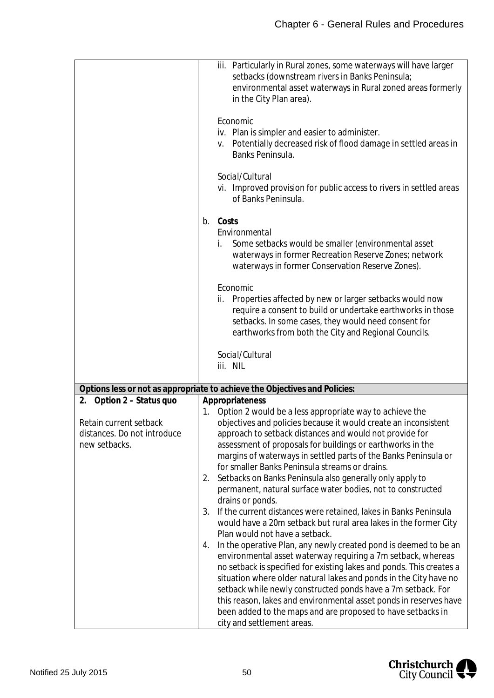|                             | iii. Particularly in Rural zones, some waterways will have larger<br>setbacks (downstream rivers in Banks Peninsula;<br>environmental asset waterways in Rural zoned areas formerly<br>in the City Plan area).<br>Economic<br>iv. Plan is simpler and easier to administer.<br>Potentially decreased risk of flood damage in settled areas in<br>V.<br>Banks Peninsula.<br>Social/Cultural |
|-----------------------------|--------------------------------------------------------------------------------------------------------------------------------------------------------------------------------------------------------------------------------------------------------------------------------------------------------------------------------------------------------------------------------------------|
|                             | vi. Improved provision for public access to rivers in settled areas<br>of Banks Peninsula.                                                                                                                                                                                                                                                                                                 |
|                             | Costs<br>$b_{\cdot}$<br>Environmental                                                                                                                                                                                                                                                                                                                                                      |
|                             | Some setbacks would be smaller (environmental asset<br>İ.<br>waterways in former Recreation Reserve Zones; network<br>waterways in former Conservation Reserve Zones).                                                                                                                                                                                                                     |
|                             | Economic<br>Properties affected by new or larger setbacks would now<br>ii.<br>require a consent to build or undertake earthworks in those<br>setbacks. In some cases, they would need consent for<br>earthworks from both the City and Regional Councils.                                                                                                                                  |
|                             | Social/Cultural                                                                                                                                                                                                                                                                                                                                                                            |
|                             | iii. NIL                                                                                                                                                                                                                                                                                                                                                                                   |
|                             | Options less or not as appropriate to achieve the Objectives and Policies:                                                                                                                                                                                                                                                                                                                 |
| 2. Option 2 - Status quo    | Appropriateness                                                                                                                                                                                                                                                                                                                                                                            |
|                             | Option 2 would be a less appropriate way to achieve the<br>1.                                                                                                                                                                                                                                                                                                                              |
| Retain current setback      | objectives and policies because it would create an inconsistent                                                                                                                                                                                                                                                                                                                            |
| distances. Do not introduce | approach to setback distances and would not provide for                                                                                                                                                                                                                                                                                                                                    |
| new setbacks.               | assessment of proposals for buildings or earthworks in the<br>margins of waterways in settled parts of the Banks Peninsula or                                                                                                                                                                                                                                                              |
|                             | for smaller Banks Peninsula streams or drains.                                                                                                                                                                                                                                                                                                                                             |
|                             | Setbacks on Banks Peninsula also generally only apply to<br>2.                                                                                                                                                                                                                                                                                                                             |
|                             | permanent, natural surface water bodies, not to constructed                                                                                                                                                                                                                                                                                                                                |
|                             | drains or ponds.<br>3.                                                                                                                                                                                                                                                                                                                                                                     |
|                             | If the current distances were retained, lakes in Banks Peninsula<br>would have a 20m setback but rural area lakes in the former City                                                                                                                                                                                                                                                       |
|                             | Plan would not have a setback.                                                                                                                                                                                                                                                                                                                                                             |
|                             | In the operative Plan, any newly created pond is deemed to be an<br>4.                                                                                                                                                                                                                                                                                                                     |
|                             | environmental asset waterway requiring a 7m setback, whereas                                                                                                                                                                                                                                                                                                                               |
|                             | no setback is specified for existing lakes and ponds. This creates a                                                                                                                                                                                                                                                                                                                       |
|                             | situation where older natural lakes and ponds in the City have no                                                                                                                                                                                                                                                                                                                          |
|                             | setback while newly constructed ponds have a 7m setback. For<br>this reason, lakes and environmental asset ponds in reserves have                                                                                                                                                                                                                                                          |
|                             | been added to the maps and are proposed to have setbacks in<br>city and settlement areas.                                                                                                                                                                                                                                                                                                  |

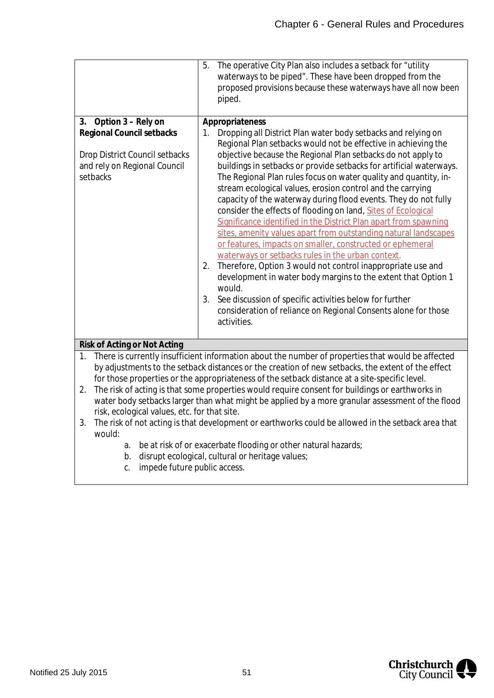|                                                                                                                                                  | The operative City Plan also includes a setback for "utility<br>5.<br>waterways to be piped". These have been dropped from the<br>proposed provisions because these waterways have all now been<br>piped.                                                                                                                                                                                                                                                                                                                                                                                                                                                                                                                                                                                                                                                                                                                                         |  |  |
|--------------------------------------------------------------------------------------------------------------------------------------------------|---------------------------------------------------------------------------------------------------------------------------------------------------------------------------------------------------------------------------------------------------------------------------------------------------------------------------------------------------------------------------------------------------------------------------------------------------------------------------------------------------------------------------------------------------------------------------------------------------------------------------------------------------------------------------------------------------------------------------------------------------------------------------------------------------------------------------------------------------------------------------------------------------------------------------------------------------|--|--|
| 3. Option 3 - Rely on                                                                                                                            | Appropriateness                                                                                                                                                                                                                                                                                                                                                                                                                                                                                                                                                                                                                                                                                                                                                                                                                                                                                                                                   |  |  |
| Regional Council setbacks<br>Drop District Council setbacks<br>and rely on Regional Council<br>setbacks                                          | Dropping all District Plan water body setbacks and relying on<br>1.<br>Regional Plan setbacks would not be effective in achieving the<br>objective because the Regional Plan setbacks do not apply to<br>buildings in setbacks or provide setbacks for artificial waterways.<br>The Regional Plan rules focus on water quality and quantity, in-<br>stream ecological values, erosion control and the carrying<br>capacity of the waterway during flood events. They do not fully<br>consider the effects of flooding on land, Sites of Ecological<br>Significance identified in the District Plan apart from spawning<br>sites, amenity values apart from outstanding natural landscapes<br>or features, impacts on smaller, constructed or ephemeral<br>waterways or setbacks rules in the urban context.<br>Therefore, Option 3 would not control inappropriate use and<br>2.<br>development in water body margins to the extent that Option 1 |  |  |
|                                                                                                                                                  | would.<br>3. See discussion of specific activities below for further<br>consideration of reliance on Regional Consents alone for those<br>activities.                                                                                                                                                                                                                                                                                                                                                                                                                                                                                                                                                                                                                                                                                                                                                                                             |  |  |
| Risk of Acting or Not Acting                                                                                                                     |                                                                                                                                                                                                                                                                                                                                                                                                                                                                                                                                                                                                                                                                                                                                                                                                                                                                                                                                                   |  |  |
| 1.<br>2.                                                                                                                                         | There is currently insufficient information about the number of properties that would be affected<br>by adjustments to the setback distances or the creation of new setbacks, the extent of the effect<br>for those properties or the appropriateness of the setback distance at a site-specific level.<br>The risk of acting is that some properties would require consent for buildings or earthworks in                                                                                                                                                                                                                                                                                                                                                                                                                                                                                                                                        |  |  |
| water body setbacks larger than what might be applied by a more granular assessment of the flood<br>risk, ecological values, etc. for that site. |                                                                                                                                                                                                                                                                                                                                                                                                                                                                                                                                                                                                                                                                                                                                                                                                                                                                                                                                                   |  |  |
| 3.<br>would:                                                                                                                                     | The risk of not acting is that development or earthworks could be allowed in the setback area that                                                                                                                                                                                                                                                                                                                                                                                                                                                                                                                                                                                                                                                                                                                                                                                                                                                |  |  |
| a.                                                                                                                                               | be at risk of or exacerbate flooding or other natural hazards;                                                                                                                                                                                                                                                                                                                                                                                                                                                                                                                                                                                                                                                                                                                                                                                                                                                                                    |  |  |
| b.<br>impede future public access.<br>C.                                                                                                         | disrupt ecological, cultural or heritage values;                                                                                                                                                                                                                                                                                                                                                                                                                                                                                                                                                                                                                                                                                                                                                                                                                                                                                                  |  |  |

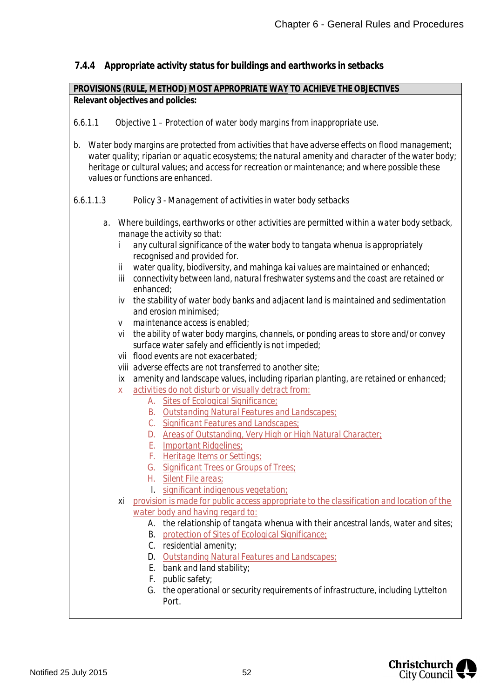**7.4.4 Appropriate activity status for buildings and earthworks in setbacks**

**PROVISIONS (RULE, METHOD) MOST APPROPRIATE WAY TO ACHIEVE THE OBJECTIVES Relevant objectives and policies:**

- *6.6.1.1 Objective 1 Protection of water body margins from inappropriate use.*
- *b. Water body margins are protected from activities that have adverse effects on flood management; water quality; riparian or aquatic ecosystems; the natural amenity and character of the water body; heritage or cultural values; and access for recreation or maintenance; and where possible these values or functions are enhanced.*
- *6.6.1.1.3 Policy 3 Management of activities in water body setbacks*
	- *a. Where buildings, earthworks or other activities are permitted within a water body setback, manage the activity so that:*
		- *i any cultural significance of the water body to tangata whenua is appropriately recognised and provided for.*
		- *ii water quality, biodiversity, and mahinga kai values are maintained or enhanced;*
		- *iii connectivity between land, natural freshwater systems and the coast are retained or enhanced;*
		- *iv the stability of water body banks and adjacent land is maintained and sedimentation and erosion minimised;*
		- *v maintenance access is enabled;*
		- *vi the ability of water body margins, channels, or ponding areas to store and/or convey surface water safely and efficiently is not impeded;*
		- *vii flood events are not exacerbated;*
		- *viii adverse effects are not transferred to another site;*
		- *ix amenity and landscape values, including riparian planting, are retained or enhanced;*
		- *x activities do not disturb or visually detract from:*
			- *A. Sites of Ecological Significance;*
				- *B. Outstanding Natural Features and Landscapes;*
				- *C. Significant Features and Landscapes;*
				- *D. Areas of Outstanding, Very High or High Natural Character;*
				- *E. Important Ridgelines;*
				- *F. Heritage Items or Settings;*
				- *G. Significant Trees or Groups of Trees;*
				- *H. Silent File areas;*
				- *I. significant indigenous vegetation;*
		- *xi provision is made for public access appropriate to the classification and location of the water body and having regard to:*
			- *A. the relationship of tangata whenua with their ancestral lands, water and sites;*
			- *B. protection of Sites of Ecological Significance;*
			- *C. residential amenity;*
			- *D. Outstanding Natural Features and Landscapes;*
			- *E. bank and land stability;*
			- *F. public safety;*
			- *G. the operational or security requirements of infrastructure, including Lyttelton Port.*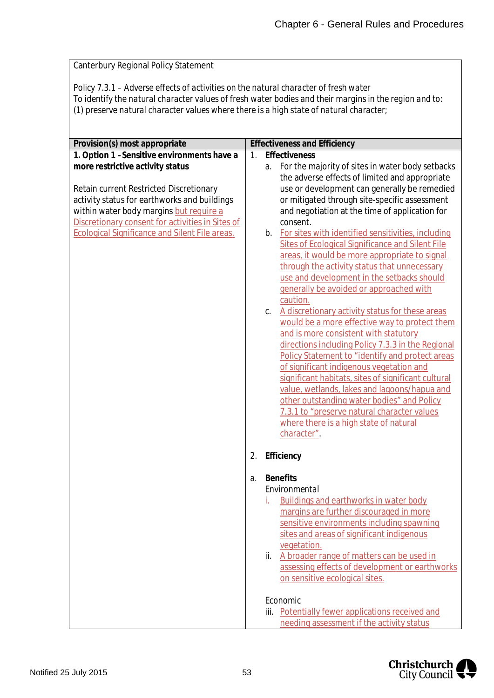#### Canterbury Regional Policy Statement

*Policy 7.3.1 – Adverse effects of activities on the natural character of fresh water To identify the natural character values of fresh water bodies and their margins in the region and to: (1) preserve natural character values where there is a high state of natural character;*

| Provision(s) most appropriate                    |    | <b>Effectiveness and Efficiency</b>                                                                         |
|--------------------------------------------------|----|-------------------------------------------------------------------------------------------------------------|
| 1. Option 1-Sensitive environments have a        | 1. | Effectiveness                                                                                               |
| more restrictive activity status                 |    | For the majority of sites in water body setbacks<br>a.                                                      |
|                                                  |    | the adverse effects of limited and appropriate                                                              |
| Retain current Restricted Discretionary          |    | use or development can generally be remedied                                                                |
| activity status for earthworks and buildings     |    | or mitigated through site-specific assessment                                                               |
| within water body margins but require a          |    | and negotiation at the time of application for                                                              |
| Discretionary consent for activities in Sites of |    | consent.                                                                                                    |
| Ecological Significance and Silent File areas.   |    | For sites with identified sensitivities, including<br>b.                                                    |
|                                                  |    | Sites of Ecological Significance and Silent File                                                            |
|                                                  |    | areas, it would be more appropriate to signal                                                               |
|                                                  |    | through the activity status that unnecessary                                                                |
|                                                  |    | use and development in the setbacks should                                                                  |
|                                                  |    | generally be avoided or approached with                                                                     |
|                                                  |    | caution.                                                                                                    |
|                                                  |    | A discretionary activity status for these areas<br>$C_{1}$<br>would be a more effective way to protect them |
|                                                  |    | and is more consistent with statutory                                                                       |
|                                                  |    | directions including Policy 7.3.3 in the Regional                                                           |
|                                                  |    | Policy Statement to "identify and protect areas                                                             |
|                                                  |    | of significant indigenous vegetation and                                                                    |
|                                                  |    | significant habitats, sites of significant cultural                                                         |
|                                                  |    | value, wetlands, lakes and lagoons/hapua and                                                                |
|                                                  |    | other outstanding water bodies" and Policy                                                                  |
|                                                  |    | 7.3.1 to "preserve natural character values                                                                 |
|                                                  |    | where there is a high state of natural                                                                      |
|                                                  |    | character".                                                                                                 |
|                                                  | 2. |                                                                                                             |
|                                                  |    | Efficiency                                                                                                  |
|                                                  | a. | <b>Benefits</b>                                                                                             |
|                                                  |    | Environmental                                                                                               |
|                                                  |    | Buildings and earthworks in water body<br>i.                                                                |
|                                                  |    | margins are further discouraged in more                                                                     |
|                                                  |    | sensitive environments including spawning                                                                   |
|                                                  |    | sites and areas of significant indigenous                                                                   |
|                                                  |    | vegetation.                                                                                                 |
|                                                  |    | A broader range of matters can be used in<br>ii.                                                            |
|                                                  |    | assessing effects of development or earthworks                                                              |
|                                                  |    | on sensitive ecological sites.                                                                              |
|                                                  |    | Economic                                                                                                    |
|                                                  |    | iii. Potentially fewer applications received and                                                            |
|                                                  |    | needing assessment if the activity status                                                                   |

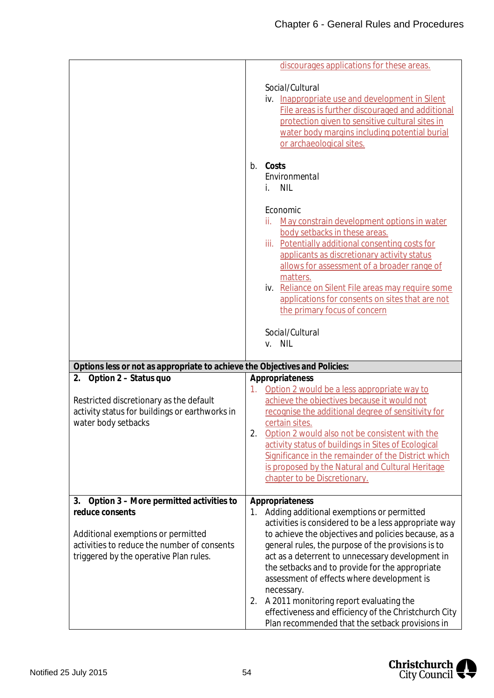|                                                                                                                                                                                                 | discourages applications for these areas.<br>Social/Cultural<br>iv. Inappropriate use and development in Silent<br>File areas is further discouraged and additional<br>protection given to sensitive cultural sites in<br>water body margins including potential burial<br>or archaeological sites.                                                                                                   |  |
|-------------------------------------------------------------------------------------------------------------------------------------------------------------------------------------------------|-------------------------------------------------------------------------------------------------------------------------------------------------------------------------------------------------------------------------------------------------------------------------------------------------------------------------------------------------------------------------------------------------------|--|
|                                                                                                                                                                                                 | Costs<br>b <sub>1</sub><br>Environmental<br><b>NIL</b><br>i.                                                                                                                                                                                                                                                                                                                                          |  |
|                                                                                                                                                                                                 | Economic<br>May constrain development options in water<br>ii.<br>body setbacks in these areas.<br>iii. Potentially additional consenting costs for<br>applicants as discretionary activity status<br>allows for assessment of a broader range of<br>matters.<br>iv. Reliance on Silent File areas may require some<br>applications for consents on sites that are not<br>the primary focus of concern |  |
|                                                                                                                                                                                                 | Social/Cultural<br><b>NIL</b><br>V.                                                                                                                                                                                                                                                                                                                                                                   |  |
|                                                                                                                                                                                                 |                                                                                                                                                                                                                                                                                                                                                                                                       |  |
| Options less or not as appropriate to achieve the Objectives and Policies:                                                                                                                      |                                                                                                                                                                                                                                                                                                                                                                                                       |  |
| 2. Option 2 - Status quo<br>Restricted discretionary as the default                                                                                                                             | Appropriateness<br>Option 2 would be a less appropriate way to<br>1.<br>achieve the objectives because it would not                                                                                                                                                                                                                                                                                   |  |
| activity status for buildings or earthworks in<br>water body setbacks                                                                                                                           | recognise the additional degree of sensitivity for<br>certain sites.                                                                                                                                                                                                                                                                                                                                  |  |
|                                                                                                                                                                                                 | 2.<br>Option 2 would also not be consistent with the<br>activity status of buildings in Sites of Ecological<br>Significance in the remainder of the District which<br>is proposed by the Natural and Cultural Heritage<br>chapter to be Discretionary.                                                                                                                                                |  |
| Option 3 - More permitted activities to<br>3.<br>reduce consents<br>Additional exemptions or permitted<br>activities to reduce the number of consents<br>triggered by the operative Plan rules. | Appropriateness<br>Adding additional exemptions or permitted<br>1.<br>activities is considered to be a less appropriate way<br>to achieve the objectives and policies because, as a<br>general rules, the purpose of the provisions is to<br>act as a deterrent to unnecessary development in<br>the setbacks and to provide for the appropriate                                                      |  |
|                                                                                                                                                                                                 | assessment of effects where development is<br>necessary.<br>A 2011 monitoring report evaluating the<br>2.<br>effectiveness and efficiency of the Christchurch City<br>Plan recommended that the setback provisions in                                                                                                                                                                                 |  |

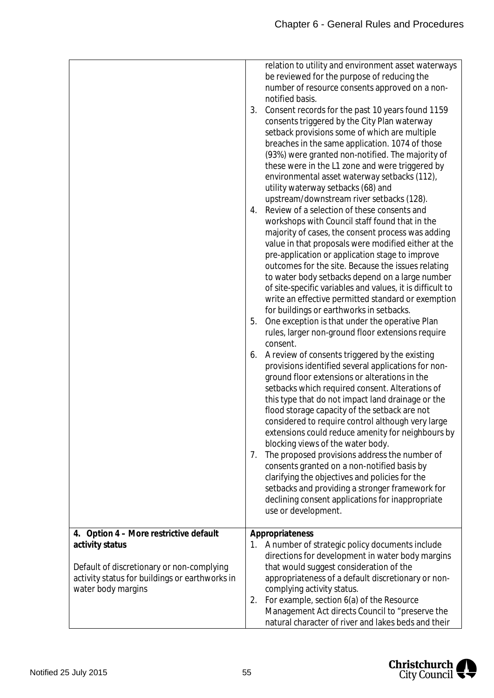|                                                                                                                                                                                | 3.<br>4.<br>5.<br>6.<br>7. | relation to utility and environment asset waterways<br>be reviewed for the purpose of reducing the<br>number of resource consents approved on a non-<br>notified basis.<br>Consent records for the past 10 years found 1159<br>consents triggered by the City Plan waterway<br>setback provisions some of which are multiple<br>breaches in the same application. 1074 of those<br>(93%) were granted non-notified. The majority of<br>these were in the L1 zone and were triggered by<br>environmental asset waterway setbacks (112),<br>utility waterway setbacks (68) and<br>upstream/downstream river setbacks (128).<br>Review of a selection of these consents and<br>workshops with Council staff found that in the<br>majority of cases, the consent process was adding<br>value in that proposals were modified either at the<br>pre-application or application stage to improve<br>outcomes for the site. Because the issues relating<br>to water body setbacks depend on a large number<br>of site-specific variables and values, it is difficult to<br>write an effective permitted standard or exemption<br>for buildings or earthworks in setbacks.<br>One exception is that under the operative Plan<br>rules, larger non-ground floor extensions require<br>consent.<br>A review of consents triggered by the existing<br>provisions identified several applications for non-<br>ground floor extensions or alterations in the<br>setbacks which required consent. Alterations of<br>this type that do not impact land drainage or the<br>flood storage capacity of the setback are not<br>considered to require control although very large<br>extensions could reduce amenity for neighbours by<br>blocking views of the water body.<br>The proposed provisions address the number of<br>consents granted on a non-notified basis by<br>clarifying the objectives and policies for the<br>setbacks and providing a stronger framework for<br>declining consent applications for inappropriate |
|--------------------------------------------------------------------------------------------------------------------------------------------------------------------------------|----------------------------|-----------------------------------------------------------------------------------------------------------------------------------------------------------------------------------------------------------------------------------------------------------------------------------------------------------------------------------------------------------------------------------------------------------------------------------------------------------------------------------------------------------------------------------------------------------------------------------------------------------------------------------------------------------------------------------------------------------------------------------------------------------------------------------------------------------------------------------------------------------------------------------------------------------------------------------------------------------------------------------------------------------------------------------------------------------------------------------------------------------------------------------------------------------------------------------------------------------------------------------------------------------------------------------------------------------------------------------------------------------------------------------------------------------------------------------------------------------------------------------------------------------------------------------------------------------------------------------------------------------------------------------------------------------------------------------------------------------------------------------------------------------------------------------------------------------------------------------------------------------------------------------------------------------------------------------------------------------------------------------------------------------------|
|                                                                                                                                                                                |                            | use or development.                                                                                                                                                                                                                                                                                                                                                                                                                                                                                                                                                                                                                                                                                                                                                                                                                                                                                                                                                                                                                                                                                                                                                                                                                                                                                                                                                                                                                                                                                                                                                                                                                                                                                                                                                                                                                                                                                                                                                                                             |
| 4. Option 4 - More restrictive default<br>activity status<br>Default of discretionary or non-complying<br>activity status for buildings or earthworks in<br>water body margins | 2.                         | Appropriateness<br>1. A number of strategic policy documents include<br>directions for development in water body margins<br>that would suggest consideration of the<br>appropriateness of a default discretionary or non-<br>complying activity status.<br>For example, section 6(a) of the Resource<br>Management Act directs Council to "preserve the<br>natural character of river and lakes beds and their                                                                                                                                                                                                                                                                                                                                                                                                                                                                                                                                                                                                                                                                                                                                                                                                                                                                                                                                                                                                                                                                                                                                                                                                                                                                                                                                                                                                                                                                                                                                                                                                  |

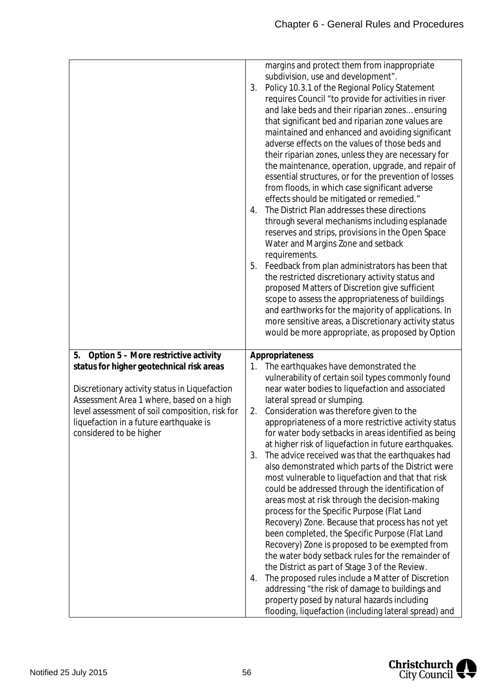|                                                                                                                                                                                                                                                                                                             | 3.<br>4.<br>5.       | margins and protect them from inappropriate<br>subdivision, use and development".<br>Policy 10.3.1 of the Regional Policy Statement<br>requires Council "to provide for activities in river<br>and lake beds and their riparian zones ensuring<br>that significant bed and riparian zone values are<br>maintained and enhanced and avoiding significant<br>adverse effects on the values of those beds and<br>their riparian zones, unless they are necessary for<br>the maintenance, operation, upgrade, and repair of<br>essential structures, or for the prevention of losses<br>from floods, in which case significant adverse<br>effects should be mitigated or remedied."<br>The District Plan addresses these directions<br>through several mechanisms including esplanade<br>reserves and strips, provisions in the Open Space<br>Water and Margins Zone and setback<br>requirements.<br>Feedback from plan administrators has been that<br>the restricted discretionary activity status and<br>proposed Matters of Discretion give sufficient<br>scope to assess the appropriateness of buildings<br>and earthworks for the majority of applications. In<br>more sensitive areas, a Discretionary activity status<br>would be more appropriate, as proposed by Option |
|-------------------------------------------------------------------------------------------------------------------------------------------------------------------------------------------------------------------------------------------------------------------------------------------------------------|----------------------|--------------------------------------------------------------------------------------------------------------------------------------------------------------------------------------------------------------------------------------------------------------------------------------------------------------------------------------------------------------------------------------------------------------------------------------------------------------------------------------------------------------------------------------------------------------------------------------------------------------------------------------------------------------------------------------------------------------------------------------------------------------------------------------------------------------------------------------------------------------------------------------------------------------------------------------------------------------------------------------------------------------------------------------------------------------------------------------------------------------------------------------------------------------------------------------------------------------------------------------------------------------------------------|
|                                                                                                                                                                                                                                                                                                             |                      |                                                                                                                                                                                                                                                                                                                                                                                                                                                                                                                                                                                                                                                                                                                                                                                                                                                                                                                                                                                                                                                                                                                                                                                                                                                                                |
| Option 5 - More restrictive activity<br>5.<br>status for higher geotechnical risk areas<br>Discretionary activity status in Liquefaction<br>Assessment Area 1 where, based on a high<br>level assessment of soil composition, risk for<br>liquefaction in a future earthquake is<br>considered to be higher | 1.<br>2.<br>3.<br>4. | Appropriateness<br>The earthquakes have demonstrated the<br>vulnerability of certain soil types commonly found<br>near water bodies to liquefaction and associated<br>lateral spread or slumping.<br>Consideration was therefore given to the<br>appropriateness of a more restrictive activity status<br>for water body setbacks in areas identified as being<br>at higher risk of liquefaction in future earthquakes.<br>The advice received was that the earthquakes had<br>also demonstrated which parts of the District were<br>most vulnerable to liquefaction and that that risk<br>could be addressed through the identification of<br>areas most at risk through the decision-making<br>process for the Specific Purpose (Flat Land<br>Recovery) Zone. Because that process has not yet<br>been completed, the Specific Purpose (Flat Land<br>Recovery) Zone is proposed to be exempted from<br>the water body setback rules for the remainder of<br>the District as part of Stage 3 of the Review.<br>The proposed rules include a Matter of Discretion<br>addressing "the risk of damage to buildings and<br>property posed by natural hazards including<br>flooding, liquefaction (including lateral spread) and                                                   |

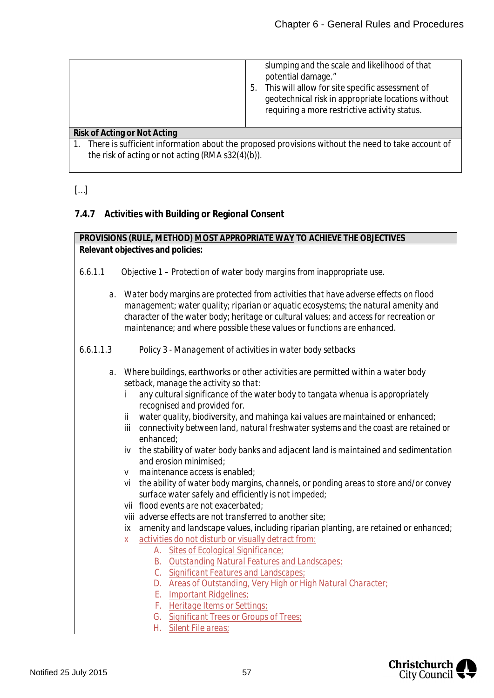|                              | 5. | slumping and the scale and likelihood of that<br>potential damage."<br>This will allow for site specific assessment of<br>geotechnical risk in appropriate locations without<br>requiring a more restrictive activity status. |
|------------------------------|----|-------------------------------------------------------------------------------------------------------------------------------------------------------------------------------------------------------------------------------|
| Risk of Acting or Not Acting |    |                                                                                                                                                                                                                               |

1. There is sufficient information about the proposed provisions without the need to take account of the risk of acting or not acting (RMA s32(4)(b)).

[…]

## **7.4.7 Activities with Building or Regional Consent**

**PROVISIONS (RULE, METHOD) MOST APPROPRIATE WAY TO ACHIEVE THE OBJECTIVES Relevant objectives and policies:** *6.6.1.1 Objective 1 – Protection of water body margins from inappropriate use. a. Water body margins are protected from activities that have adverse effects on flood management; water quality; riparian or aquatic ecosystems; the natural amenity and character of the water body; heritage or cultural values; and access for recreation or maintenance; and where possible these values or functions are enhanced. 6.6.1.1.3 Policy 3 - Management of activities in water body setbacks a. Where buildings, earthworks or other activities are permitted within a water body setback, manage the activity so that: i any cultural significance of the water body to tangata whenua is appropriately recognised and provided for. ii water quality, biodiversity, and mahinga kai values are maintained or enhanced; iii connectivity between land, natural freshwater systems and the coast are retained or enhanced; iv the stability of water body banks and adjacent land is maintained and sedimentation and erosion minimised; v maintenance access is enabled; vi the ability of water body margins, channels, or ponding areas to store and/or convey surface water safely and efficiently is not impeded; vii flood events are not exacerbated; viii adverse effects are not transferred to another site; ix amenity and landscape values, including riparian planting, are retained or enhanced; x activities do not disturb or visually detract from: A. Sites of Ecological Significance; B. Outstanding Natural Features and Landscapes; C. Significant Features and Landscapes; D. Areas of Outstanding, Very High or High Natural Character; E. Important Ridgelines; F. Heritage Items or Settings; G. Significant Trees or Groups of Trees;*

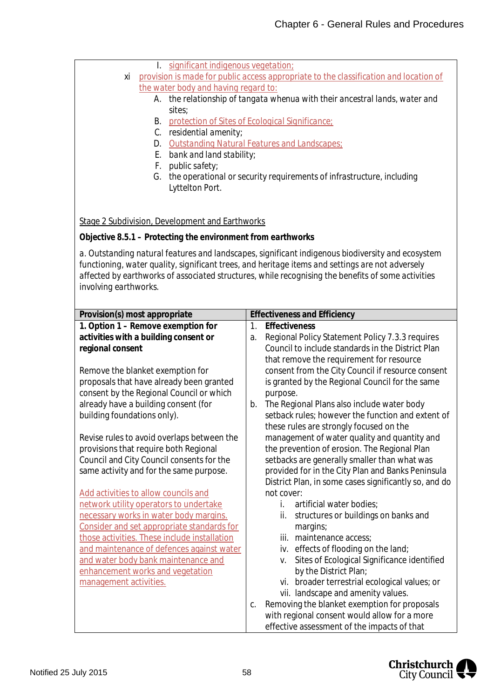| significant indigenous vegetation; |  |
|------------------------------------|--|
|                                    |  |

- *xi provision is made for public access appropriate to the classification and location of the water body and having regard to:*
	- *A. the relationship of tangata whenua with their ancestral lands, water and sites;*
	- *B. protection of Sites of Ecological Significance;*
	- *C. residential amenity;*
	- *D. Outstanding Natural Features and Landscapes;*
	- *E. bank and land stability;*
	- *F. public safety;*
	- *G. the operational or security requirements of infrastructure, including Lyttelton Port.*

Stage 2 Subdivision, Development and Earthworks

*Objective 8.5.1 – Protecting the environment from earthworks*

*a. Outstanding natural features and landscapes, significant indigenous biodiversity and ecosystem functioning, water quality, significant trees, and heritage items and settings are not adversely affected by earthworks of associated structures, while recognising the benefits of some activities involving earthworks.*

| Provision(s) most appropriate                |              | <b>Effectiveness and Efficiency</b>                                                 |
|----------------------------------------------|--------------|-------------------------------------------------------------------------------------|
| 1. Option 1 - Remove exemption for           | $\mathbf{1}$ | Effectiveness                                                                       |
| activities with a building consent or        | a.           | Regional Policy Statement Policy 7.3.3 requires                                     |
| regional consent                             |              | Council to include standards in the District Plan                                   |
|                                              |              | that remove the requirement for resource                                            |
| Remove the blanket exemption for             |              | consent from the City Council if resource consent                                   |
| proposals that have already been granted     |              | is granted by the Regional Council for the same                                     |
| consent by the Regional Council or which     |              | purpose.                                                                            |
| already have a building consent (for         | b.           | The Regional Plans also include water body                                          |
| building foundations only).                  |              | setback rules; however the function and extent of                                   |
|                                              |              | these rules are strongly focused on the                                             |
| Revise rules to avoid overlaps between the   |              | management of water quality and quantity and                                        |
| provisions that require both Regional        |              | the prevention of erosion. The Regional Plan                                        |
| Council and City Council consents for the    |              | setbacks are generally smaller than what was                                        |
| same activity and for the same purpose.      |              | provided for in the City Plan and Banks Peninsula                                   |
|                                              |              | District Plan, in some cases significantly so, and do                               |
| Add activities to allow councils and         |              | not cover:                                                                          |
| network utility operators to undertake       |              | artificial water bodies:<br>i.                                                      |
| necessary works in water body margins.       |              | structures or buildings on banks and<br>ii.                                         |
| Consider and set appropriate standards for   |              | margins;                                                                            |
| those activities. These include installation |              | iii. maintenance access;                                                            |
| and maintenance of defences against water    |              | iv. effects of flooding on the land;                                                |
| and water body bank maintenance and          |              | Sites of Ecological Significance identified<br>V.                                   |
| enhancement works and vegetation             |              | by the District Plan;                                                               |
| management activities.                       |              | vi. broader terrestrial ecological values; or<br>vii. landscape and amenity values. |
|                                              | C.           | Removing the blanket exemption for proposals                                        |
|                                              |              | with regional consent would allow for a more                                        |
|                                              |              | effective assessment of the impacts of that                                         |
|                                              |              |                                                                                     |

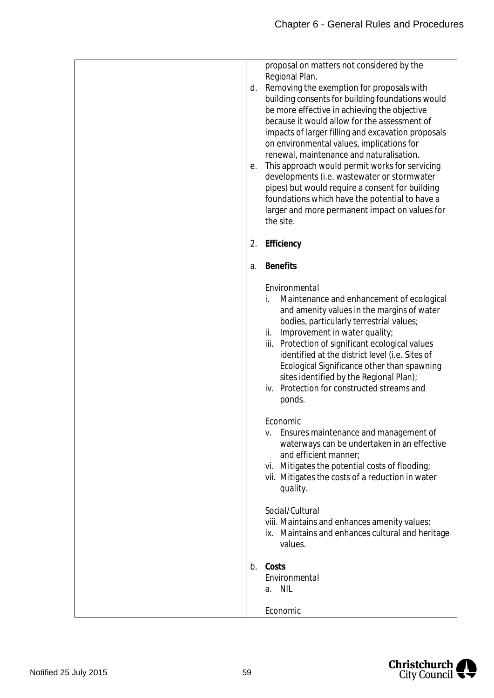| d.<br>е. | proposal on matters not considered by the<br>Regional Plan.<br>Removing the exemption for proposals with<br>building consents for building foundations would<br>be more effective in achieving the objective<br>because it would allow for the assessment of<br>impacts of larger filling and excavation proposals<br>on environmental values, implications for<br>renewal, maintenance and naturalisation.<br>This approach would permit works for servicing<br>developments (i.e. wastewater or stormwater<br>pipes) but would require a consent for building<br>foundations which have the potential to have a<br>larger and more permanent impact on values for<br>the site. |
|----------|----------------------------------------------------------------------------------------------------------------------------------------------------------------------------------------------------------------------------------------------------------------------------------------------------------------------------------------------------------------------------------------------------------------------------------------------------------------------------------------------------------------------------------------------------------------------------------------------------------------------------------------------------------------------------------|
| 2.       | Efficiency                                                                                                                                                                                                                                                                                                                                                                                                                                                                                                                                                                                                                                                                       |
| a.       | <b>Benefits</b>                                                                                                                                                                                                                                                                                                                                                                                                                                                                                                                                                                                                                                                                  |
|          | Environmental<br>i.<br>Maintenance and enhancement of ecological<br>and amenity values in the margins of water<br>bodies, particularly terrestrial values;<br>Improvement in water quality;<br>ii.<br>iii. Protection of significant ecological values<br>identified at the district level (i.e. Sites of<br>Ecological Significance other than spawning<br>sites identified by the Regional Plan);<br>iv. Protection for constructed streams and<br>ponds.                                                                                                                                                                                                                      |
|          | Economic<br>Ensures maintenance and management of<br>V.<br>waterways can be undertaken in an effective<br>and efficient manner:<br>vi. Mitigates the potential costs of flooding;<br>vii. Mitigates the costs of a reduction in water<br>quality.                                                                                                                                                                                                                                                                                                                                                                                                                                |
|          | Social/Cultural<br>viii. Maintains and enhances amenity values;<br>ix. Maintains and enhances cultural and heritage<br>values.                                                                                                                                                                                                                                                                                                                                                                                                                                                                                                                                                   |
| b.       | Costs<br>Environmental<br><b>NIL</b><br>a.                                                                                                                                                                                                                                                                                                                                                                                                                                                                                                                                                                                                                                       |
|          | Economic                                                                                                                                                                                                                                                                                                                                                                                                                                                                                                                                                                                                                                                                         |

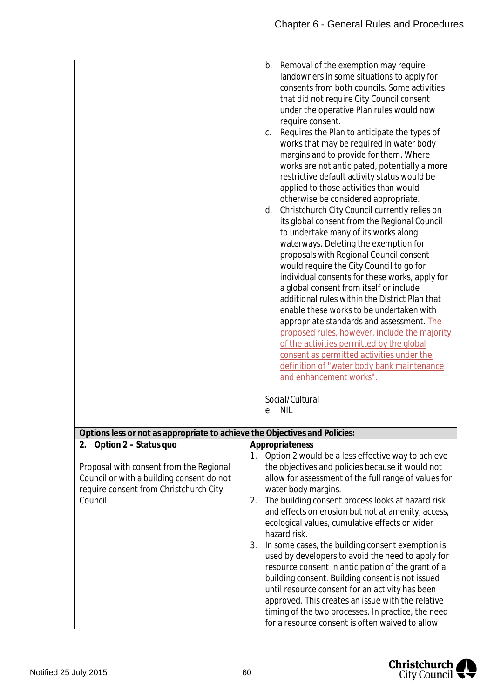|                                                                                                                                           | C.<br>d.       | b. Removal of the exemption may require<br>landowners in some situations to apply for<br>consents from both councils. Some activities<br>that did not require City Council consent<br>under the operative Plan rules would now<br>require consent.<br>Requires the Plan to anticipate the types of<br>works that may be required in water body<br>margins and to provide for them. Where<br>works are not anticipated, potentially a more<br>restrictive default activity status would be<br>applied to those activities than would<br>otherwise be considered appropriate.<br>Christchurch City Council currently relies on<br>its global consent from the Regional Council<br>to undertake many of its works along<br>waterways. Deleting the exemption for<br>proposals with Regional Council consent<br>would require the City Council to go for<br>individual consents for these works, apply for<br>a global consent from itself or include<br>additional rules within the District Plan that<br>enable these works to be undertaken with<br>appropriate standards and assessment. The<br>proposed rules, however, include the majority<br>of the activities permitted by the global<br>consent as permitted activities under the<br>definition of "water body bank maintenance<br>and enhancement works". |
|-------------------------------------------------------------------------------------------------------------------------------------------|----------------|------------------------------------------------------------------------------------------------------------------------------------------------------------------------------------------------------------------------------------------------------------------------------------------------------------------------------------------------------------------------------------------------------------------------------------------------------------------------------------------------------------------------------------------------------------------------------------------------------------------------------------------------------------------------------------------------------------------------------------------------------------------------------------------------------------------------------------------------------------------------------------------------------------------------------------------------------------------------------------------------------------------------------------------------------------------------------------------------------------------------------------------------------------------------------------------------------------------------------------------------------------------------------------------------------------------|
|                                                                                                                                           |                | Social/Cultural                                                                                                                                                                                                                                                                                                                                                                                                                                                                                                                                                                                                                                                                                                                                                                                                                                                                                                                                                                                                                                                                                                                                                                                                                                                                                                  |
|                                                                                                                                           | е.             | <b>NIL</b>                                                                                                                                                                                                                                                                                                                                                                                                                                                                                                                                                                                                                                                                                                                                                                                                                                                                                                                                                                                                                                                                                                                                                                                                                                                                                                       |
|                                                                                                                                           |                |                                                                                                                                                                                                                                                                                                                                                                                                                                                                                                                                                                                                                                                                                                                                                                                                                                                                                                                                                                                                                                                                                                                                                                                                                                                                                                                  |
| Options less or not as appropriate to achieve the Objectives and Policies:                                                                |                |                                                                                                                                                                                                                                                                                                                                                                                                                                                                                                                                                                                                                                                                                                                                                                                                                                                                                                                                                                                                                                                                                                                                                                                                                                                                                                                  |
| Option 2 – Status quo<br>2.                                                                                                               |                | Appropriateness                                                                                                                                                                                                                                                                                                                                                                                                                                                                                                                                                                                                                                                                                                                                                                                                                                                                                                                                                                                                                                                                                                                                                                                                                                                                                                  |
| Proposal with consent from the Regional<br>Council or with a building consent do not<br>require consent from Christchurch City<br>Council | 1.<br>2.<br>3. | Option 2 would be a less effective way to achieve<br>the objectives and policies because it would not<br>allow for assessment of the full range of values for<br>water body margins.<br>The building consent process looks at hazard risk<br>and effects on erosion but not at amenity, access,<br>ecological values, cumulative effects or wider<br>hazard risk.<br>In some cases, the building consent exemption is<br>used by developers to avoid the need to apply for<br>resource consent in anticipation of the grant of a<br>building consent. Building consent is not issued<br>until resource consent for an activity has been<br>approved. This creates an issue with the relative<br>timing of the two processes. In practice, the need<br>for a resource consent is often waived to allow                                                                                                                                                                                                                                                                                                                                                                                                                                                                                                            |

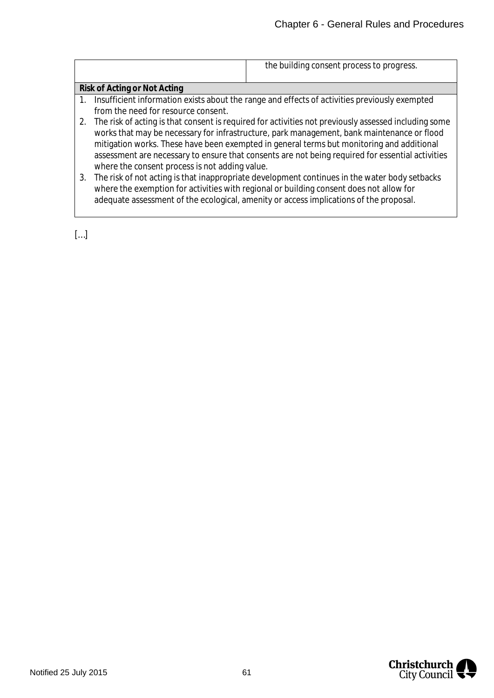|    | the building consent process to progress.                                                            |
|----|------------------------------------------------------------------------------------------------------|
|    | Risk of Acting or Not Acting                                                                         |
|    | Insufficient information exists about the range and effects of activities previously exempted        |
|    | from the need for resource consent.                                                                  |
| 2. | The risk of acting is that consent is required for activities not previously assessed including some |
|    | works that may be necessary for infrastructure, park management, bank maintenance or flood           |
|    | mitigation works. These have been exempted in general terms but monitoring and additional            |
|    | assessment are necessary to ensure that consents are not being required for essential activities     |
|    | where the consent process is not adding value.                                                       |
| 3. | The risk of not acting is that inappropriate development continues in the water body setbacks        |
|    | where the exemption for activities with regional or building consent does not allow for              |
|    | adequate assessment of the ecological, amenity or access implications of the proposal.               |
|    |                                                                                                      |

[…]

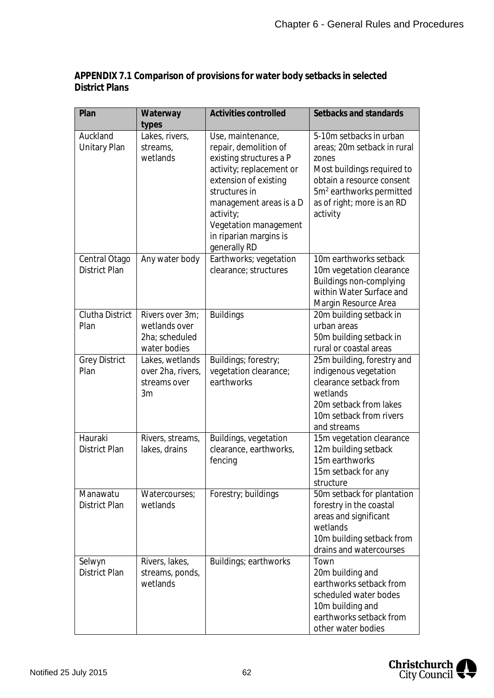**APPENDIX 7.1 Comparison of provisions for water body setbacks in selected District Plans**

| Plan                                  | Waterway<br>types                                                  | <b>Activities controlled</b>                                                                                                                                                                                                                           | Setbacks and standards                                                                                                                                                                                       |
|---------------------------------------|--------------------------------------------------------------------|--------------------------------------------------------------------------------------------------------------------------------------------------------------------------------------------------------------------------------------------------------|--------------------------------------------------------------------------------------------------------------------------------------------------------------------------------------------------------------|
| Auckland<br><b>Unitary Plan</b>       | Lakes, rivers,<br>streams,<br>wetlands                             | Use, maintenance,<br>repair, demolition of<br>existing structures a P<br>activity; replacement or<br>extension of existing<br>structures in<br>management areas is a D<br>activity;<br>Vegetation management<br>in riparian margins is<br>generally RD | 5-10m setbacks in urban<br>areas; 20m setback in rural<br>zones<br>Most buildings required to<br>obtain a resource consent<br>5m <sup>2</sup> earthworks permitted<br>as of right; more is an RD<br>activity |
| Central Otago<br><b>District Plan</b> | Any water body                                                     | Earthworks; vegetation<br>clearance; structures                                                                                                                                                                                                        | 10m earthworks setback<br>10m vegetation clearance<br><b>Buildings non-complying</b><br>within Water Surface and<br>Margin Resource Area                                                                     |
| <b>Clutha District</b><br>Plan        | Rivers over 3m;<br>wetlands over<br>2ha; scheduled<br>water bodies | <b>Buildings</b>                                                                                                                                                                                                                                       | 20m building setback in<br>urban areas<br>50m building setback in<br>rural or coastal areas                                                                                                                  |
| <b>Grey District</b><br>Plan          | Lakes, wetlands<br>over 2ha, rivers,<br>streams over<br>3m         | Buildings; forestry;<br>vegetation clearance;<br>earthworks                                                                                                                                                                                            | 25m building, forestry and<br>indigenous vegetation<br>clearance setback from<br>wetlands<br>20m setback from lakes<br>10m setback from rivers<br>and streams                                                |
| Hauraki<br><b>District Plan</b>       | Rivers, streams,<br>lakes, drains                                  | Buildings, vegetation<br>clearance, earthworks,<br>fencing                                                                                                                                                                                             | 15m vegetation clearance<br>12m building setback<br>15m earthworks<br>15m setback for any<br>structure                                                                                                       |
| Manawatu<br><b>District Plan</b>      | Watercourses;<br>wetlands                                          | Forestry; buildings                                                                                                                                                                                                                                    | 50m setback for plantation<br>forestry in the coastal<br>areas and significant<br>wetlands<br>10m building setback from<br>drains and watercourses                                                           |
| Selwyn<br><b>District Plan</b>        | Rivers, lakes,<br>streams, ponds,<br>wetlands                      | Buildings; earthworks                                                                                                                                                                                                                                  | Town<br>20m building and<br>earthworks setback from<br>scheduled water bodes<br>10m building and<br>earthworks setback from<br>other water bodies                                                            |

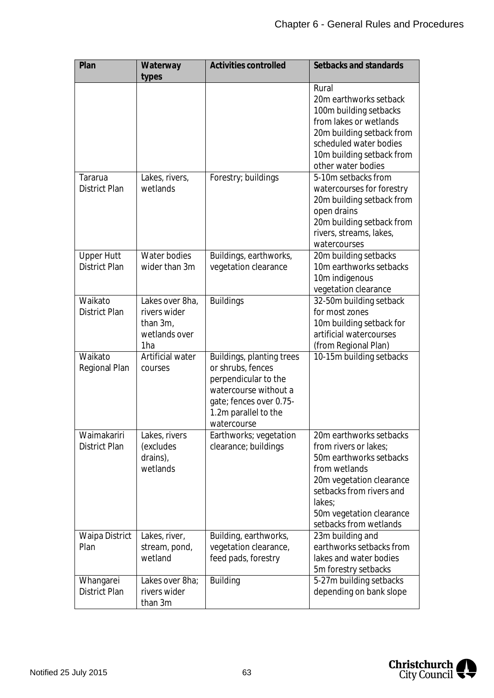| Plan                                      | Waterway<br>types                                                   | <b>Activities controlled</b>                                                                                                                                      | Setbacks and standards                                                                                                                                                                                               |
|-------------------------------------------|---------------------------------------------------------------------|-------------------------------------------------------------------------------------------------------------------------------------------------------------------|----------------------------------------------------------------------------------------------------------------------------------------------------------------------------------------------------------------------|
|                                           |                                                                     |                                                                                                                                                                   | Rural<br>20m earthworks setback<br>100m building setbacks<br>from lakes or wetlands<br>20m building setback from<br>scheduled water bodies<br>10m building setback from<br>other water bodies                        |
| Tararua<br><b>District Plan</b>           | Lakes, rivers,<br>wetlands                                          | Forestry; buildings                                                                                                                                               | 5-10m setbacks from<br>watercourses for forestry<br>20m building setback from<br>open drains<br>20m building setback from<br>rivers, streams, lakes,<br>watercourses                                                 |
| <b>Upper Hutt</b><br><b>District Plan</b> | Water bodies<br>wider than 3m                                       | Buildings, earthworks,<br>vegetation clearance                                                                                                                    | 20m building setbacks<br>10m earthworks setbacks<br>10m indigenous<br>vegetation clearance                                                                                                                           |
| Waikato<br><b>District Plan</b>           | Lakes over 8ha,<br>rivers wider<br>than 3m,<br>wetlands over<br>1ha | <b>Buildings</b>                                                                                                                                                  | 32-50m building setback<br>for most zones<br>10m building setback for<br>artificial watercourses<br>(from Regional Plan)                                                                                             |
| Waikato<br>Regional Plan                  | Artificial water<br>courses                                         | Buildings, planting trees<br>or shrubs, fences<br>perpendicular to the<br>watercourse without a<br>gate; fences over 0.75-<br>1.2m parallel to the<br>watercourse | 10-15m building setbacks                                                                                                                                                                                             |
| Waimakariri<br><b>District Plan</b>       | Lakes, rivers<br>(excludes<br>drains),<br>wetlands                  | Earthworks; vegetation<br>clearance; buildings                                                                                                                    | 20m earthworks setbacks<br>from rivers or lakes;<br>50m earthworks setbacks<br>from wetlands<br>20m vegetation clearance<br>setbacks from rivers and<br>lakes;<br>50m vegetation clearance<br>setbacks from wetlands |
| <b>Waipa District</b><br>Plan             | Lakes, river,<br>stream, pond,<br>wetland                           | Building, earthworks,<br>vegetation clearance,<br>feed pads, forestry                                                                                             | 23m building and<br>earthworks setbacks from<br>lakes and water bodies<br>5m forestry setbacks                                                                                                                       |
| Whangarei<br><b>District Plan</b>         | Lakes over 8ha;<br>rivers wider<br>than 3m                          | <b>Building</b>                                                                                                                                                   | 5-27m building setbacks<br>depending on bank slope                                                                                                                                                                   |

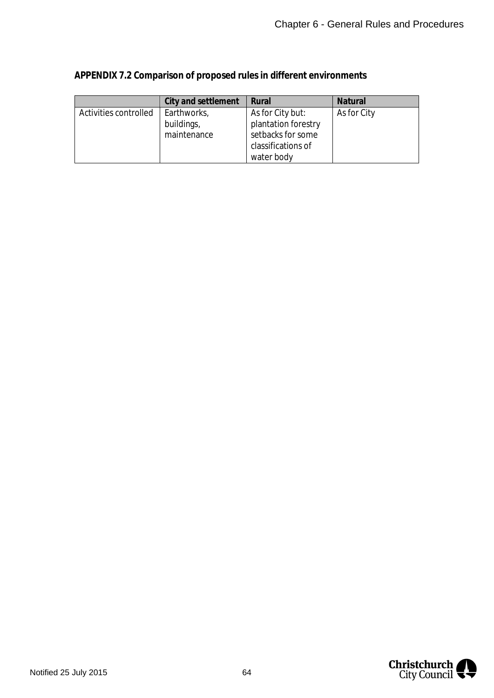|                       | City and settlement | Rural               | <b>Natural</b> |
|-----------------------|---------------------|---------------------|----------------|
| Activities controlled | Earthworks,         | As for City but:    | As for City    |
|                       | buildings,          | plantation forestry |                |
|                       | maintenance         | setbacks for some   |                |
|                       |                     | classifications of  |                |
|                       |                     | water body          |                |

**APPENDIX 7.2 Comparison of proposed rules in different environments**

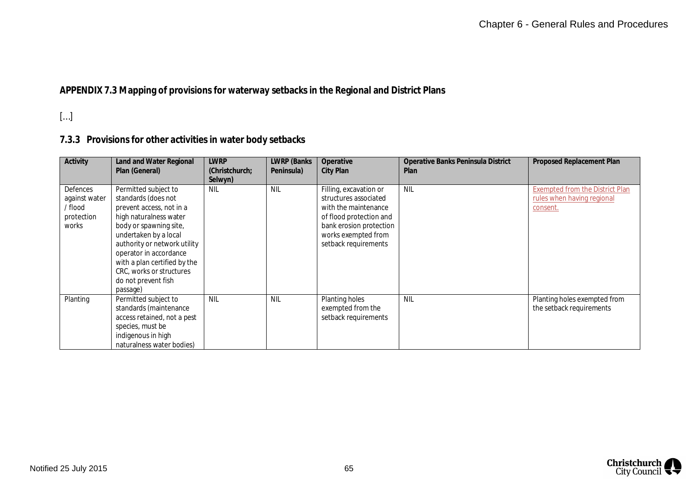## **APPENDIX 7.3 Mapping of provisions for waterway setbacks in the Regional and District Plans**

## […]

**7.3.3 Provisions for other activities in water body setbacks**

| Activity                                                           | Land and Water Regional<br>Plan (General)                                                                                                                                                                                                                                                                     | <b>LWRP</b><br>(Christchurch: | LWRP (Banks<br>Peninsula) | Operative<br>City Plan                                                                                                                                                       | Operative Banks Peninsula District<br>Plan | Proposed Replacement Plan                                                        |
|--------------------------------------------------------------------|---------------------------------------------------------------------------------------------------------------------------------------------------------------------------------------------------------------------------------------------------------------------------------------------------------------|-------------------------------|---------------------------|------------------------------------------------------------------------------------------------------------------------------------------------------------------------------|--------------------------------------------|----------------------------------------------------------------------------------|
| <b>Defences</b><br>against water<br>/ flood<br>protection<br>works | Permitted subject to<br>standards (does not<br>prevent access, not in a<br>high naturalness water<br>body or spawning site,<br>undertaken by a local<br>authority or network utility<br>operator in accordance<br>with a plan certified by the<br>CRC, works or structures<br>do not prevent fish<br>passage) | Selwyn)<br>NIL                | <b>NIL</b>                | Filling, excavation or<br>structures associated<br>with the maintenance<br>of flood protection and<br>bank erosion protection<br>works exempted from<br>setback requirements | <b>NIL</b>                                 | <b>Exempted from the District Plan</b><br>rules when having regional<br>consent. |
| Planting                                                           | Permitted subject to<br>standards (maintenance<br>access retained, not a pest<br>species, must be<br>indigenous in high<br>naturalness water bodies)                                                                                                                                                          | <b>NIL</b>                    | <b>NIL</b>                | Planting holes<br>exempted from the<br>setback requirements                                                                                                                  | <b>NIL</b>                                 | Planting holes exempted from<br>the setback requirements                         |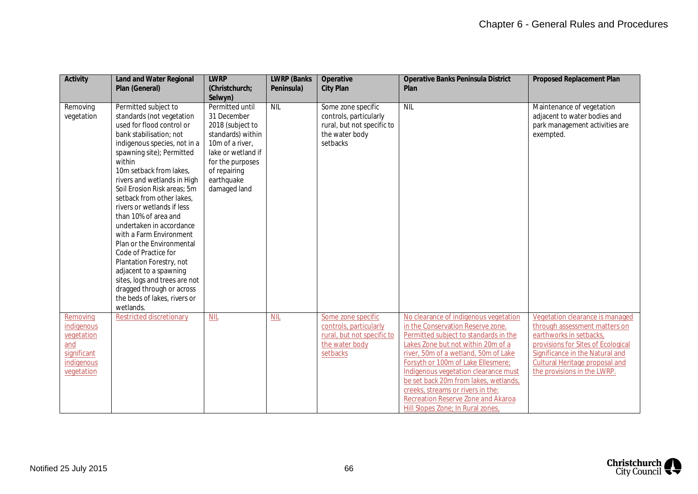| Activity                                                                                      | Land and Water Regional                                                                                                                                                                                                                                                                                                                                                                                                                                                                                                                                                                                                                   | <b>LWRP</b>                                                                                                                                                                        | LWRP (Banks | Operative                                                                                                | Operative Banks Peninsula District                                                                                                                                                                                                                                                                                                                                                                                                              | Proposed Replacement Plan                                                                                                                                                                                                             |
|-----------------------------------------------------------------------------------------------|-------------------------------------------------------------------------------------------------------------------------------------------------------------------------------------------------------------------------------------------------------------------------------------------------------------------------------------------------------------------------------------------------------------------------------------------------------------------------------------------------------------------------------------------------------------------------------------------------------------------------------------------|------------------------------------------------------------------------------------------------------------------------------------------------------------------------------------|-------------|----------------------------------------------------------------------------------------------------------|-------------------------------------------------------------------------------------------------------------------------------------------------------------------------------------------------------------------------------------------------------------------------------------------------------------------------------------------------------------------------------------------------------------------------------------------------|---------------------------------------------------------------------------------------------------------------------------------------------------------------------------------------------------------------------------------------|
|                                                                                               | Plan (General)                                                                                                                                                                                                                                                                                                                                                                                                                                                                                                                                                                                                                            | (Christchurch;                                                                                                                                                                     | Peninsula)  | City Plan                                                                                                | Plan                                                                                                                                                                                                                                                                                                                                                                                                                                            |                                                                                                                                                                                                                                       |
|                                                                                               |                                                                                                                                                                                                                                                                                                                                                                                                                                                                                                                                                                                                                                           | Selwyn)                                                                                                                                                                            |             |                                                                                                          |                                                                                                                                                                                                                                                                                                                                                                                                                                                 |                                                                                                                                                                                                                                       |
| Removing<br>vegetation                                                                        | Permitted subject to<br>standards (not vegetation<br>used for flood control or<br>bank stabilisation; not<br>indigenous species, not in a<br>spawning site); Permitted<br>within<br>10m setback from lakes,<br>rivers and wetlands in High<br>Soil Erosion Risk areas; 5m<br>setback from other lakes,<br>rivers or wetlands if less<br>than 10% of area and<br>undertaken in accordance<br>with a Farm Environment<br>Plan or the Environmental<br>Code of Practice for<br>Plantation Forestry, not<br>adjacent to a spawning<br>sites, logs and trees are not<br>dragged through or across<br>the beds of lakes, rivers or<br>wetlands. | Permitted until<br>31 December<br>2018 (subject to<br>standards) within<br>10m of a river,<br>lake or wetland if<br>for the purposes<br>of repairing<br>earthquake<br>damaged land | <b>NIL</b>  | Some zone specific<br>controls, particularly<br>rural, but not specific to<br>the water body<br>setbacks | <b>NIL</b>                                                                                                                                                                                                                                                                                                                                                                                                                                      | Maintenance of vegetation<br>adjacent to water bodies and<br>park management activities are<br>exempted.                                                                                                                              |
| Removing<br><i>indigenous</i><br>vegetation<br>and<br>significant<br>indigenous<br>vegetation | <b>Restricted discretionary</b>                                                                                                                                                                                                                                                                                                                                                                                                                                                                                                                                                                                                           | NIL                                                                                                                                                                                | NIL         | Some zone specific<br>controls, particularly<br>rural, but not specific to<br>the water body<br>setbacks | No clearance of indigenous vegetation<br>in the Conservation Reserve zone.<br>Permitted subject to standards in the<br>Lakes Zone but not within 20m of a<br>river, 50m of a wetland, 50m of Lake<br>Forsyth or 100m of Lake Ellesmere;<br>Indigenous vegetation clearance must<br>be set back 20m from lakes, wetlands,<br>creeks, streams or rivers in the:<br><b>Recreation Reserve Zone and Akaroa</b><br>Hill Slopes Zone; In Rural zones, | Vegetation clearance is managed<br>through assessment matters on<br>earthworks in setbacks,<br>provisions for Sites of Ecological<br>Significance in the Natural and<br>Cultural Heritage proposal and<br>the provisions in the LWRP. |